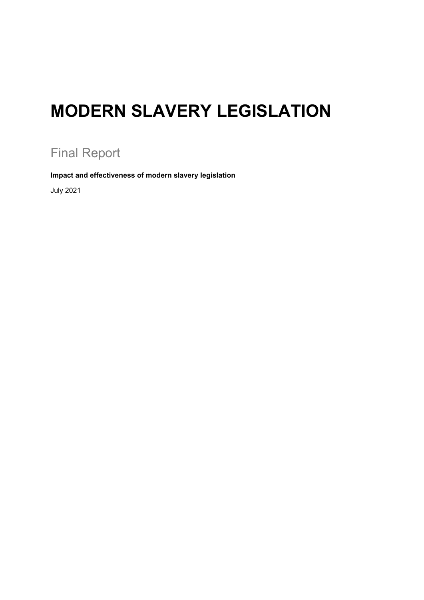# **MODERN SLAVERY LEGISLATION**

# Final Report

**Impact and effectiveness of modern slavery legislation**

July 2021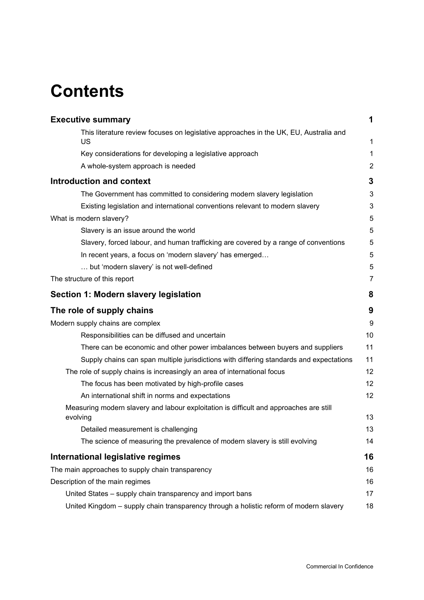# **Contents**

| <b>Executive summary</b>                                                                                                                        | 1              |
|-------------------------------------------------------------------------------------------------------------------------------------------------|----------------|
| This literature review focuses on legislative approaches in the UK, EU, Australia and<br>US                                                     | 1              |
| Key considerations for developing a legislative approach                                                                                        | 1              |
| A whole-system approach is needed                                                                                                               | $\overline{c}$ |
|                                                                                                                                                 |                |
| <b>Introduction and context</b>                                                                                                                 | 3              |
| The Government has committed to considering modern slavery legislation                                                                          | 3              |
| Existing legislation and international conventions relevant to modern slavery                                                                   | 3              |
| What is modern slavery?                                                                                                                         | 5              |
| Slavery is an issue around the world                                                                                                            | 5<br>5         |
| Slavery, forced labour, and human trafficking are covered by a range of conventions<br>In recent years, a focus on 'modern slavery' has emerged | 5              |
| but 'modern slavery' is not well-defined                                                                                                        | 5              |
| The structure of this report                                                                                                                    | $\overline{7}$ |
| Section 1: Modern slavery legislation                                                                                                           | 8              |
| The role of supply chains                                                                                                                       | 9              |
| Modern supply chains are complex                                                                                                                | 9              |
| Responsibilities can be diffused and uncertain                                                                                                  | 10             |
| There can be economic and other power imbalances between buyers and suppliers                                                                   | 11             |
| Supply chains can span multiple jurisdictions with differing standards and expectations                                                         | 11             |
| The role of supply chains is increasingly an area of international focus                                                                        | 12             |
| The focus has been motivated by high-profile cases                                                                                              | 12             |
| An international shift in norms and expectations                                                                                                | 12             |
| Measuring modern slavery and labour exploitation is difficult and approaches are still<br>evolving                                              | 13             |
| Detailed measurement is challenging                                                                                                             | 13             |
| The science of measuring the prevalence of modern slavery is still evolving                                                                     | 14             |
| International legislative regimes                                                                                                               | 16             |
| The main approaches to supply chain transparency                                                                                                | 16             |
| Description of the main regimes                                                                                                                 | 16             |
| United States - supply chain transparency and import bans                                                                                       | 17             |
| United Kingdom - supply chain transparency through a holistic reform of modern slavery                                                          | 18             |
|                                                                                                                                                 |                |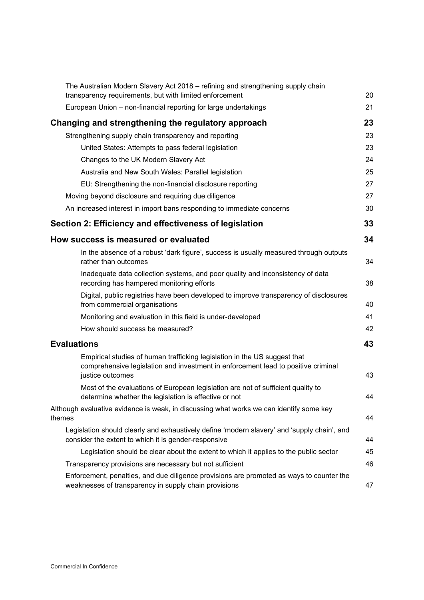| The Australian Modern Slavery Act 2018 - refining and strengthening supply chain<br>transparency requirements, but with limited enforcement                                        | 20 |
|------------------------------------------------------------------------------------------------------------------------------------------------------------------------------------|----|
| European Union - non-financial reporting for large undertakings                                                                                                                    | 21 |
| Changing and strengthening the regulatory approach                                                                                                                                 | 23 |
| Strengthening supply chain transparency and reporting                                                                                                                              | 23 |
| United States: Attempts to pass federal legislation                                                                                                                                | 23 |
| Changes to the UK Modern Slavery Act                                                                                                                                               | 24 |
| Australia and New South Wales: Parallel legislation                                                                                                                                | 25 |
| EU: Strengthening the non-financial disclosure reporting                                                                                                                           | 27 |
| Moving beyond disclosure and requiring due diligence                                                                                                                               | 27 |
| An increased interest in import bans responding to immediate concerns                                                                                                              | 30 |
| Section 2: Efficiency and effectiveness of legislation                                                                                                                             | 33 |
| How success is measured or evaluated                                                                                                                                               | 34 |
| In the absence of a robust 'dark figure', success is usually measured through outputs<br>rather than outcomes                                                                      | 34 |
| Inadequate data collection systems, and poor quality and inconsistency of data<br>recording has hampered monitoring efforts                                                        | 38 |
| Digital, public registries have been developed to improve transparency of disclosures<br>from commercial organisations                                                             | 40 |
| Monitoring and evaluation in this field is under-developed                                                                                                                         | 41 |
| How should success be measured?                                                                                                                                                    | 42 |
| <b>Evaluations</b>                                                                                                                                                                 | 43 |
| Empirical studies of human trafficking legislation in the US suggest that<br>comprehensive legislation and investment in enforcement lead to positive criminal<br>justice outcomes | 43 |
| Most of the evaluations of European legislation are not of sufficient quality to<br>determine whether the legislation is effective or not                                          | 44 |
| Although evaluative evidence is weak, in discussing what works we can identify some key<br>themes                                                                                  | 44 |
| Legislation should clearly and exhaustively define 'modern slavery' and 'supply chain', and<br>consider the extent to which it is gender-responsive                                | 44 |
| Legislation should be clear about the extent to which it applies to the public sector                                                                                              | 45 |
| Transparency provisions are necessary but not sufficient                                                                                                                           | 46 |
| Enforcement, penalties, and due diligence provisions are promoted as ways to counter the<br>weaknesses of transparency in supply chain provisions                                  | 47 |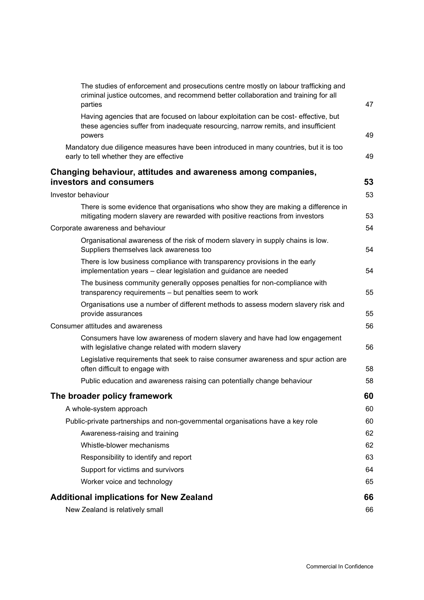| The studies of enforcement and prosecutions centre mostly on labour trafficking and<br>criminal justice outcomes, and recommend better collaboration and training for all<br>parties | 47 |
|--------------------------------------------------------------------------------------------------------------------------------------------------------------------------------------|----|
| Having agencies that are focused on labour exploitation can be cost- effective, but<br>these agencies suffer from inadequate resourcing, narrow remits, and insufficient<br>powers   | 49 |
| Mandatory due diligence measures have been introduced in many countries, but it is too<br>early to tell whether they are effective                                                   | 49 |
| Changing behaviour, attitudes and awareness among companies,<br>investors and consumers                                                                                              | 53 |
| Investor behaviour                                                                                                                                                                   | 53 |
| There is some evidence that organisations who show they are making a difference in                                                                                                   |    |
| mitigating modern slavery are rewarded with positive reactions from investors                                                                                                        | 53 |
| Corporate awareness and behaviour                                                                                                                                                    | 54 |
| Organisational awareness of the risk of modern slavery in supply chains is low.<br>Suppliers themselves lack awareness too                                                           | 54 |
| There is low business compliance with transparency provisions in the early<br>implementation years - clear legislation and guidance are needed                                       | 54 |
| The business community generally opposes penalties for non-compliance with<br>transparency requirements - but penalties seem to work                                                 | 55 |
| Organisations use a number of different methods to assess modern slavery risk and<br>provide assurances                                                                              | 55 |
| <b>Consumer attitudes and awareness</b>                                                                                                                                              | 56 |
| Consumers have low awareness of modern slavery and have had low engagement<br>with legislative change related with modern slavery                                                    | 56 |
| Legislative requirements that seek to raise consumer awareness and spur action are<br>often difficult to engage with                                                                 | 58 |
| Public education and awareness raising can potentially change behaviour                                                                                                              | 58 |
| The broader policy framework                                                                                                                                                         | 60 |
| A whole-system approach                                                                                                                                                              | 60 |
| Public-private partnerships and non-governmental organisations have a key role                                                                                                       | 60 |
| Awareness-raising and training                                                                                                                                                       | 62 |
| Whistle-blower mechanisms                                                                                                                                                            | 62 |
| Responsibility to identify and report                                                                                                                                                | 63 |
| Support for victims and survivors                                                                                                                                                    | 64 |
| Worker voice and technology                                                                                                                                                          | 65 |
| <b>Additional implications for New Zealand</b>                                                                                                                                       | 66 |
| New Zealand is relatively small                                                                                                                                                      | 66 |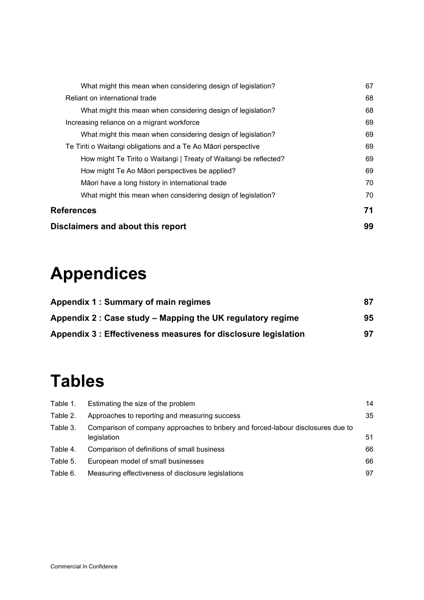| Disclaimers and about this report                                 |    |
|-------------------------------------------------------------------|----|
| References                                                        |    |
| What might this mean when considering design of legislation?      | 70 |
| Māori have a long history in international trade                  | 70 |
| How might Te Ao Māori perspectives be applied?                    | 69 |
| How might Te Tirito o Waitangi   Treaty of Waitangi be reflected? | 69 |
| Te Tiriti o Waitangi obligations and a Te Ao Māori perspective    | 69 |
| What might this mean when considering design of legislation?      | 69 |
| Increasing reliance on a migrant workforce                        | 69 |
| What might this mean when considering design of legislation?      | 68 |
| Reliant on international trade                                    | 68 |
| What might this mean when considering design of legislation?      | 67 |

# **Appendices**

| Appendix 1: Summary of main regimes                            | 87 |
|----------------------------------------------------------------|----|
| Appendix 2 : Case study – Mapping the UK regulatory regime     | 95 |
| Appendix 3 : Effectiveness measures for disclosure legislation | 97 |

# **Tables**

| Table 1. | Estimating the size of the problem                                                              | 14 |
|----------|-------------------------------------------------------------------------------------------------|----|
| Table 2. | Approaches to reporting and measuring success                                                   | 35 |
| Table 3. | Comparison of company approaches to bribery and forced-labour disclosures due to<br>legislation | 51 |
| Table 4. | Comparison of definitions of small business                                                     | 66 |
| Table 5. | European model of small businesses                                                              | 66 |
| Table 6. | Measuring effectiveness of disclosure legislations                                              | 97 |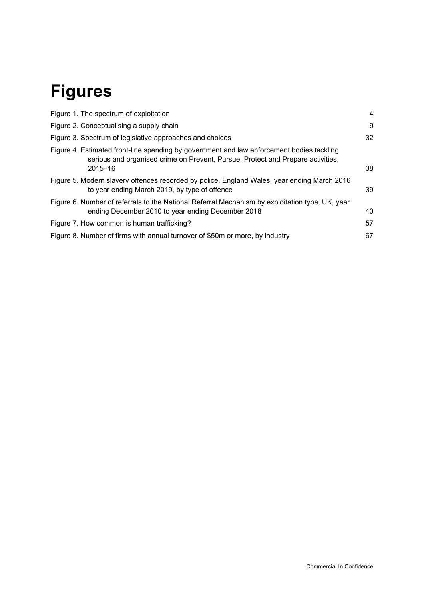# **Figures**

| Figure 1. The spectrum of exploitation                                                                                                                                                      | 4  |
|---------------------------------------------------------------------------------------------------------------------------------------------------------------------------------------------|----|
| Figure 2. Conceptualising a supply chain                                                                                                                                                    | 9  |
| Figure 3. Spectrum of legislative approaches and choices                                                                                                                                    | 32 |
| Figure 4. Estimated front-line spending by government and law enforcement bodies tackling<br>serious and organised crime on Prevent, Pursue, Protect and Prepare activities,<br>$2015 - 16$ | 38 |
| Figure 5. Modern slavery offences recorded by police, England Wales, year ending March 2016<br>to year ending March 2019, by type of offence                                                | 39 |
| Figure 6. Number of referrals to the National Referral Mechanism by exploitation type, UK, year<br>ending December 2010 to year ending December 2018                                        | 40 |
| Figure 7. How common is human trafficking?                                                                                                                                                  | 57 |
| Figure 8. Number of firms with annual turnover of \$50m or more, by industry                                                                                                                | 67 |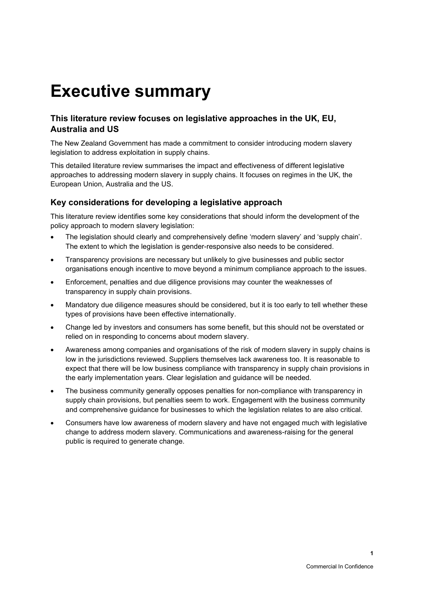# <span id="page-8-0"></span>**Executive summary**

### <span id="page-8-1"></span>**This literature review focuses on legislative approaches in the UK, EU, Australia and US**

The New Zealand Government has made a commitment to consider introducing modern slavery legislation to address exploitation in supply chains.

This detailed literature review summarises the impact and effectiveness of different legislative approaches to addressing modern slavery in supply chains. It focuses on regimes in the UK, the European Union, Australia and the US.

### <span id="page-8-2"></span>**Key considerations for developing a legislative approach**

This literature review identifies some key considerations that should inform the development of the policy approach to modern slavery legislation:

- The legislation should clearly and comprehensively define 'modern slavery' and 'supply chain'. The extent to which the legislation is gender-responsive also needs to be considered.
- Transparency provisions are necessary but unlikely to give businesses and public sector organisations enough incentive to move beyond a minimum compliance approach to the issues.
- Enforcement, penalties and due diligence provisions may counter the weaknesses of transparency in supply chain provisions.
- Mandatory due diligence measures should be considered, but it is too early to tell whether these types of provisions have been effective internationally.
- Change led by investors and consumers has some benefit, but this should not be overstated or relied on in responding to concerns about modern slavery.
- Awareness among companies and organisations of the risk of modern slavery in supply chains is low in the jurisdictions reviewed. Suppliers themselves lack awareness too. It is reasonable to expect that there will be low business compliance with transparency in supply chain provisions in the early implementation years. Clear legislation and guidance will be needed.
- The business community generally opposes penalties for non-compliance with transparency in supply chain provisions, but penalties seem to work. Engagement with the business community and comprehensive guidance for businesses to which the legislation relates to are also critical.
- Consumers have low awareness of modern slavery and have not engaged much with legislative change to address modern slavery. Communications and awareness-raising for the general public is required to generate change.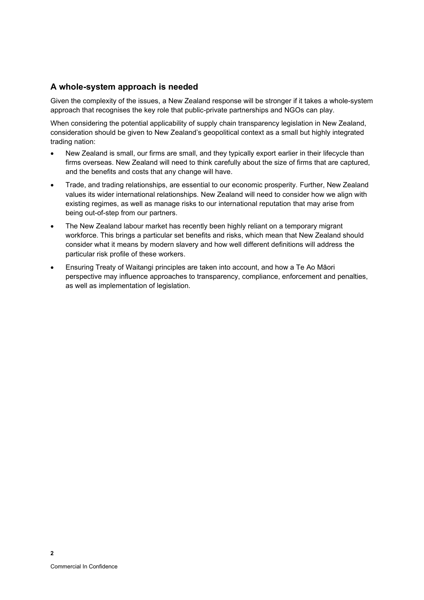### <span id="page-9-0"></span>**A whole-system approach is needed**

Given the complexity of the issues, a New Zealand response will be stronger if it takes a whole-system approach that recognises the key role that public-private partnerships and NGOs can play.

When considering the potential applicability of supply chain transparency legislation in New Zealand, consideration should be given to New Zealand's geopolitical context as a small but highly integrated trading nation:

- New Zealand is small, our firms are small, and they typically export earlier in their lifecycle than firms overseas. New Zealand will need to think carefully about the size of firms that are captured, and the benefits and costs that any change will have.
- Trade, and trading relationships, are essential to our economic prosperity. Further, New Zealand values its wider international relationships. New Zealand will need to consider how we align with existing regimes, as well as manage risks to our international reputation that may arise from being out-of-step from our partners.
- The New Zealand labour market has recently been highly reliant on a temporary migrant workforce. This brings a particular set benefits and risks, which mean that New Zealand should consider what it means by modern slavery and how well different definitions will address the particular risk profile of these workers.
- Ensuring Treaty of Waitangi principles are taken into account, and how a Te Ao Māori perspective may influence approaches to transparency, compliance, enforcement and penalties, as well as implementation of legislation.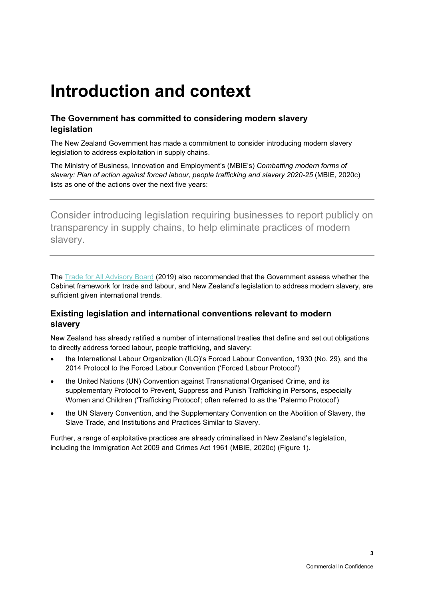# <span id="page-10-0"></span>**Introduction and context**

### <span id="page-10-1"></span>**The Government has committed to considering modern slavery legislation**

The New Zealand Government has made a commitment to consider introducing modern slavery legislation to address exploitation in supply chains.

The Ministry of Business, Innovation and Employment's (MBIE's) *Combatting modern forms of slavery: Plan of action against forced labour, people trafficking and slavery 2020-25* (MBIE, 2020c) lists as one of the actions over the next five years:

Consider introducing legislation requiring businesses to report publicly on transparency in supply chains, to help eliminate practices of modern slavery.

The [Trade for All Advisory Board](https://www.tradeforalladvisoryboard.org.nz/) (2019) also recommended that the Government assess whether the Cabinet framework for trade and labour, and New Zealand's legislation to address modern slavery, are sufficient given international trends.

### <span id="page-10-2"></span>**Existing legislation and international conventions relevant to modern slavery**

New Zealand has already ratified a number of international treaties that define and set out obligations to directly address forced labour, people trafficking, and slavery:

- the International Labour Organization (ILO)'s Forced Labour Convention, 1930 (No. 29), and the 2014 Protocol to the Forced Labour Convention ('Forced Labour Protocol')
- the United Nations (UN) Convention against Transnational Organised Crime, and its supplementary Protocol to Prevent, Suppress and Punish Trafficking in Persons, especially Women and Children ('Trafficking Protocol'; often referred to as the 'Palermo Protocol')
- the UN Slavery Convention, and the Supplementary Convention on the Abolition of Slavery, the Slave Trade, and Institutions and Practices Similar to Slavery.

Further, a range of exploitative practices are already criminalised in New Zealand's legislation, including the Immigration Act 2009 and Crimes Act 1961 (MBIE, 2020c) [\(Figure 1\)](#page-11-0).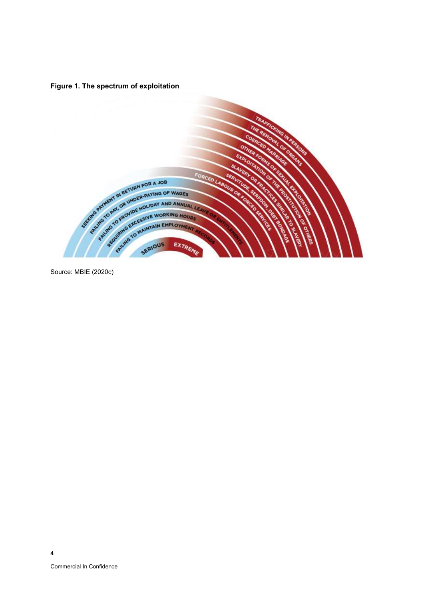<span id="page-11-0"></span>**Figure 1. The spectrum of exploitation**



Source: MBIE (2020c)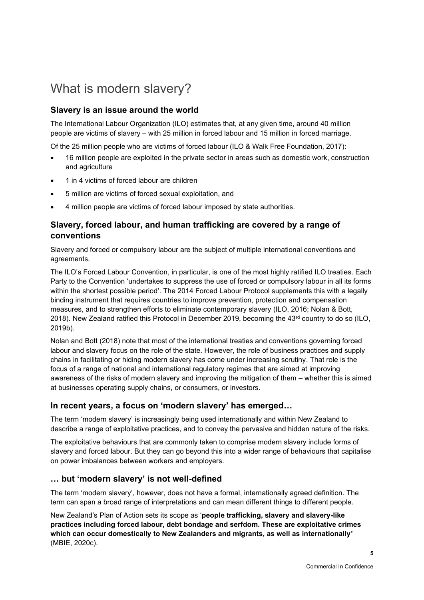# <span id="page-12-0"></span>What is modern slavery?

### <span id="page-12-1"></span>**Slavery is an issue around the world**

The International Labour Organization (ILO) estimates that, at any given time, around 40 million people are victims of slavery – with 25 million in forced labour and 15 million in forced marriage.

Of the 25 million people who are victims of forced labour (ILO & Walk Free Foundation, 2017):

- 16 million people are exploited in the private sector in areas such as domestic work, construction and agriculture
- 1 in 4 victims of forced labour are children
- 5 million are victims of forced sexual exploitation, and
- 4 million people are victims of forced labour imposed by state authorities.

### <span id="page-12-2"></span>**Slavery, forced labour, and human trafficking are covered by a range of conventions**

Slavery and forced or compulsory labour are the subject of multiple international conventions and agreements.

The ILO's Forced Labour Convention, in particular, is one of the most highly ratified ILO treaties. Each Party to the Convention 'undertakes to suppress the use of forced or compulsory labour in all its forms within the shortest possible period'. The 2014 Forced Labour Protocol supplements this with a legally binding instrument that requires countries to improve prevention, protection and compensation measures, and to strengthen efforts to eliminate contemporary slavery (ILO, 2016; Nolan & Bott, 2018). New Zealand ratified this Protocol in December 2019, becoming the 43<sup>rd</sup> country to do so (ILO, 2019b).

Nolan and Bott (2018) note that most of the international treaties and conventions governing forced labour and slavery focus on the role of the state. However, the role of business practices and supply chains in facilitating or hiding modern slavery has come under increasing scrutiny. That role is the focus of a range of national and international regulatory regimes that are aimed at improving awareness of the risks of modern slavery and improving the mitigation of them – whether this is aimed at businesses operating supply chains, or consumers, or investors.

### <span id="page-12-3"></span>**In recent years, a focus on 'modern slavery' has emerged…**

The term 'modern slavery' is increasingly being used internationally and within New Zealand to describe a range of exploitative practices, and to convey the pervasive and hidden nature of the risks.

The exploitative behaviours that are commonly taken to comprise modern slavery include forms of slavery and forced labour. But they can go beyond this into a wider range of behaviours that capitalise on power imbalances between workers and employers.

### <span id="page-12-4"></span>**… but 'modern slavery' is not well-defined**

The term 'modern slavery', however, does not have a formal, internationally agreed definition. The term can span a broad range of interpretations and can mean different things to different people.

New Zealand's Plan of Action sets its scope as '**people trafficking, slavery and slavery-like practices including forced labour, debt bondage and serfdom. These are exploitative crimes which can occur domestically to New Zealanders and migrants, as well as internationally'**  (MBIE, 2020c).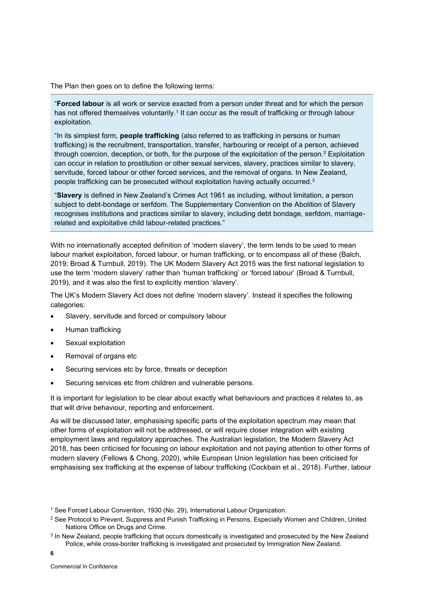The Plan then goes on to define the following terms:

"**Forced labour** is all work or service exacted from a person under threat and for which the person has not offered themselves voluntarily. $^1$  It can occur as the result of trafficking or through labour exploitation.

"In its simplest form, **people trafficking** (also referred to as trafficking in persons or human trafficking) is the recruitment, transportation, transfer, harbouring or receipt of a person, achieved through coercion, deception, or both, for the purpose of the exploitation of the person.<sup>2</sup> Exploitation can occur in relation to prostitution or other sexual services, slavery, practices similar to slavery, servitude, forced labour or other forced services, and the removal of organs. In New Zealand, people trafficking can be prosecuted without exploitation having actually occurred.<sup>3</sup>

"**Slavery** is defined in New Zealand's Crimes Act 1961 as including, without limitation, a person subject to debt-bondage or serfdom. The Supplementary Convention on the Abolition of Slavery recognises institutions and practices similar to slavery, including debt bondage, serfdom, marriagerelated and exploitative child labour-related practices."

With no internationally accepted definition of 'modern slavery', the term tends to be used to mean labour market exploitation, forced labour, or human trafficking, or to encompass all of these (Balch, 2019; Broad & Turnbull, 2019). The UK Modern Slavery Act 2015 was the first national legislation to use the term 'modern slavery' rather than 'human trafficking' or 'forced labour' (Broad & Turnbull, 2019), and it was also the first to explicitly mention 'slavery'.

The UK's Modern Slavery Act does not define 'modern slavery'. Instead it specifies the following categories:

- Slavery, servitude and forced or compulsory labour
- Human trafficking
- Sexual exploitation
- Removal of organs etc
- Securing services etc by force, threats or deception
- Securing services etc from children and vulnerable persons.

It is important for legislation to be clear about exactly what behaviours and practices it relates to, as that will drive behaviour, reporting and enforcement.

As will be discussed later, emphasising specific parts of the exploitation spectrum may mean that other forms of exploitation will not be addressed, or will require closer integration with existing employment laws and regulatory approaches. The Australian legislation, the Modern Slavery Act 2018, has been criticised for focusing on labour exploitation and not paying attention to other forms of modern slavery (Fellows & Chong, 2020), while European Union legislation has been criticised for emphasising sex trafficking at the expense of labour trafficking (Cockbain et al., 2018). Further, labour

<sup>&</sup>lt;sup>1</sup> See Forced Labour Convention, 1930 (No. 29), International Labour Organization.

<sup>&</sup>lt;sup>2</sup> See Protocol to Prevent, Suppress and Punish Trafficking in Persons, Especially Women and Children, United Nations Office on Drugs and Crime.

<sup>&</sup>lt;sup>3</sup> In New Zealand, people trafficking that occurs domestically is investigated and prosecuted by the New Zealand Police, while cross-border trafficking is investigated and prosecuted by Immigration New Zealand.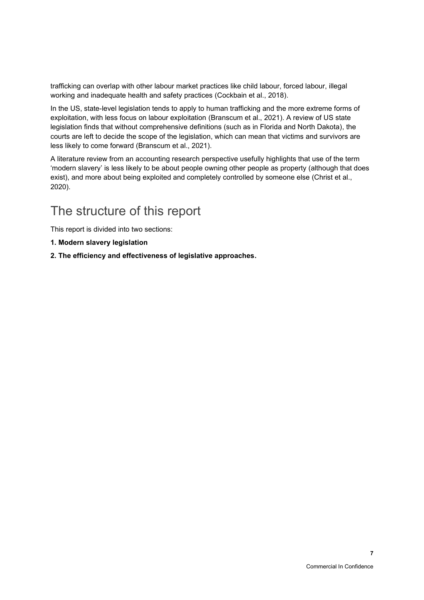trafficking can overlap with other labour market practices like child labour, forced labour, illegal working and inadequate health and safety practices (Cockbain et al., 2018).

In the US, state-level legislation tends to apply to human trafficking and the more extreme forms of exploitation, with less focus on labour exploitation (Branscum et al., 2021). A review of US state legislation finds that without comprehensive definitions (such as in Florida and North Dakota), the courts are left to decide the scope of the legislation, which can mean that victims and survivors are less likely to come forward (Branscum et al., 2021).

A literature review from an accounting research perspective usefully highlights that use of the term 'modern slavery' is less likely to be about people owning other people as property (although that does exist), and more about being exploited and completely controlled by someone else (Christ et al., 2020).

# <span id="page-14-0"></span>The structure of this report

This report is divided into two sections:

- **1. Modern slavery legislation**
- **2. The efficiency and effectiveness of legislative approaches.**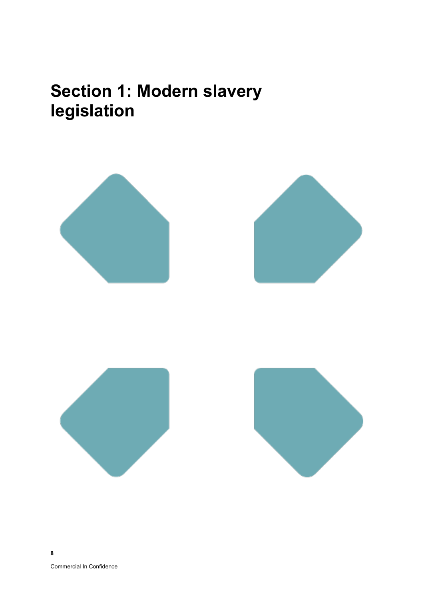# <span id="page-15-0"></span>**Section 1: Modern slavery legislation**

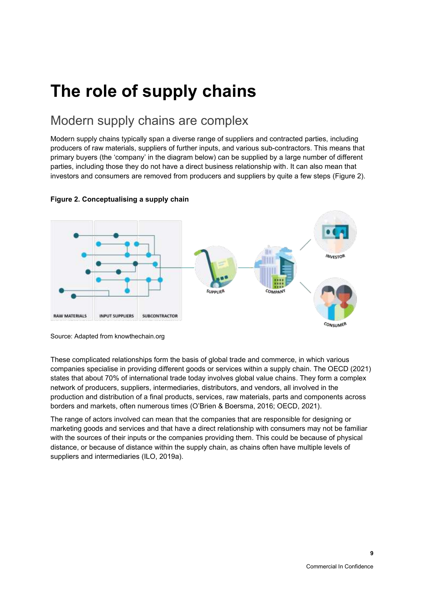# <span id="page-16-0"></span>**The role of supply chains**

# <span id="page-16-1"></span>Modern supply chains are complex

Modern supply chains typically span a diverse range of suppliers and contracted parties, including producers of raw materials, suppliers of further inputs, and various sub-contractors. This means that primary buyers (the 'company' in the diagram below) can be supplied by a large number of different parties, including those they do not have a direct business relationship with. It can also mean that investors and consumers are removed from producers and suppliers by quite a few steps [\(Figure 2\)](#page-16-2).



### <span id="page-16-2"></span>**Figure 2. Conceptualising a supply chain**

These complicated relationships form the basis of global trade and commerce, in which various companies specialise in providing different goods or services within a supply chain. The OECD (2021) states that about 70% of international trade today involves global value chains. They form a complex network of producers, suppliers, intermediaries, distributors, and vendors, all involved in the production and distribution of a final products, services, raw materials, parts and components across borders and markets, often numerous times (O'Brien & Boersma, 2016; OECD, 2021).

The range of actors involved can mean that the companies that are responsible for designing or marketing goods and services and that have a direct relationship with consumers may not be familiar with the sources of their inputs or the companies providing them. This could be because of physical distance, or because of distance within the supply chain, as chains often have multiple levels of suppliers and intermediaries (ILO, 2019a).

Source: Adapted from knowthechain.org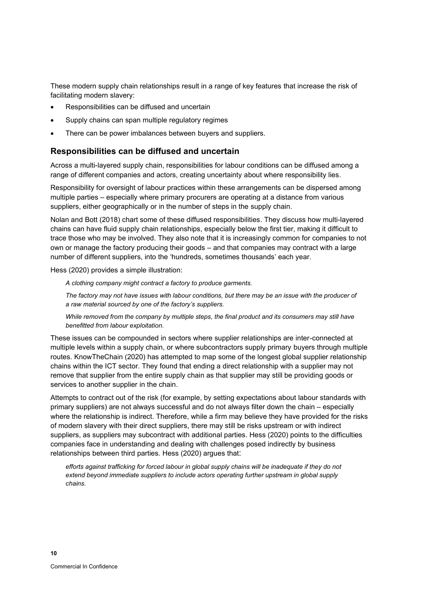These modern supply chain relationships result in a range of key features that increase the risk of facilitating modern slavery:

- Responsibilities can be diffused and uncertain
- Supply chains can span multiple regulatory regimes
- There can be power imbalances between buyers and suppliers.

### <span id="page-17-0"></span>**Responsibilities can be diffused and uncertain**

Across a multi-layered supply chain, responsibilities for labour conditions can be diffused among a range of different companies and actors, creating uncertainty about where responsibility lies.

Responsibility for oversight of labour practices within these arrangements can be dispersed among multiple parties – especially where primary procurers are operating at a distance from various suppliers, either geographically or in the number of steps in the supply chain.

Nolan and Bott (2018) chart some of these diffused responsibilities. They discuss how multi-layered chains can have fluid supply chain relationships, especially below the first tier, making it difficult to trace those who may be involved. They also note that it is increasingly common for companies to not own or manage the factory producing their goods – and that companies may contract with a large number of different suppliers, into the 'hundreds, sometimes thousands' each year.

Hess (2020) provides a simple illustration:

*A clothing company might contract a factory to produce garments.* 

*The factory may not have issues with labour conditions, but there may be an issue with the producer of a raw material sourced by one of the factory's suppliers.* 

*While removed from the company by multiple steps, the final product and its consumers may still have benefitted from labour exploitation.*

These issues can be compounded in sectors where supplier relationships are inter-connected at multiple levels within a supply chain, or where subcontractors supply primary buyers through multiple routes. KnowTheChain (2020) has attempted to map some of the longest global supplier relationship chains within the ICT sector. They found that ending a direct relationship with a supplier may not remove that supplier from the entire supply chain as that supplier may still be providing goods or services to another supplier in the chain.

Attempts to contract out of the risk (for example, by setting expectations about labour standards with primary suppliers) are not always successful and do not always filter down the chain – especially where the relationship is indirect. Therefore, while a firm may believe they have provided for the risks of modern slavery with their direct suppliers, there may still be risks upstream or with indirect suppliers, as suppliers may subcontract with additional parties. Hess (2020) points to the difficulties companies face in understanding and dealing with challenges posed indirectly by business relationships between third parties. Hess (2020) argues that:

*efforts against trafficking for forced labour in global supply chains will be inadequate if they do not extend beyond immediate suppliers to include actors operating further upstream in global supply chains.*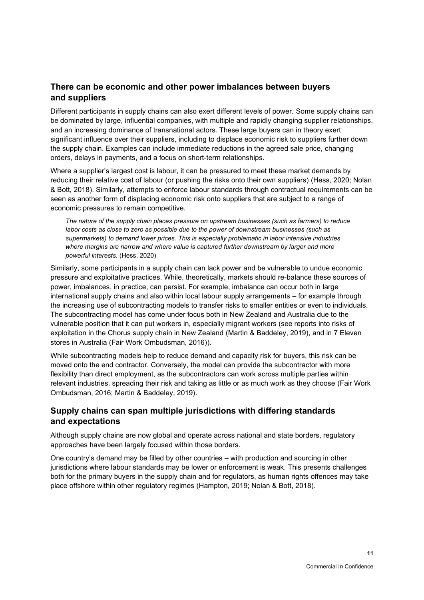### <span id="page-18-0"></span>**There can be economic and other power imbalances between buyers and suppliers**

Different participants in supply chains can also exert different levels of power. Some supply chains can be dominated by large, influential companies, with multiple and rapidly changing supplier relationships, and an increasing dominance of transnational actors. These large buyers can in theory exert significant influence over their suppliers, including to displace economic risk to suppliers further down the supply chain. Examples can include immediate reductions in the agreed sale price, changing orders, delays in payments, and a focus on short-term relationships.

Where a supplier's largest cost is labour, it can be pressured to meet these market demands by reducing their relative cost of labour (or pushing the risks onto their own suppliers) (Hess, 2020; Nolan & Bott, 2018). Similarly, attempts to enforce labour standards through contractual requirements can be seen as another form of displacing economic risk onto suppliers that are subject to a range of economic pressures to remain competitive.

*The nature of the supply chain places pressure on upstream businesses (such as farmers) to reduce labor costs as close to zero as possible due to the power of downstream businesses (such as supermarkets) to demand lower prices. This is especially problematic in labor intensive industries where margins are narrow and where value is captured further downstream by larger and more powerful interests.* (Hess, 2020)

Similarly, some participants in a supply chain can lack power and be vulnerable to undue economic pressure and exploitative practices. While, theoretically, markets should re-balance these sources of power, imbalances, in practice, can persist. For example, imbalance can occur both in large international supply chains and also within local labour supply arrangements – for example through the increasing use of subcontracting models to transfer risks to smaller entities or even to individuals. The subcontracting model has come under focus both in New Zealand and Australia due to the vulnerable position that it can put workers in, especially migrant workers (see reports into risks of exploitation in the Chorus supply chain in New Zealand (Martin & Baddeley, 2019), and in 7 Eleven stores in Australia (Fair Work Ombudsman, 2016)).

While subcontracting models help to reduce demand and capacity risk for buyers, this risk can be moved onto the end contractor. Conversely, the model can provide the subcontractor with more flexibility than direct employment, as the subcontractors can work across multiple parties within relevant industries, spreading their risk and taking as little or as much work as they choose (Fair Work Ombudsman, 2016; Martin & Baddeley, 2019).

### <span id="page-18-1"></span>**Supply chains can span multiple jurisdictions with differing standards and expectations**

Although supply chains are now global and operate across national and state borders, regulatory approaches have been largely focused within those borders.

One country's demand may be filled by other countries – with production and sourcing in other jurisdictions where labour standards may be lower or enforcement is weak. This presents challenges both for the primary buyers in the supply chain and for regulators, as human rights offences may take place offshore within other regulatory regimes (Hampton, 2019; Nolan & Bott, 2018).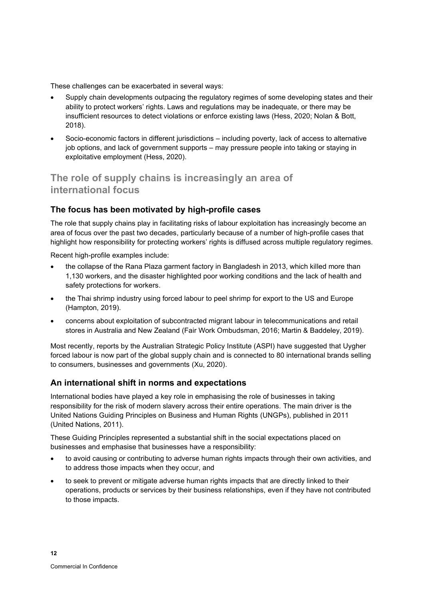These challenges can be exacerbated in several ways:

- Supply chain developments outpacing the regulatory regimes of some developing states and their ability to protect workers' rights. Laws and regulations may be inadequate, or there may be insufficient resources to detect violations or enforce existing laws (Hess, 2020; Nolan & Bott, 2018).
- Socio-economic factors in different jurisdictions including poverty, lack of access to alternative job options, and lack of government supports – may pressure people into taking or staying in exploitative employment (Hess, 2020).

## <span id="page-19-0"></span>**The role of supply chains is increasingly an area of international focus**

### <span id="page-19-1"></span>**The focus has been motivated by high-profile cases**

The role that supply chains play in facilitating risks of labour exploitation has increasingly become an area of focus over the past two decades, particularly because of a number of high-profile cases that highlight how responsibility for protecting workers' rights is diffused across multiple regulatory regimes.

Recent high-profile examples include:

- the collapse of the Rana Plaza garment factory in Bangladesh in 2013, which killed more than 1,130 workers, and the disaster highlighted poor working conditions and the lack of health and safety protections for workers.
- the Thai shrimp industry using forced labour to peel shrimp for export to the US and Europe (Hampton, 2019).
- concerns about exploitation of subcontracted migrant labour in telecommunications and retail stores in Australia and New Zealand (Fair Work Ombudsman, 2016; Martin & Baddeley, 2019).

Most recently, reports by the Australian Strategic Policy Institute (ASPI) have suggested that Uygher forced labour is now part of the global supply chain and is connected to 80 international brands selling to consumers, businesses and governments (Xu, 2020).

### <span id="page-19-2"></span>**An international shift in norms and expectations**

International bodies have played a key role in emphasising the role of businesses in taking responsibility for the risk of modern slavery across their entire operations. The main driver is the United Nations Guiding Principles on Business and Human Rights (UNGPs), published in 2011 (United Nations, 2011).

These Guiding Principles represented a substantial shift in the social expectations placed on businesses and emphasise that businesses have a responsibility:

- to avoid causing or contributing to adverse human rights impacts through their own activities, and to address those impacts when they occur, and
- to seek to prevent or mitigate adverse human rights impacts that are directly linked to their operations, products or services by their business relationships, even if they have not contributed to those impacts.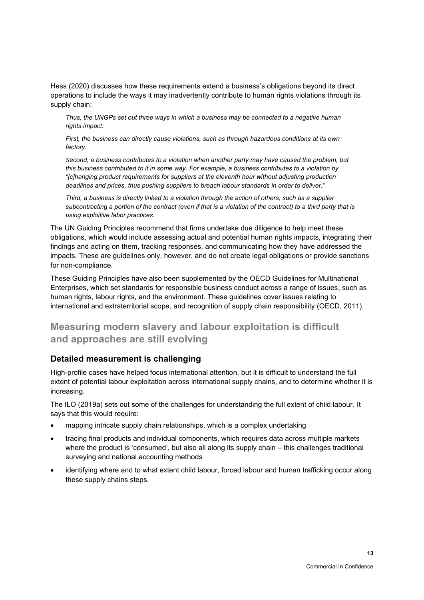Hess (2020) discusses how these requirements extend a business's obligations beyond its direct operations to include the ways it may inadvertently contribute to human rights violations through its supply chain:

*Thus, the UNGPs set out three ways in which a business may be connected to a negative human rights impact:*

*First, the business can directly cause violations, such as through hazardous conditions at its own factory.*

*Second, a business contributes to a violation when another party may have caused the problem, but this business contributed to it in some way. For example, a business contributes to a violation by "[c]hanging product requirements for suppliers at the eleventh hour without adjusting production deadlines and prices, thus pushing suppliers to breach labour standards in order to deliver."*

*Third, a business is directly linked to a violation through the action of others, such as a supplier subcontracting a portion of the contract (even if that is a violation of the contract) to a third party that is using exploitive labor practices.*

The UN Guiding Principles recommend that firms undertake due diligence to help meet these obligations, which would include assessing actual and potential human rights impacts, integrating their findings and acting on them, tracking responses, and communicating how they have addressed the impacts. These are guidelines only, however, and do not create legal obligations or provide sanctions for non-compliance.

These Guiding Principles have also been supplemented by the OECD Guidelines for Multinational Enterprises, which set standards for responsible business conduct across a range of issues, such as human rights, labour rights, and the environment. These guidelines cover issues relating to international and extraterritorial scope, and recognition of supply chain responsibility (OECD, 2011).

## <span id="page-20-0"></span>**Measuring modern slavery and labour exploitation is difficult and approaches are still evolving**

### <span id="page-20-1"></span>**Detailed measurement is challenging**

High-profile cases have helped focus international attention, but it is difficult to understand the full extent of potential labour exploitation across international supply chains, and to determine whether it is increasing.

The ILO (2019a) sets out some of the challenges for understanding the full extent of child labour. It says that this would require:

- mapping intricate supply chain relationships, which is a complex undertaking
- tracing final products and individual components, which requires data across multiple markets where the product is 'consumed', but also all along its supply chain – this challenges traditional surveying and national accounting methods
- identifying where and to what extent child labour, forced labour and human trafficking occur along these supply chains steps.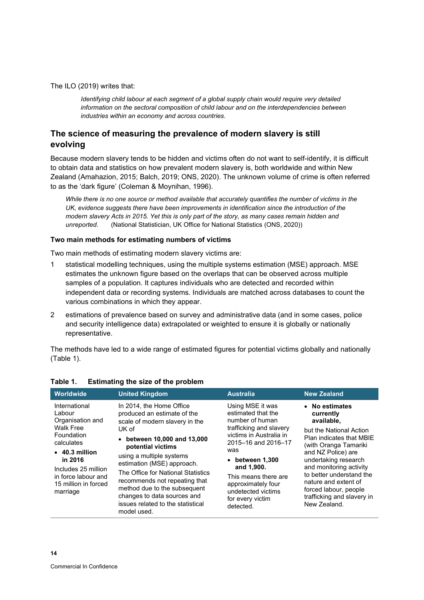The ILO (2019) writes that:

*Identifying child labour at each segment of a global supply chain would require very detailed information on the sectoral composition of child labour and on the interdependencies between industries within an economy and across countries.*

### <span id="page-21-0"></span>**The science of measuring the prevalence of modern slavery is still evolving**

Because modern slavery tends to be hidden and victims often do not want to self-identify, it is difficult to obtain data and statistics on how prevalent modern slavery is, both worldwide and within New Zealand (Amahazion, 2015; Balch, 2019; ONS, 2020). The unknown volume of crime is often referred to as the 'dark figure' (Coleman & Moynihan, 1996).

*While there is no one source or method available that accurately quantifies the number of victims in the UK, evidence suggests there have been improvements in identification since the introduction of the modern slavery Acts in 2015. Yet this is only part of the story, as many cases remain hidden and unreported.* (National Statistician, UK Office for National Statistics (ONS, 2020))

#### **Two main methods for estimating numbers of victims**

Two main methods of estimating modern slavery victims are:

- 1 statistical modelling techniques, using the multiple systems estimation (MSE) approach. MSE estimates the unknown figure based on the overlaps that can be observed across multiple samples of a population. It captures individuals who are detected and recorded within independent data or recording systems. Individuals are matched across databases to count the various combinations in which they appear.
- 2 estimations of prevalence based on survey and administrative data (and in some cases, police and security intelligence data) extrapolated or weighted to ensure it is globally or nationally representative.

The methods have led to a wide range of estimated figures for potential victims globally and nationally [\(Table](#page-21-1) 1).

| <b>Worldwide</b>                                                                                                                                                                                                 | <b>United Kingdom</b>                                                                                                                                                                                                                                                                                                                                                                                      | <b>Australia</b>                                                                                                                                                                                                                                                                            | <b>New Zealand</b>                                                                                                                                                                                                                                                                                                            |
|------------------------------------------------------------------------------------------------------------------------------------------------------------------------------------------------------------------|------------------------------------------------------------------------------------------------------------------------------------------------------------------------------------------------------------------------------------------------------------------------------------------------------------------------------------------------------------------------------------------------------------|---------------------------------------------------------------------------------------------------------------------------------------------------------------------------------------------------------------------------------------------------------------------------------------------|-------------------------------------------------------------------------------------------------------------------------------------------------------------------------------------------------------------------------------------------------------------------------------------------------------------------------------|
| International<br>Labour<br>Organisation and<br><b>Walk Free</b><br>Foundation<br>calculates<br>$\cdot$ 40.3 million<br>in 2016<br>Includes 25 million<br>in force labour and<br>15 million in forced<br>marriage | In 2014, the Home Office<br>produced an estimate of the<br>scale of modern slavery in the<br>UK of<br>• between 10,000 and 13,000<br>potential victims<br>using a multiple systems<br>estimation (MSE) approach.<br>The Office for National Statistics<br>recommends not repeating that<br>method due to the subsequent<br>changes to data sources and<br>issues related to the statistical<br>model used. | Using MSE it was<br>estimated that the<br>number of human<br>trafficking and slavery<br>victims in Australia in<br>2015-16 and 2016-17<br>was<br>$\bullet$ between 1,300<br>and 1,900.<br>This means there are<br>approximately four<br>undetected victims<br>for every victim<br>detected. | • No estimates<br>currently<br>available,<br>but the National Action<br>Plan indicates that MBIE<br>(with Oranga Tamariki<br>and NZ Police) are<br>undertaking research<br>and monitoring activity<br>to better understand the<br>nature and extent of<br>forced labour, people<br>trafficking and slavery in<br>New Zealand. |

### <span id="page-21-1"></span>**Table 1. Estimating the size of the problem**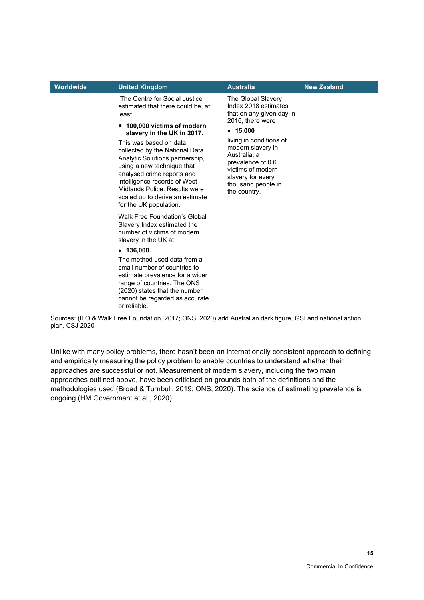| Worldwide | <b>United Kingdom</b>                                                                                                                                                                                                                                                                                                                                                                                                              | <b>Australia</b>                                                                                                                                                                                                                                                            | <b>New Zealand</b> |
|-----------|------------------------------------------------------------------------------------------------------------------------------------------------------------------------------------------------------------------------------------------------------------------------------------------------------------------------------------------------------------------------------------------------------------------------------------|-----------------------------------------------------------------------------------------------------------------------------------------------------------------------------------------------------------------------------------------------------------------------------|--------------------|
|           | The Centre for Social Justice<br>estimated that there could be, at<br>least,<br>• 100,000 victims of modern<br>slavery in the UK in 2017.<br>This was based on data<br>collected by the National Data<br>Analytic Solutions partnership,<br>using a new technique that<br>analysed crime reports and<br>intelligence records of West<br>Midlands Police, Results were<br>scaled up to derive an estimate<br>for the UK population. | The Global Slavery<br>Index 2018 estimates<br>that on any given day in<br>2016, there were<br>• 15,000<br>living in conditions of<br>modern slavery in<br>Australia, a<br>prevalence of 0.6<br>victims of modern<br>slavery for every<br>thousand people in<br>the country. |                    |
|           | <b>Walk Free Foundation's Global</b><br>Slavery Index estimated the<br>number of victims of modern<br>slavery in the UK at                                                                                                                                                                                                                                                                                                         |                                                                                                                                                                                                                                                                             |                    |
|           | $-136,000.$                                                                                                                                                                                                                                                                                                                                                                                                                        |                                                                                                                                                                                                                                                                             |                    |
|           | The method used data from a<br>small number of countries to<br>estimate prevalence for a wider<br>range of countries. The ONS<br>(2020) states that the number<br>cannot be regarded as accurate<br>or reliable.                                                                                                                                                                                                                   |                                                                                                                                                                                                                                                                             |                    |

Sources: (ILO & Walk Free Foundation, 2017; ONS, 2020) add Australian dark figure, GSI and national action plan, CSJ 2020

Unlike with many policy problems, there hasn't been an internationally consistent approach to defining and empirically measuring the policy problem to enable countries to understand whether their approaches are successful or not. Measurement of modern slavery, including the two main approaches outlined above, have been criticised on grounds both of the definitions and the methodologies used (Broad & Turnbull, 2019; ONS, 2020). The science of estimating prevalence is ongoing (HM Government et al., 2020).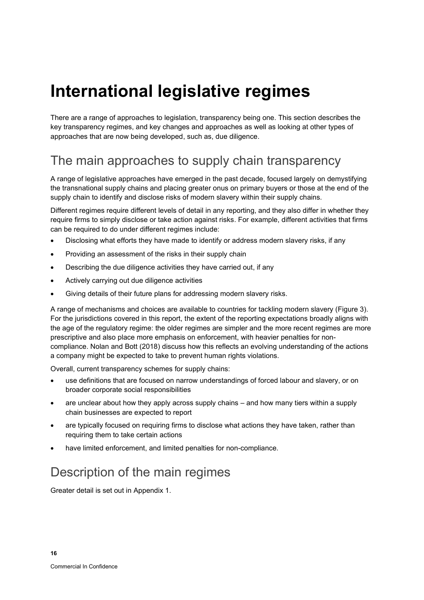# <span id="page-23-0"></span>**International legislative regimes**

There are a range of approaches to legislation, transparency being one. This section describes the key transparency regimes, and key changes and approaches as well as looking at other types of approaches that are now being developed, such as, due diligence.

# <span id="page-23-1"></span>The main approaches to supply chain transparency

A range of legislative approaches have emerged in the past decade, focused largely on demystifying the transnational supply chains and placing greater onus on primary buyers or those at the end of the supply chain to identify and disclose risks of modern slavery within their supply chains.

Different regimes require different levels of detail in any reporting, and they also differ in whether they require firms to simply disclose or take action against risks. For example, different activities that firms can be required to do under different regimes include:

- Disclosing what efforts they have made to identify or address modern slavery risks, if any
- Providing an assessment of the risks in their supply chain
- Describing the due diligence activities they have carried out, if any
- Actively carrying out due diligence activities
- Giving details of their future plans for addressing modern slavery risks.

A range of mechanisms and choices are available to countries for tackling modern slavery [\(Figure 3\)](#page-39-0). For the jurisdictions covered in this report, the extent of the reporting expectations broadly aligns with the age of the regulatory regime: the older regimes are simpler and the more recent regimes are more prescriptive and also place more emphasis on enforcement, with heavier penalties for noncompliance. Nolan and Bott (2018) discuss how this reflects an evolving understanding of the actions a company might be expected to take to prevent human rights violations.

Overall, current transparency schemes for supply chains:

- use definitions that are focused on narrow understandings of forced labour and slavery, or on broader corporate social responsibilities
- are unclear about how they apply across supply chains and how many tiers within a supply chain businesses are expected to report
- are typically focused on requiring firms to disclose what actions they have taken, rather than requiring them to take certain actions
- have limited enforcement, and limited penalties for non-compliance.

# <span id="page-23-2"></span>Description of the main regimes

Greater detail is set out in [Appendix 1.](#page-94-0)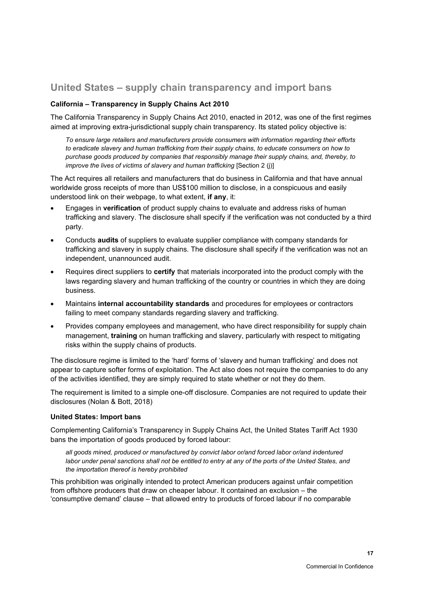## <span id="page-24-0"></span>**United States – supply chain transparency and import bans**

### **California – Transparency in Supply Chains Act 2010**

The California Transparency in Supply Chains Act 2010, enacted in 2012, was one of the first regimes aimed at improving extra-jurisdictional supply chain transparency. Its stated policy objective is:

*To ensure large retailers and manufacturers provide consumers with information regarding their efforts to eradicate slavery and human trafficking from their supply chains, to educate consumers on how to purchase goods produced by companies that responsibly manage their supply chains, and, thereby, to improve the lives of victims of slavery and human trafficking* [Section 2 (j)]

The Act requires all retailers and manufacturers that do business in California and that have annual worldwide gross receipts of more than US\$100 million to disclose, in a conspicuous and easily understood link on their webpage, to what extent, **if any**, it:

- Engages in **verification** of product supply chains to evaluate and address risks of human trafficking and slavery. The disclosure shall specify if the verification was not conducted by a third party.
- Conducts **audits** of suppliers to evaluate supplier compliance with company standards for trafficking and slavery in supply chains. The disclosure shall specify if the verification was not an independent, unannounced audit.
- Requires direct suppliers to **certify** that materials incorporated into the product comply with the laws regarding slavery and human trafficking of the country or countries in which they are doing business.
- Maintains **internal accountability standards** and procedures for employees or contractors failing to meet company standards regarding slavery and trafficking.
- Provides company employees and management, who have direct responsibility for supply chain management, **training** on human trafficking and slavery, particularly with respect to mitigating risks within the supply chains of products.

The disclosure regime is limited to the 'hard' forms of 'slavery and human trafficking' and does not appear to capture softer forms of exploitation. The Act also does not require the companies to do any of the activities identified, they are simply required to state whether or not they do them.

The requirement is limited to a simple one-off disclosure. Companies are not required to update their disclosures (Nolan & Bott, 2018)

### **United States: Import bans**

Complementing California's Transparency in Supply Chains Act, the United States Tariff Act 1930 bans the importation of goods produced by forced labour:

*all goods mined, produced or manufactured by convict labor or/and forced labor or/and indentured labor under penal sanctions shall not be entitled to entry at any of the ports of the United States, and the importation thereof is hereby prohibited*

This prohibition was originally intended to protect American producers against unfair competition from offshore producers that draw on cheaper labour. It contained an exclusion – the 'consumptive demand' clause – that allowed entry to products of forced labour if no comparable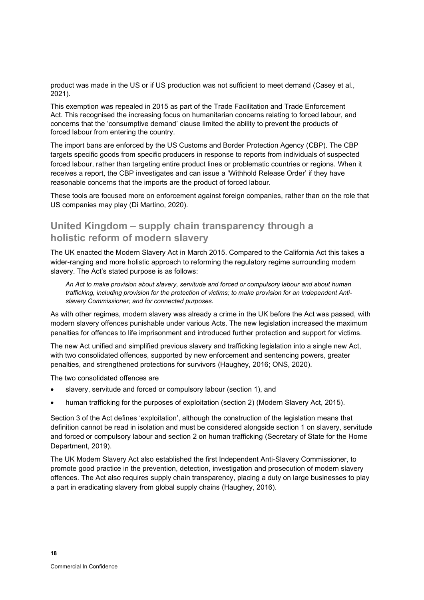product was made in the US or if US production was not sufficient to meet demand (Casey et al., 2021).

This exemption was repealed in 2015 as part of the Trade Facilitation and Trade Enforcement Act. This recognised the increasing focus on humanitarian concerns relating to forced labour, and concerns that the 'consumptive demand' clause limited the ability to prevent the products of forced labour from entering the country.

The import bans are enforced by the US Customs and Border Protection Agency (CBP). The CBP targets specific goods from specific producers in response to reports from individuals of suspected forced labour, rather than targeting entire product lines or problematic countries or regions. When it receives a report, the CBP investigates and can issue a 'Withhold Release Order' if they have reasonable concerns that the imports are the product of forced labour.

These tools are focused more on enforcement against foreign companies, rather than on the role that US companies may play (Di Martino, 2020).

## <span id="page-25-0"></span>**United Kingdom – supply chain transparency through a holistic reform of modern slavery**

The UK enacted the Modern Slavery Act in March 2015. Compared to the California Act this takes a wider-ranging and more holistic approach to reforming the regulatory regime surrounding modern slavery. The Act's stated purpose is as follows:

*An Act to make provision about slavery, servitude and forced or compulsory labour and about human trafficking, including provision for the protection of victims; to make provision for an Independent Antislavery Commissioner; and for connected purposes.*

As with other regimes, modern slavery was already a crime in the UK before the Act was passed, with modern slavery offences punishable under various Acts. The new legislation increased the maximum penalties for offences to life imprisonment and introduced further protection and support for victims.

The new Act unified and simplified previous slavery and trafficking legislation into a single new Act, with two consolidated offences, supported by new enforcement and sentencing powers, greater penalties, and strengthened protections for survivors (Haughey, 2016; ONS, 2020).

The two consolidated offences are

- slavery, servitude and forced or compulsory labour (section 1), and
- human trafficking for the purposes of exploitation (section 2) (Modern Slavery Act, 2015).

Section 3 of the Act defines 'exploitation', although the construction of the legislation means that definition cannot be read in isolation and must be considered alongside section 1 on slavery, servitude and forced or compulsory labour and section 2 on human trafficking (Secretary of State for the Home Department, 2019).

The UK Modern Slavery Act also established the first Independent Anti-Slavery Commissioner, to promote good practice in the prevention, detection, investigation and prosecution of modern slavery offences. The Act also requires supply chain transparency, placing a duty on large businesses to play a part in eradicating slavery from global supply chains (Haughey, 2016).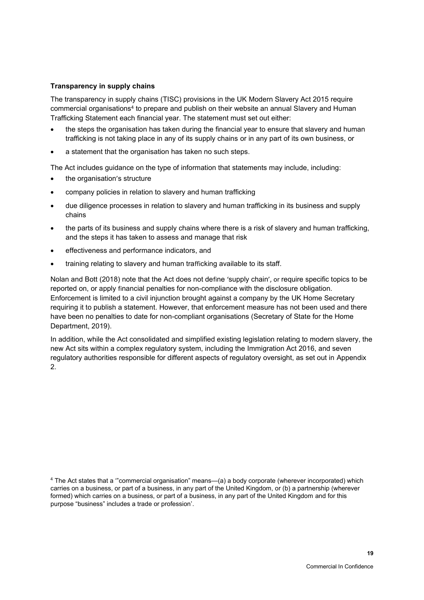### **Transparency in supply chains**

The transparency in supply chains (TISC) provisions in the UK Modern Slavery Act 2015 require commercial organisations<sup>4</sup> to prepare and publish on their website an annual Slavery and Human Trafficking Statement each financial year. The statement must set out either:

- the steps the organisation has taken during the financial year to ensure that slavery and human trafficking is not taking place in any of its supply chains or in any part of its own business, or
- a statement that the organisation has taken no such steps.

The Act includes guidance on the type of information that statements may include, including:

- the organisation's structure
- company policies in relation to slavery and human trafficking
- due diligence processes in relation to slavery and human trafficking in its business and supply chains
- the parts of its business and supply chains where there is a risk of slavery and human trafficking, and the steps it has taken to assess and manage that risk
- effectiveness and performance indicators, and
- training relating to slavery and human trafficking available to its staff.

Nolan and Bott (2018) note that the Act does not define 'supply chain', or require specific topics to be reported on, or apply financial penalties for non-compliance with the disclosure obligation. Enforcement is limited to a civil injunction brought against a company by the UK Home Secretary requiring it to publish a statement. However, that enforcement measure has not been used and there have been no penalties to date for non-compliant organisations (Secretary of State for the Home Department, 2019).

In addition, while the Act consolidated and simplified existing legislation relating to modern slavery, the new Act sits within a complex regulatory system, including the Immigration Act 2016, and seven regulatory authorities responsible for different aspects of regulatory oversight, as set out in [Appendix](#page-102-0)  [2.](#page-102-0)

<sup>4</sup> The Act states that a '"commercial organisation" means—(a) a body corporate (wherever incorporated) which carries on a business, or part of a business, in any part of the United Kingdom, or (b) a partnership (wherever formed) which carries on a business, or part of a business, in any part of the United Kingdom and for this purpose "business" includes a trade or profession'.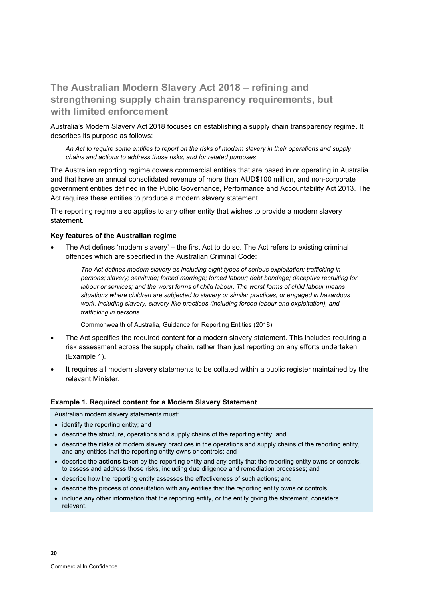## <span id="page-27-0"></span>**The Australian Modern Slavery Act 2018 – refining and strengthening supply chain transparency requirements, but with limited enforcement**

Australia's Modern Slavery Act 2018 focuses on establishing a supply chain transparency regime. It describes its purpose as follows:

*An Act to require some entities to report on the risks of modern slavery in their operations and supply chains and actions to address those risks, and for related purposes*

The Australian reporting regime covers commercial entities that are based in or operating in Australia and that have an annual consolidated revenue of more than AUD\$100 million, and non-corporate government entities defined in the Public Governance, Performance and Accountability Act 2013. The Act requires these entities to produce a modern slavery statement.

The reporting regime also applies to any other entity that wishes to provide a modern slavery statement.

#### **Key features of the Australian regime**

• The Act defines 'modern slavery' – the first Act to do so. The Act refers to existing criminal offences which are specified in the Australian Criminal Code:

*The Act defines modern slavery as including eight types of serious exploitation: trafficking in persons; slavery; servitude; forced marriage; forced labour; debt bondage; deceptive recruiting for labour or services; and the worst forms of child labour. The worst forms of child labour means situations where children are subjected to slavery or similar practices, or engaged in hazardous work. including slavery, slavery-like practices (including forced labour and exploitation), and trafficking in persons.* 

Commonwealth of Australia, Guidance for Reporting Entities (2018)

- The Act specifies the required content for a modern slavery statement. This includes requiring a risk assessment across the supply chain, rather than just reporting on any efforts undertaken [\(Example 1\)](#page-27-1).
- It requires all modern slavery statements to be collated within a public register maintained by the relevant Minister.

#### <span id="page-27-1"></span>**Example 1. Required content for a Modern Slavery Statement**

Australian modern slavery statements must:

- identify the reporting entity; and
- describe the structure, operations and supply chains of the reporting entity; and
- describe the **risks** of modern slavery practices in the operations and supply chains of the reporting entity, and any entities that the reporting entity owns or controls; and
- describe the **actions** taken by the reporting entity and any entity that the reporting entity owns or controls, to assess and address those risks, including due diligence and remediation processes; and
- describe how the reporting entity assesses the effectiveness of such actions; and
- describe the process of consultation with any entities that the reporting entity owns or controls
- include any other information that the reporting entity, or the entity giving the statement, considers relevant.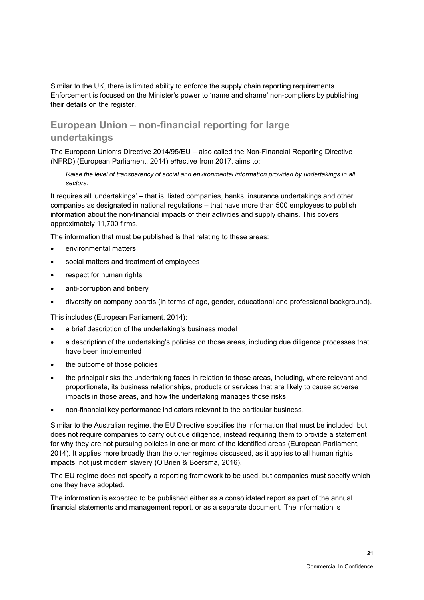Similar to the UK, there is limited ability to enforce the supply chain reporting requirements. Enforcement is focused on the Minister's power to 'name and shame' non-compliers by publishing their details on the register.

## <span id="page-28-0"></span>**European Union – non-financial reporting for large undertakings**

The European Union's Directive 2014/95/EU – also called the Non-Financial Reporting Directive (NFRD) (European Parliament, 2014) effective from 2017, aims to:

*Raise the level of transparency of social and environmental information provided by undertakings in all sectors.*

It requires all 'undertakings' – that is, listed companies, banks, insurance undertakings and other companies as designated in national regulations – that have more than 500 employees to publish information about the non-financial impacts of their activities and supply chains. This covers approximately 11,700 firms.

The information that must be published is that relating to these areas:

- environmental matters
- social matters and treatment of employees
- respect for human rights
- anti-corruption and bribery
- diversity on company boards (in terms of age, gender, educational and professional background).

This includes (European Parliament, 2014):

- a brief description of the undertaking's business model
- a description of the undertaking's policies on those areas, including due diligence processes that have been implemented
- the outcome of those policies
- the principal risks the undertaking faces in relation to those areas, including, where relevant and proportionate, its business relationships, products or services that are likely to cause adverse impacts in those areas, and how the undertaking manages those risks
- non-financial key performance indicators relevant to the particular business.

Similar to the Australian regime, the EU Directive specifies the information that must be included, but does not require companies to carry out due diligence, instead requiring them to provide a statement for why they are not pursuing policies in one or more of the identified areas (European Parliament, 2014). It applies more broadly than the other regimes discussed, as it applies to all human rights impacts, not just modern slavery (O'Brien & Boersma, 2016).

The EU regime does not specify a reporting framework to be used, but companies must specify which one they have adopted.

The information is expected to be published either as a consolidated report as part of the annual financial statements and management report, or as a separate document. The information is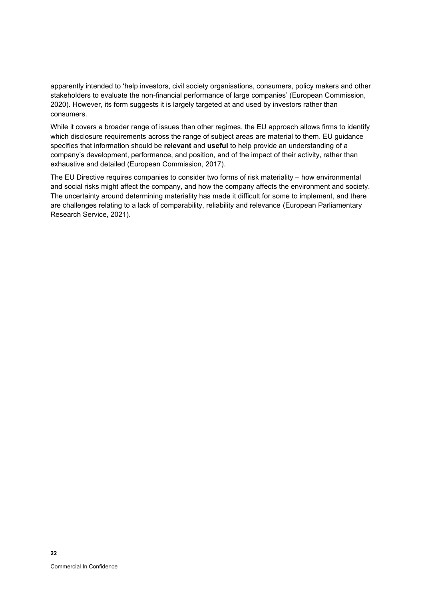apparently intended to 'help investors, civil society organisations, consumers, policy makers and other stakeholders to evaluate the non-financial performance of large companies' (European Commission, 2020). However, its form suggests it is largely targeted at and used by investors rather than consumers.

While it covers a broader range of issues than other regimes, the EU approach allows firms to identify which disclosure requirements across the range of subject areas are material to them. EU guidance specifies that information should be **relevant** and **useful** to help provide an understanding of a company's development, performance, and position, and of the impact of their activity, rather than exhaustive and detailed (European Commission, 2017).

The EU Directive requires companies to consider two forms of risk materiality – how environmental and social risks might affect the company, and how the company affects the environment and society. The uncertainty around determining materiality has made it difficult for some to implement, and there are challenges relating to a lack of comparability, reliability and relevance (European Parliamentary Research Service, 2021).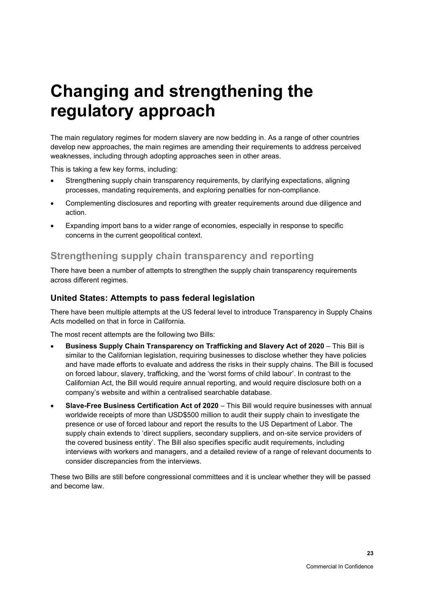# <span id="page-30-0"></span>**Changing and strengthening the regulatory approach**

The main regulatory regimes for modern slavery are now bedding in. As a range of other countries develop new approaches, the main regimes are amending their requirements to address perceived weaknesses, including through adopting approaches seen in other areas.

This is taking a few key forms, including:

- Strengthening supply chain transparency requirements, by clarifying expectations, aligning processes, mandating requirements, and exploring penalties for non-compliance.
- Complementing disclosures and reporting with greater requirements around due diligence and action.
- Expanding import bans to a wider range of economies, especially in response to specific concerns in the current geopolitical context.

### <span id="page-30-1"></span>**Strengthening supply chain transparency and reporting**

There have been a number of attempts to strengthen the supply chain transparency requirements across different regimes.

### <span id="page-30-2"></span>**United States: Attempts to pass federal legislation**

There have been multiple attempts at the US federal level to introduce Transparency in Supply Chains Acts modelled on that in force in California.

The most recent attempts are the following two Bills:

- **Business Supply Chain Transparency on Trafficking and Slavery Act of 2020** This Bill is similar to the Californian legislation, requiring businesses to disclose whether they have policies and have made efforts to evaluate and address the risks in their supply chains. The Bill is focused on forced labour, slavery, trafficking, and the 'worst forms of child labour'. In contrast to the Californian Act, the Bill would require annual reporting, and would require disclosure both on a company's website and within a centralised searchable database.
- **Slave-Free Business Certification Act of 2020** This Bill would require businesses with annual worldwide receipts of more than USD\$500 million to audit their supply chain to investigate the presence or use of forced labour and report the results to the US Department of Labor. The supply chain extends to 'direct suppliers, secondary suppliers, and on-site service providers of the covered business entity'. The Bill also specifies specific audit requirements, including interviews with workers and managers, and a detailed review of a range of relevant documents to consider discrepancies from the interviews.

These two Bills are still before congressional committees and it is unclear whether they will be passed and become law.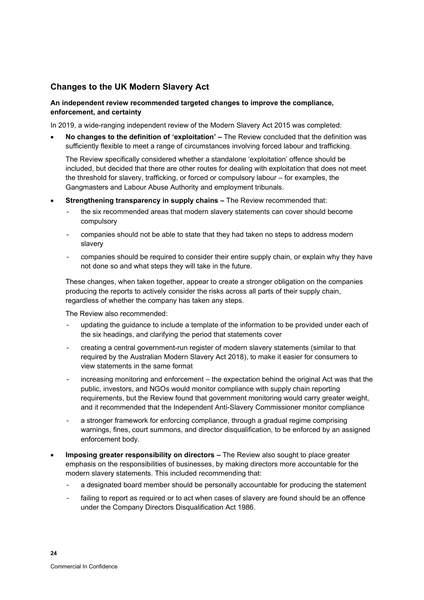### <span id="page-31-0"></span>**Changes to the UK Modern Slavery Act**

### **An independent review recommended targeted changes to improve the compliance, enforcement, and certainty**

In 2019, a wide-ranging independent review of the Modern Slavery Act 2015 was completed:

• **No changes to the definition of 'exploitation' –** The Review concluded that the definition was sufficiently flexible to meet a range of circumstances involving forced labour and trafficking.

The Review specifically considered whether a standalone 'exploitation' offence should be included, but decided that there are other routes for dealing with exploitation that does not meet the threshold for slavery, trafficking, or forced or compulsory labour – for examples, the Gangmasters and Labour Abuse Authority and employment tribunals.

- **Strengthening transparency in supply chains –** The Review recommended that:
	- the six recommended areas that modern slavery statements can cover should become compulsory
	- companies should not be able to state that they had taken no steps to address modern slavery
	- companies should be required to consider their entire supply chain, or explain why they have not done so and what steps they will take in the future.

These changes, when taken together, appear to create a stronger obligation on the companies producing the reports to actively consider the risks across all parts of their supply chain, regardless of whether the company has taken any steps.

The Review also recommended:

- updating the quidance to include a template of the information to be provided under each of the six headings, and clarifying the period that statements cover
- creating a central government-run register of modern slavery statements (similar to that required by the Australian Modern Slavery Act 2018), to make it easier for consumers to view statements in the same format
- increasing monitoring and enforcement the expectation behind the original Act was that the public, investors, and NGOs would monitor compliance with supply chain reporting requirements, but the Review found that government monitoring would carry greater weight, and it recommended that the Independent Anti-Slavery Commissioner monitor compliance
- a stronger framework for enforcing compliance, through a gradual regime comprising warnings, fines, court summons, and director disqualification, to be enforced by an assigned enforcement body.
- **Imposing greater responsibility on directors –** The Review also sought to place greater emphasis on the responsibilities of businesses, by making directors more accountable for the modern slavery statements. This included recommending that:
	- a designated board member should be personally accountable for producing the statement
	- failing to report as required or to act when cases of slavery are found should be an offence under the Company Directors Disqualification Act 1986*.*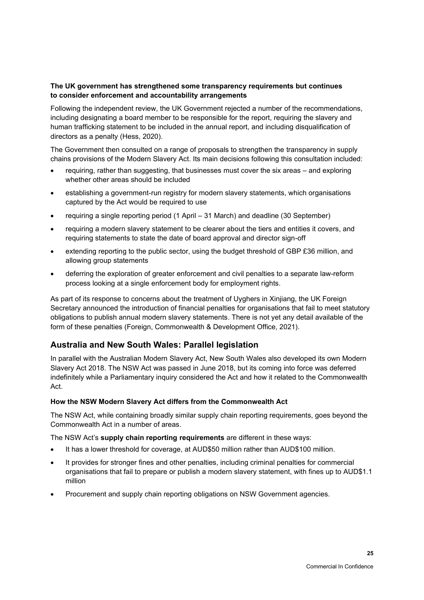### **The UK government has strengthened some transparency requirements but continues to consider enforcement and accountability arrangements**

Following the independent review, the UK Government rejected a number of the recommendations, including designating a board member to be responsible for the report, requiring the slavery and human trafficking statement to be included in the annual report, and including disqualification of directors as a penalty (Hess, 2020).

The Government then consulted on a range of proposals to strengthen the transparency in supply chains provisions of the Modern Slavery Act. Its main decisions following this consultation included:

- requiring, rather than suggesting, that businesses must cover the six areas and exploring whether other areas should be included
- establishing a government-run registry for modern slavery statements, which organisations captured by the Act would be required to use
- requiring a single reporting period (1 April 31 March) and deadline (30 September)
- requiring a modern slavery statement to be clearer about the tiers and entities it covers, and requiring statements to state the date of board approval and director sign-off
- extending reporting to the public sector, using the budget threshold of GBP £36 million, and allowing group statements
- deferring the exploration of greater enforcement and civil penalties to a separate law-reform process looking at a single enforcement body for employment rights.

As part of its response to concerns about the treatment of Uyghers in Xinjiang, the UK Foreign Secretary announced the introduction of financial penalties for organisations that fail to meet statutory obligations to publish annual modern slavery statements. There is not yet any detail available of the form of these penalties (Foreign, Commonwealth & Development Office, 2021).

### <span id="page-32-0"></span>**Australia and New South Wales: Parallel legislation**

In parallel with the Australian Modern Slavery Act, New South Wales also developed its own Modern Slavery Act 2018. The NSW Act was passed in June 2018, but its coming into force was deferred indefinitely while a Parliamentary inquiry considered the Act and how it related to the Commonwealth Act.

### **How the NSW Modern Slavery Act differs from the Commonwealth Act**

The NSW Act, while containing broadly similar supply chain reporting requirements, goes beyond the Commonwealth Act in a number of areas.

The NSW Act's **supply chain reporting requirements** are different in these ways:

- It has a lower threshold for coverage, at AUD\$50 million rather than AUD\$100 million.
- It provides for stronger fines and other penalties, including criminal penalties for commercial organisations that fail to prepare or publish a modern slavery statement, with fines up to AUD\$1.1 million
- Procurement and supply chain reporting obligations on NSW Government agencies.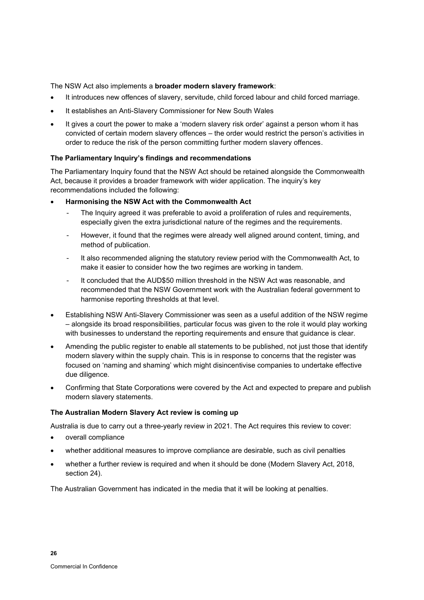The NSW Act also implements a **broader modern slavery framework**:

- It introduces new offences of slavery, servitude, child forced labour and child forced marriage.
- It establishes an Anti-Slavery Commissioner for New South Wales
- It gives a court the power to make a 'modern slavery risk order' against a person whom it has convicted of certain modern slavery offences – the order would restrict the person's activities in order to reduce the risk of the person committing further modern slavery offences.

#### **The Parliamentary Inquiry's findings and recommendations**

The Parliamentary Inquiry found that the NSW Act should be retained alongside the Commonwealth Act, because it provides a broader framework with wider application. The inquiry's key recommendations included the following:

- **Harmonising the NSW Act with the Commonwealth Act** 
	- The Inquiry agreed it was preferable to avoid a proliferation of rules and requirements, especially given the extra jurisdictional nature of the regimes and the requirements.
	- However, it found that the regimes were already well aligned around content, timing, and method of publication.
	- It also recommended aligning the statutory review period with the Commonwealth Act, to make it easier to consider how the two regimes are working in tandem.
	- It concluded that the AUD\$50 million threshold in the NSW Act was reasonable, and recommended that the NSW Government work with the Australian federal government to harmonise reporting thresholds at that level.
- Establishing NSW Anti-Slavery Commissioner was seen as a useful addition of the NSW regime – alongside its broad responsibilities, particular focus was given to the role it would play working with businesses to understand the reporting requirements and ensure that guidance is clear.
- Amending the public register to enable all statements to be published, not just those that identify modern slavery within the supply chain. This is in response to concerns that the register was focused on 'naming and shaming' which might disincentivise companies to undertake effective due diligence.
- Confirming that State Corporations were covered by the Act and expected to prepare and publish modern slavery statements.

#### **The Australian Modern Slavery Act review is coming up**

Australia is due to carry out a three-yearly review in 2021. The Act requires this review to cover:

- overall compliance
- whether additional measures to improve compliance are desirable, such as civil penalties
- whether a further review is required and when it should be done (Modern Slavery Act, 2018, section 24).

The Australian Government has indicated in the media that it will be looking at penalties.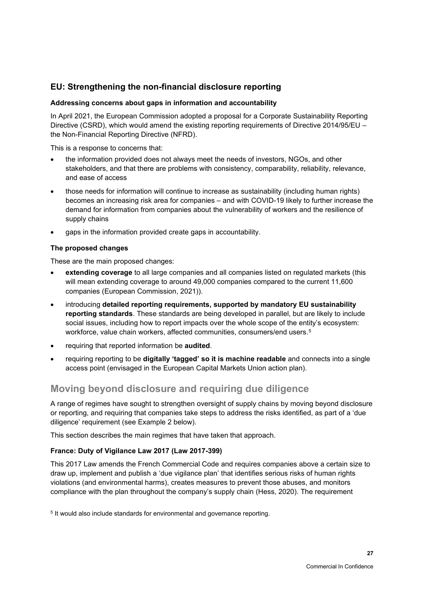### <span id="page-34-0"></span>**EU: Strengthening the non-financial disclosure reporting**

### **Addressing concerns about gaps in information and accountability**

In April 2021, the European Commission adopted a proposal for a Corporate Sustainability Reporting Directive (CSRD), which would amend the existing reporting requirements of Directive 2014/95/EU – the Non-Financial Reporting Directive (NFRD).

This is a response to concerns that:

- the information provided does not always meet the needs of investors, NGOs, and other stakeholders, and that there are problems with consistency, comparability, reliability, relevance, and ease of access
- those needs for information will continue to increase as sustainability (including human rights) becomes an increasing risk area for companies – and with COVID-19 likely to further increase the demand for information from companies about the vulnerability of workers and the resilience of supply chains
- gaps in the information provided create gaps in accountability.

### **The proposed changes**

These are the main proposed changes:

- **extending coverage** to all large companies and all companies listed on regulated markets (this will mean extending coverage to around 49,000 companies compared to the current 11,600 companies (European Commission, 2021)).
- introducing **detailed reporting requirements, supported by mandatory EU sustainability reporting standards**. These standards are being developed in parallel, but are likely to include social issues, including how to report impacts over the whole scope of the entity's ecosystem: workforce, value chain workers, affected communities, consumers/end users.<sup>5</sup>
- requiring that reported information be **audited**.
- requiring reporting to be **digitally 'tagged' so it is machine readable** and connects into a single access point (envisaged in the European Capital Markets Union action plan).

### <span id="page-34-1"></span>**Moving beyond disclosure and requiring due diligence**

A range of regimes have sought to strengthen oversight of supply chains by moving beyond disclosure or reporting, and requiring that companies take steps to address the risks identified, as part of a 'due diligence' requirement (see [Example 2](#page-35-0) below).

This section describes the main regimes that have taken that approach.

### **France: Duty of Vigilance Law 2017 (Law 2017-399)**

This 2017 Law amends the French Commercial Code and requires companies above a certain size to draw up, implement and publish a 'due vigilance plan' that identifies serious risks of human rights violations (and environmental harms), creates measures to prevent those abuses, and monitors compliance with the plan throughout the company's supply chain (Hess, 2020). The requirement

<sup>5</sup> It would also include standards for environmental and governance reporting.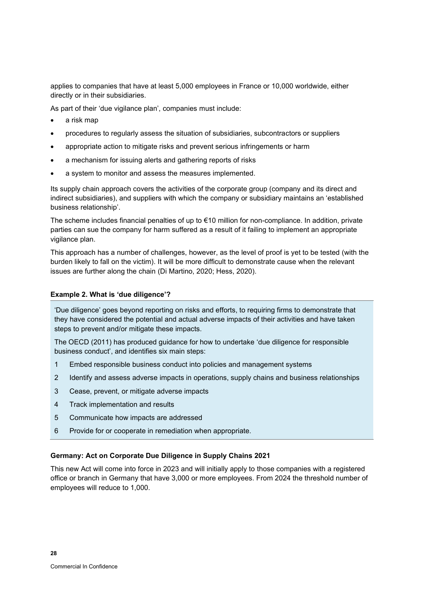applies to companies that have at least 5,000 employees in France or 10,000 worldwide, either directly or in their subsidiaries.

As part of their 'due vigilance plan', companies must include:

- a risk map
- procedures to regularly assess the situation of subsidiaries, subcontractors or suppliers
- appropriate action to mitigate risks and prevent serious infringements or harm
- a mechanism for issuing alerts and gathering reports of risks
- a system to monitor and assess the measures implemented.

Its supply chain approach covers the activities of the corporate group (company and its direct and indirect subsidiaries), and suppliers with which the company or subsidiary maintains an 'established business relationship'.

The scheme includes financial penalties of up to €10 million for non-compliance. In addition, private parties can sue the company for harm suffered as a result of it failing to implement an appropriate vigilance plan.

This approach has a number of challenges, however, as the level of proof is yet to be tested (with the burden likely to fall on the victim). It will be more difficult to demonstrate cause when the relevant issues are further along the chain (Di Martino, 2020; Hess, 2020).

#### <span id="page-35-0"></span>**Example 2. What is 'due diligence'?**

'Due diligence' goes beyond reporting on risks and efforts, to requiring firms to demonstrate that they have considered the potential and actual adverse impacts of their activities and have taken steps to prevent and/or mitigate these impacts.

The OECD (2011) has produced guidance for how to undertake 'due diligence for responsible business conduct', and identifies six main steps:

- 1 Embed responsible business conduct into policies and management systems
- 2 Identify and assess adverse impacts in operations, supply chains and business relationships
- 3 Cease, prevent, or mitigate adverse impacts
- 4 Track implementation and results
- 5 Communicate how impacts are addressed
- 6 Provide for or cooperate in remediation when appropriate.

### **Germany: Act on Corporate Due Diligence in Supply Chains 2021**

This new Act will come into force in 2023 and will initially apply to those companies with a registered office or branch in Germany that have 3,000 or more employees. From 2024 the threshold number of employees will reduce to 1,000.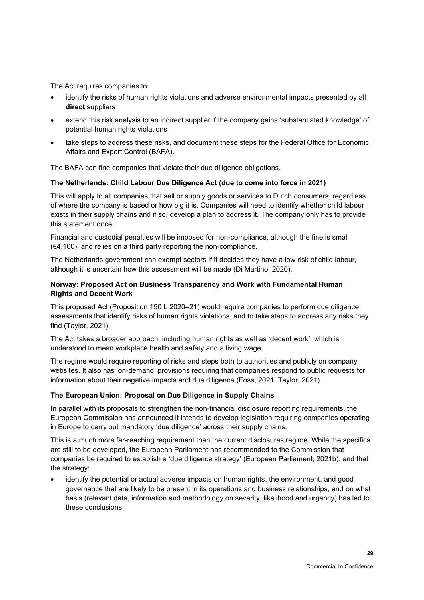The Act requires companies to:

- identify the risks of human rights violations and adverse environmental impacts presented by all **direct** suppliers
- extend this risk analysis to an indirect supplier if the company gains 'substantiated knowledge' of potential human rights violations
- take steps to address these risks, and document these steps for the Federal Office for Economic Affairs and Export Control (BAFA).

The BAFA can fine companies that violate their due diligence obligations.

### **The Netherlands: Child Labour Due Diligence Act (due to come into force in 2021)**

This will apply to all companies that sell or supply goods or services to Dutch consumers, regardless of where the company is based or how big it is. Companies will need to identify whether child labour exists in their supply chains and if so, develop a plan to address it. The company only has to provide this statement once.

Financial and custodial penalties will be imposed for non-compliance, although the fine is small (€4,100), and relies on a third party reporting the non-compliance.

The Netherlands government can exempt sectors if it decides they have a low risk of child labour, although it is uncertain how this assessment will be made (Di Martino, 2020).

### **Norway: Proposed Act on Business Transparency and Work with Fundamental Human Rights and Decent Work**

This proposed Act (Proposition 150 L 2020–21) would require companies to perform due diligence assessments that identify risks of human rights violations, and to take steps to address any risks they find (Taylor, 2021).

The Act takes a broader approach, including human rights as well as 'decent work', which is understood to mean workplace health and safety and a living wage.

The regime would require reporting of risks and steps both to authorities and publicly on company websites. It also has 'on-demand' provisions requiring that companies respond to public requests for information about their negative impacts and due diligence (Foss, 2021; Taylor, 2021).

#### **The European Union: Proposal on Due Diligence in Supply Chains**

In parallel with its proposals to strengthen the non-financial disclosure reporting requirements, the European Commission has announced it intends to develop legislation requiring companies operating in Europe to carry out mandatory 'due diligence' across their supply chains.

This is a much more far-reaching requirement than the current disclosures regime. While the specifics are still to be developed, the European Parliament has recommended to the Commission that companies be required to establish a 'due diligence strategy' (European Parliament, 2021b), and that the strategy:

identify the potential or actual adverse impacts on human rights, the environment, and good governance that are likely to be present in its operations and business relationships, and on what basis (relevant data, information and methodology on severity, likelihood and urgency) has led to these conclusions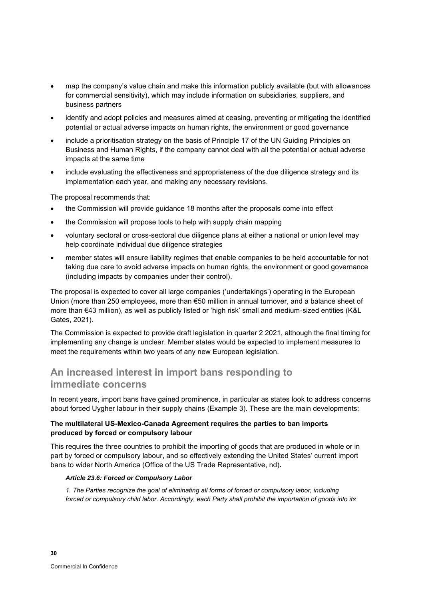- map the company's value chain and make this information publicly available (but with allowances for commercial sensitivity), which may include information on subsidiaries, suppliers, and business partners
- identify and adopt policies and measures aimed at ceasing, preventing or mitigating the identified potential or actual adverse impacts on human rights, the environment or good governance
- include a prioritisation strategy on the basis of Principle 17 of the UN Guiding Principles on Business and Human Rights, if the company cannot deal with all the potential or actual adverse impacts at the same time
- include evaluating the effectiveness and appropriateness of the due diligence strategy and its implementation each year, and making any necessary revisions.

The proposal recommends that:

- the Commission will provide guidance 18 months after the proposals come into effect
- the Commission will propose tools to help with supply chain mapping
- voluntary sectoral or cross-sectoral due diligence plans at either a national or union level may help coordinate individual due diligence strategies
- member states will ensure liability regimes that enable companies to be held accountable for not taking due care to avoid adverse impacts on human rights, the environment or good governance (including impacts by companies under their control).

The proposal is expected to cover all large companies ('undertakings') operating in the European Union (more than 250 employees, more than €50 million in annual turnover, and a balance sheet of more than €43 million), as well as publicly listed or 'high risk' small and medium-sized entities (K&L Gates, 2021).

The Commission is expected to provide draft legislation in quarter 2 2021, although the final timing for implementing any change is unclear. Member states would be expected to implement measures to meet the requirements within two years of any new European legislation.

# **An increased interest in import bans responding to immediate concerns**

In recent years, import bans have gained prominence, in particular as states look to address concerns about forced Uygher labour in their supply chains [\(Example 3\)](#page-38-0). These are the main developments:

### **The multilateral US-Mexico-Canada Agreement requires the parties to ban imports produced by forced or compulsory labour**

This requires the three countries to prohibit the importing of goods that are produced in whole or in part by forced or compulsory labour, and so effectively extending the United States' current import bans to wider North America (Office of the US Trade Representative, nd)**.**

#### *Article 23.6: Forced or Compulsory Labor*

*1. The Parties recognize the goal of eliminating all forms of forced or compulsory labor, including forced or compulsory child labor. Accordingly, each Party shall prohibit the importation of goods into its*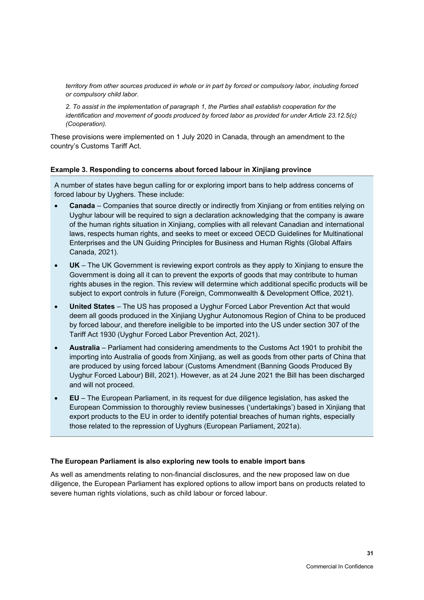*territory from other sources produced in whole or in part by forced or compulsory labor, including forced or compulsory child labor.* 

*2. To assist in the implementation of paragraph 1, the Parties shall establish cooperation for the identification and movement of goods produced by forced labor as provided for under Article 23.12.5(c) (Cooperation).*

These provisions were implemented on 1 July 2020 in Canada, through an amendment to the country's Customs Tariff Act.

#### <span id="page-38-0"></span>**Example 3. Responding to concerns about forced labour in Xinjiang province**

A number of states have begun calling for or exploring import bans to help address concerns of forced labour by Uyghers. These include:

- **Canada** Companies that source directly or indirectly from Xinjiang or from entities relying on Uyghur labour will be required to sign a declaration acknowledging that the company is aware of the human rights situation in Xinjiang, complies with all relevant Canadian and international laws, respects human rights, and seeks to meet or exceed OECD Guidelines for Multinational Enterprises and the UN Guiding Principles for Business and Human Rights (Global Affairs Canada, 2021).
- **UK**  The UK Government is reviewing export controls as they apply to Xinjiang to ensure the Government is doing all it can to prevent the exports of goods that may contribute to human rights abuses in the region. This review will determine which additional specific products will be subject to export controls in future (Foreign, Commonwealth & Development Office, 2021).
- **United States** The US has proposed a Uyghur Forced Labor Prevention Act that would deem all goods produced in the Xinjiang Uyghur Autonomous Region of China to be produced by forced labour, and therefore ineligible to be imported into the US under section 307 of the Tariff Act 1930 (Uyghur Forced Labor Prevention Act, 2021).
- **Australia** Parliament had considering amendments to the Customs Act 1901 to prohibit the importing into Australia of goods from Xinjiang, as well as goods from other parts of China that are produced by using forced labour (Customs Amendment (Banning Goods Produced By Uyghur Forced Labour) Bill, 2021). However, as at 24 June 2021 the Bill has been discharged and will not proceed.
- **EU** The European Parliament, in its request for due diligence legislation, has asked the European Commission to thoroughly review businesses ('undertakings') based in Xinjiang that export products to the EU in order to identify potential breaches of human rights, especially those related to the repression of Uyghurs (European Parliament, 2021a).

#### **The European Parliament is also exploring new tools to enable import bans**

As well as amendments relating to non-financial disclosures, and the new proposed law on due diligence, the European Parliament has explored options to allow import bans on products related to severe human rights violations, such as child labour or forced labour.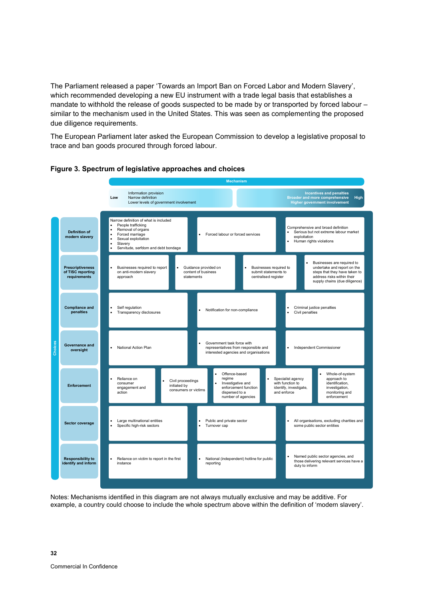The Parliament released a paper 'Towards an Import Ban on Forced Labor and Modern Slavery', which recommended developing a new EU instrument with a trade legal basis that establishes a mandate to withhold the release of goods suspected to be made by or transported by forced labour – similar to the mechanism used in the United States. This was seen as complementing the proposed due diligence requirements.

The European Parliament later asked the European Commission to develop a legislative proposal to trace and ban goods procured through forced labour.





Notes: Mechanisms identified in this diagram are not always mutually exclusive and may be additive. For example, a country could choose to include the whole spectrum above within the definition of 'modern slavery'.

**32**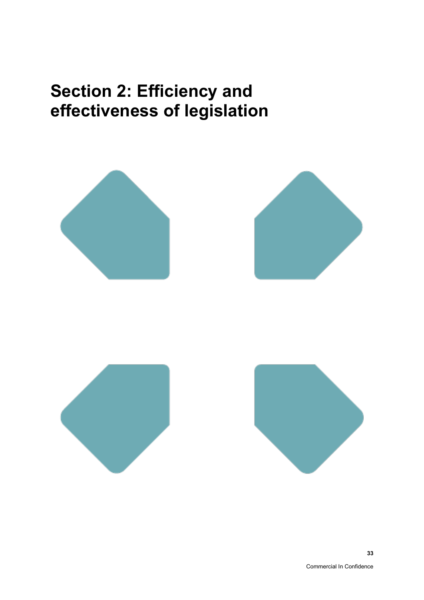# **Section 2: Efficiency and effectiveness of legislation**

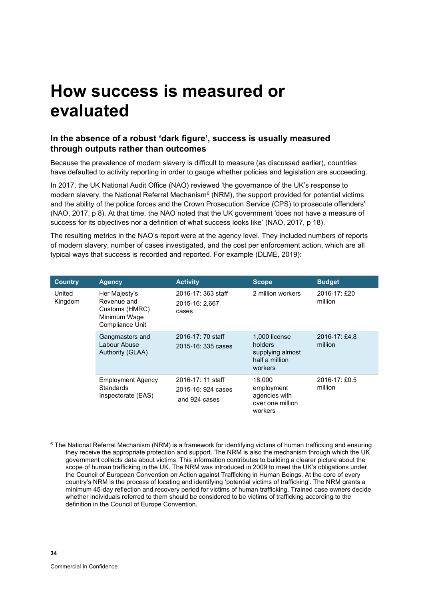# **How success is measured or evaluated**

## **In the absence of a robust 'dark figure', success is usually measured through outputs rather than outcomes**

Because the prevalence of modern slavery is difficult to measure (as discussed earlier), countries have defaulted to activity reporting in order to gauge whether policies and legislation are succeeding.

In 2017, the UK National Audit Office (NAO) reviewed 'the governance of the UK's response to modern slavery, the National Referral Mechanism $^6$  (NRM), the support provided for potential victims and the ability of the police forces and the Crown Prosecution Service (CPS) to prosecute offenders' (NAO, 2017, p 8). At that time, the NAO noted that the UK government 'does not have a measure of success for its objectives nor a definition of what success looks like' (NAO, 2017, p 18).

The resulting metrics in the NAO's report were at the agency level. They included numbers of reports of modern slavery, number of cases investigated, and the cost per enforcement action, which are all typical ways that success is recorded and reported. For example (DLME, 2019):

| <b>Country</b>    | <b>Agency</b>                                                                     | <b>Activity</b>                                          | <b>Scope</b>                                                              | <b>Budget</b>                 |
|-------------------|-----------------------------------------------------------------------------------|----------------------------------------------------------|---------------------------------------------------------------------------|-------------------------------|
| United<br>Kingdom | Her Majesty's<br>Revenue and<br>Customs (HMRC)<br>Minimum Wage<br>Compliance Unit | 2016-17: 363 staff<br>2015-16: 2,667<br>cases            | 2 million workers                                                         | 2016-17: £20<br>million       |
|                   | Gangmasters and<br>Labour Abuse<br>Authority (GLAA)                               | 2016-17: 70 staff<br>$2015 - 16: 335 \text{ cases}$      | 1,000 license<br>holders<br>supplying almost<br>half a million<br>workers | $2016 - 17$ : £4.8<br>million |
|                   | <b>Employment Agency</b><br><b>Standards</b><br>Inspectorate (EAS)                | 2016-17: 11 staff<br>2015-16: 924 cases<br>and 924 cases | 18,000<br>employment<br>agencies with<br>over one million<br>workers      | $2016 - 17$ : £0.5<br>million |

<sup>6</sup> The National Referral Mechanism (NRM) is a framework for identifying victims of human trafficking and ensuring they receive the appropriate protection and support. The NRM is also the mechanism through which the UK government collects data about victims. This information contributes to building a clearer picture about the scope of human trafficking in the UK. The NRM was introduced in 2009 to meet the UK's obligations under the Council of European Convention on Action against Trafficking in Human Beings. At the core of every country's NRM is the process of locating and identifying 'potential victims of trafficking'. The NRM grants a minimum 45-day reflection and recovery period for victims of human trafficking. Trained case owners decide whether individuals referred to them should be considered to be victims of trafficking according to the definition in the Council of Europe Convention.

**34**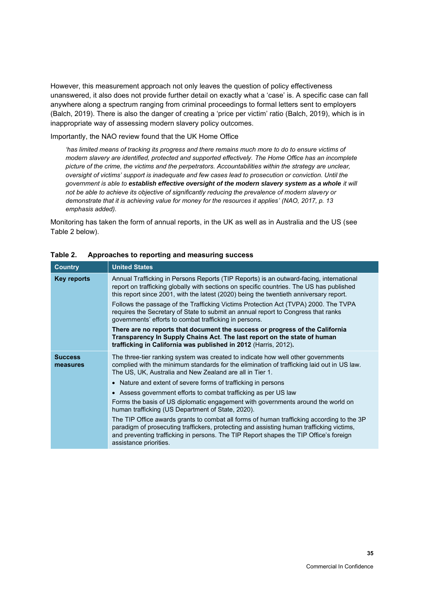However, this measurement approach not only leaves the question of policy effectiveness unanswered, it also does not provide further detail on exactly what a 'case' is. A specific case can fall anywhere along a spectrum ranging from criminal proceedings to formal letters sent to employers (Balch, 2019). There is also the danger of creating a 'price per victim' ratio (Balch, 2019), which is in inappropriate way of assessing modern slavery policy outcomes.

Importantly, the NAO review found that the UK Home Office

*'has limited means of tracking its progress and there remains much more to do to ensure victims of modern slavery are identified, protected and supported effectively. The Home Office has an incomplete picture of the crime, the victims and the perpetrators. Accountabilities within the strategy are unclear, oversight of victims' support is inadequate and few cases lead to prosecution or conviction. Until the government is able to establish effective oversight of the modern slavery system as a whole it will not be able to achieve its objective of significantly reducing the prevalence of modern slavery or demonstrate that it is achieving value for money for the resources it applies' (NAO, 2017, p. 13 emphasis added).*

Monitoring has taken the form of annual reports, in the UK as well as in Australia and the US (see [Table 2](#page-42-0) below).

| <b>Country</b>             | <b>United States</b>                                                                                                                                                                                                                                                                                                                                                                                                                                                                                                                                                                                                                                                                                                                                                                                                                |
|----------------------------|-------------------------------------------------------------------------------------------------------------------------------------------------------------------------------------------------------------------------------------------------------------------------------------------------------------------------------------------------------------------------------------------------------------------------------------------------------------------------------------------------------------------------------------------------------------------------------------------------------------------------------------------------------------------------------------------------------------------------------------------------------------------------------------------------------------------------------------|
| Key reports                | Annual Trafficking in Persons Reports (TIP Reports) is an outward-facing, international<br>report on trafficking globally with sections on specific countries. The US has published<br>this report since 2001, with the latest (2020) being the twentieth anniversary report.<br>Follows the passage of the Trafficking Victims Protection Act (TVPA) 2000. The TVPA<br>requires the Secretary of State to submit an annual report to Congress that ranks<br>governments' efforts to combat trafficking in persons.<br>There are no reports that document the success or progress of the California<br>Transparency In Supply Chains Act. The last report on the state of human<br>trafficking in California was published in 2012 (Harris, 2012).                                                                                  |
| <b>Success</b><br>measures | The three-tier ranking system was created to indicate how well other governments<br>complied with the minimum standards for the elimination of trafficking laid out in US law.<br>The US, UK, Australia and New Zealand are all in Tier 1.<br>• Nature and extent of severe forms of trafficking in persons<br>• Assess government efforts to combat trafficking as per US law<br>Forms the basis of US diplomatic engagement with governments around the world on<br>human trafficking (US Department of State, 2020).<br>The TIP Office awards grants to combat all forms of human trafficking according to the 3P<br>paradigm of prosecuting traffickers, protecting and assisting human trafficking victims,<br>and preventing trafficking in persons. The TIP Report shapes the TIP Office's foreign<br>assistance priorities. |

### <span id="page-42-0"></span>**Table 2. Approaches to reporting and measuring success**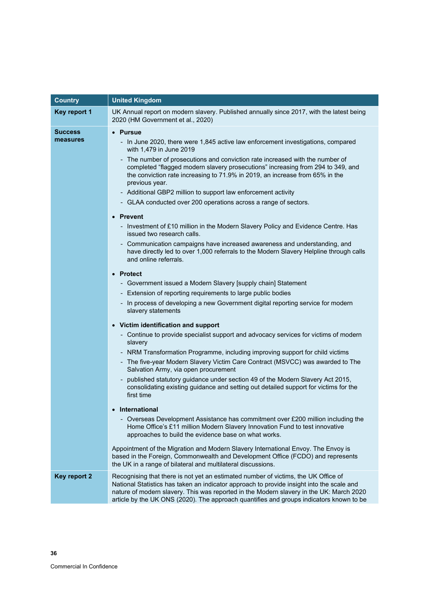| <b>Country</b> | <b>United Kingdom</b>                                                                                                                                                                                                                                                                                                                                                 |  |  |
|----------------|-----------------------------------------------------------------------------------------------------------------------------------------------------------------------------------------------------------------------------------------------------------------------------------------------------------------------------------------------------------------------|--|--|
| Key report 1   | UK Annual report on modern slavery. Published annually since 2017, with the latest being<br>2020 (HM Government et al., 2020)                                                                                                                                                                                                                                         |  |  |
| <b>Success</b> | <b>Pursue</b>                                                                                                                                                                                                                                                                                                                                                         |  |  |
| measures       | - In June 2020, there were 1,845 active law enforcement investigations, compared<br>with 1,479 in June 2019                                                                                                                                                                                                                                                           |  |  |
|                | - The number of prosecutions and conviction rate increased with the number of<br>completed "flagged modern slavery prosecutions" increasing from 294 to 349, and<br>the conviction rate increasing to 71.9% in 2019, an increase from 65% in the<br>previous year.                                                                                                    |  |  |
|                | - Additional GBP2 million to support law enforcement activity                                                                                                                                                                                                                                                                                                         |  |  |
|                | - GLAA conducted over 200 operations across a range of sectors.                                                                                                                                                                                                                                                                                                       |  |  |
|                | <b>Prevent</b>                                                                                                                                                                                                                                                                                                                                                        |  |  |
|                | - Investment of £10 million in the Modern Slavery Policy and Evidence Centre. Has<br>issued two research calls.                                                                                                                                                                                                                                                       |  |  |
|                | Communication campaigns have increased awareness and understanding, and<br>$\overline{\phantom{0}}$<br>have directly led to over 1,000 referrals to the Modern Slavery Helpline through calls<br>and online referrals.                                                                                                                                                |  |  |
|                | <b>Protect</b><br>$\bullet$                                                                                                                                                                                                                                                                                                                                           |  |  |
|                | - Government issued a Modern Slavery [supply chain] Statement                                                                                                                                                                                                                                                                                                         |  |  |
|                | - Extension of reporting requirements to large public bodies                                                                                                                                                                                                                                                                                                          |  |  |
|                | - In process of developing a new Government digital reporting service for modern<br>slavery statements                                                                                                                                                                                                                                                                |  |  |
|                | • Victim identification and support                                                                                                                                                                                                                                                                                                                                   |  |  |
|                | - Continue to provide specialist support and advocacy services for victims of modern<br>slavery                                                                                                                                                                                                                                                                       |  |  |
|                | - NRM Transformation Programme, including improving support for child victims                                                                                                                                                                                                                                                                                         |  |  |
|                | - The five-year Modern Slavery Victim Care Contract (MSVCC) was awarded to The<br>Salvation Army, via open procurement                                                                                                                                                                                                                                                |  |  |
|                | published statutory guidance under section 49 of the Modern Slavery Act 2015,<br>consolidating existing guidance and setting out detailed support for victims for the<br>first time                                                                                                                                                                                   |  |  |
|                | International                                                                                                                                                                                                                                                                                                                                                         |  |  |
|                | Overseas Development Assistance has commitment over £200 million including the<br>Home Office's £11 million Modern Slavery Innovation Fund to test innovative<br>approaches to build the evidence base on what works.                                                                                                                                                 |  |  |
|                | Appointment of the Migration and Modern Slavery International Envoy. The Envoy is<br>based in the Foreign, Commonwealth and Development Office (FCDO) and represents<br>the UK in a range of bilateral and multilateral discussions.                                                                                                                                  |  |  |
| Key report 2   | Recognising that there is not yet an estimated number of victims, the UK Office of<br>National Statistics has taken an indicator approach to provide insight into the scale and<br>nature of modern slavery. This was reported in the Modern slavery in the UK: March 2020<br>article by the UK ONS (2020). The approach quantifies and groups indicators known to be |  |  |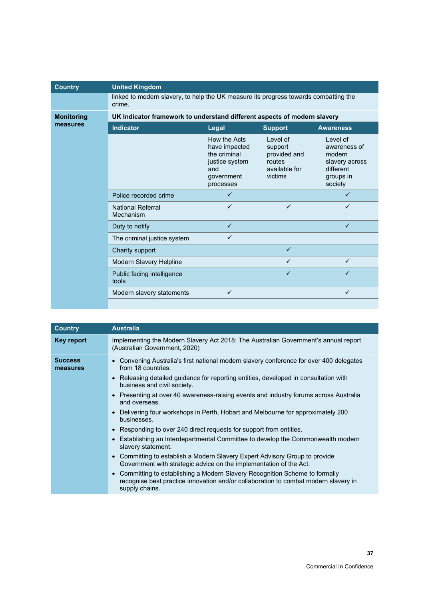| <b>Country</b>    | <b>United Kingdom</b>                                                                          |                                                                                                   |                                                                            |                                                                                           |
|-------------------|------------------------------------------------------------------------------------------------|---------------------------------------------------------------------------------------------------|----------------------------------------------------------------------------|-------------------------------------------------------------------------------------------|
|                   | linked to modern slavery, to help the UK measure its progress towards combatting the<br>crime. |                                                                                                   |                                                                            |                                                                                           |
| <b>Monitoring</b> | UK Indicator framework to understand different aspects of modern slavery                       |                                                                                                   |                                                                            |                                                                                           |
| measures          | <b>Indicator</b>                                                                               | Legal                                                                                             | <b>Support</b>                                                             | <b>Awareness</b>                                                                          |
|                   |                                                                                                | How the Acts<br>have impacted<br>the criminal<br>justice system<br>and<br>government<br>processes | I evel of<br>support<br>provided and<br>routes<br>available for<br>victims | Level of<br>awareness of<br>modern<br>slavery across<br>different<br>groups in<br>society |
|                   | Police recorded crime                                                                          | $\checkmark$                                                                                      |                                                                            | ✓                                                                                         |
|                   | <b>National Referral</b><br>Mechanism                                                          | ✓                                                                                                 | ✓                                                                          | ✓                                                                                         |
|                   | Duty to notify                                                                                 | $\checkmark$                                                                                      |                                                                            | $\checkmark$                                                                              |
|                   | The criminal justice system                                                                    | ✓                                                                                                 |                                                                            |                                                                                           |
|                   | Charity support                                                                                |                                                                                                   | $\checkmark$                                                               |                                                                                           |
|                   | Modern Slavery Helpline                                                                        |                                                                                                   | ✓                                                                          | $\checkmark$                                                                              |
|                   | Public facing intelligence<br>tools                                                            |                                                                                                   | $\checkmark$                                                               | $\checkmark$                                                                              |
|                   | Modern slavery statements                                                                      | ✓                                                                                                 |                                                                            | $\checkmark$                                                                              |
|                   |                                                                                                |                                                                                                   |                                                                            |                                                                                           |

| <b>Country</b>             | <b>Australia</b>                                                                                                                                                                                                                                                                                                                                                                                                                                                                                                                                                                                                                                                                                                                                                                                                                                                                                                                                                                                          |
|----------------------------|-----------------------------------------------------------------------------------------------------------------------------------------------------------------------------------------------------------------------------------------------------------------------------------------------------------------------------------------------------------------------------------------------------------------------------------------------------------------------------------------------------------------------------------------------------------------------------------------------------------------------------------------------------------------------------------------------------------------------------------------------------------------------------------------------------------------------------------------------------------------------------------------------------------------------------------------------------------------------------------------------------------|
| Key report                 | Implementing the Modern Slavery Act 2018: The Australian Government's annual report<br>(Australian Government, 2020)                                                                                                                                                                                                                                                                                                                                                                                                                                                                                                                                                                                                                                                                                                                                                                                                                                                                                      |
| <b>Success</b><br>measures | • Convening Australia's first national modern slavery conference for over 400 delegates<br>from 18 countries.<br>Releasing detailed guidance for reporting entities, developed in consultation with<br>business and civil society.<br>Presenting at over 40 awareness-raising events and industry forums across Australia<br>and overseas.<br>Delivering four workshops in Perth, Hobart and Melbourne for approximately 200<br>$\bullet$<br>businesses.<br>Responding to over 240 direct requests for support from entities.<br>$\bullet$<br>Establishing an Interdepartmental Committee to develop the Commonwealth modern<br>$\bullet$<br>slavery statement.<br>Committing to establish a Modern Slavery Expert Advisory Group to provide<br>Government with strategic advice on the implementation of the Act.<br>Committing to establishing a Modern Slavery Recognition Scheme to formally<br>recognise best practice innovation and/or collaboration to combat modern slavery in<br>supply chains. |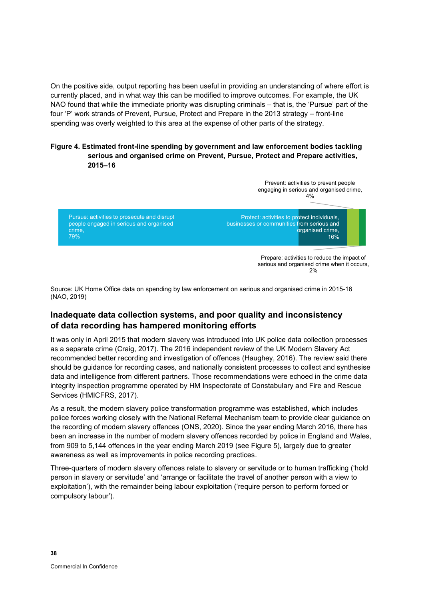On the positive side, output reporting has been useful in providing an understanding of where effort is currently placed, and in what way this can be modified to improve outcomes. For example, the UK NAO found that while the immediate priority was disrupting criminals – that is, the 'Pursue' part of the four 'P' work strands of Prevent, Pursue, Protect and Prepare in the 2013 strategy – front-line spending was overly weighted to this area at the expense of other parts of the strategy.

### **Figure 4. Estimated front-line spending by government and law enforcement bodies tackling serious and organised crime on Prevent, Pursue, Protect and Prepare activities, 2015–16**



Source: UK Home Office data on spending by law enforcement on serious and organised crime in 2015-16 (NAO, 2019)

# **Inadequate data collection systems, and poor quality and inconsistency of data recording has hampered monitoring efforts**

It was only in April 2015 that modern slavery was introduced into UK police data collection processes as a separate crime (Craig, 2017). The 2016 independent review of the UK Modern Slavery Act recommended better recording and investigation of offences (Haughey, 2016). The review said there should be guidance for recording cases, and nationally consistent processes to collect and synthesise data and intelligence from different partners. Those recommendations were echoed in the crime data integrity inspection programme operated by HM Inspectorate of Constabulary and Fire and Rescue Services (HMICFRS, 2017).

As a result, the modern slavery police transformation programme was established, which includes police forces working closely with the National Referral Mechanism team to provide clear guidance on the recording of modern slavery offences (ONS, 2020). Since the year ending March 2016, there has been an increase in the number of modern slavery offences recorded by police in England and Wales, from 909 to 5,144 offences in the year ending March 2019 (se[e Figure 5\)](#page-46-0), largely due to greater awareness as well as improvements in police recording practices.

Three-quarters of modern slavery offences relate to slavery or servitude or to human trafficking ('hold person in slavery or servitude' and 'arrange or facilitate the travel of another person with a view to exploitation'), with the remainder being labour exploitation ('require person to perform forced or compulsory labour').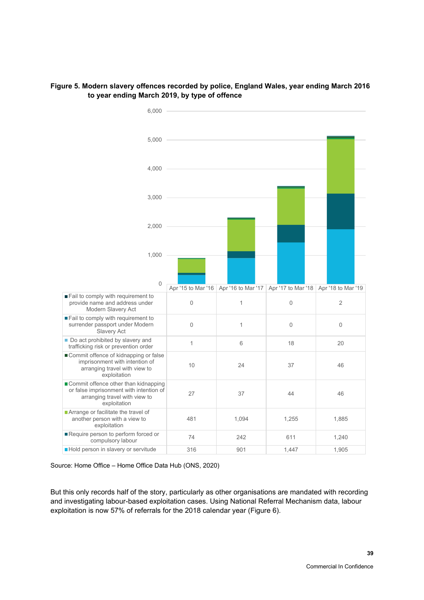

### <span id="page-46-0"></span>**Figure 5. Modern slavery offences recorded by police, England Wales, year ending March 2016 to year ending March 2019, by type of offence**

Source: Home Office – Home Office Data Hub (ONS, 2020)

But this only records half of the story, particularly as other organisations are mandated with recording and investigating labour-based exploitation cases. Using National Referral Mechanism data, labour exploitation is now 57% of referrals for the 2018 calendar year [\(Figure 6\)](#page-47-0).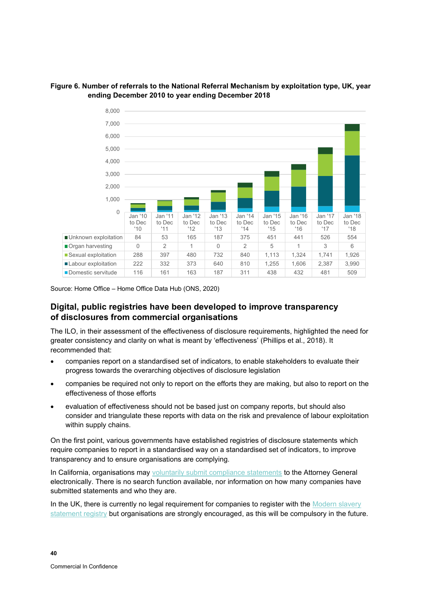

### <span id="page-47-0"></span>**Figure 6. Number of referrals to the National Referral Mechanism by exploitation type, UK, year ending December 2010 to year ending December 2018**

Source: Home Office – Home Office Data Hub (ONS, 2020)

# **Digital, public registries have been developed to improve transparency of disclosures from commercial organisations**

The ILO, in their assessment of the effectiveness of disclosure requirements, highlighted the need for greater consistency and clarity on what is meant by 'effectiveness' (Phillips et al., 2018). It recommended that:

- companies report on a standardised set of indicators, to enable stakeholders to evaluate their progress towards the overarching objectives of disclosure legislation
- companies be required not only to report on the efforts they are making, but also to report on the effectiveness of those efforts
- evaluation of effectiveness should not be based just on company reports, but should also consider and triangulate these reports with data on the risk and prevalence of labour exploitation within supply chains.

On the first point, various governments have established registries of disclosure statements which require companies to report in a standardised way on a standardised set of indicators, to improve transparency and to ensure organisations are complying.

In California, organisations may [voluntarily submit compliance statements](https://oag.ca.gov/sb657/submission) to the Attorney General electronically. There is no search function available, nor information on how many companies have submitted statements and who they are.

In the UK, there is currently no legal requirement for companies to register with the Modern slavery [statement registry](https://modern-slavery-statement-registry.service.gov.uk/) but organisations are strongly encouraged, as this will be compulsory in the future.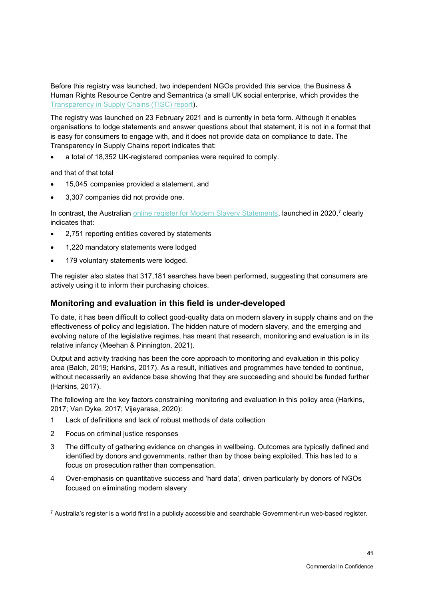Before this registry was launched, two independent NGOs provided this service, the Business & Human Rights Resource Centre and Semantrica (a small UK social enterprise, which provides the [Transparency in Supply Chains \(TISC\) report\)](https://tiscreport.org/).

The registry was launched on 23 February 2021 and is currently in beta form. Although it enables organisations to lodge statements and answer questions about that statement, it is not in a format that is easy for consumers to engage with, and it does not provide data on compliance to date. The Transparency in Supply Chains report indicates that:

• a total of 18,352 UK-registered companies were required to comply.

and that of that total

- 15,045 companies provided a statement, and
- 3,307 companies did not provide one.

In contrast, the Australian <u>online register for Modern Slavery Statements</u>, launched in 2020,<sup>7</sup> clearly indicates that:

- 2,751 reporting entities covered by statements
- 1,220 mandatory statements were lodged
- 179 voluntary statements were lodged.

The register also states that 317,181 searches have been performed, suggesting that consumers are actively using it to inform their purchasing choices.

## **Monitoring and evaluation in this field is under-developed**

To date, it has been difficult to collect good-quality data on modern slavery in supply chains and on the effectiveness of policy and legislation. The hidden nature of modern slavery, and the emerging and evolving nature of the legislative regimes, has meant that research, monitoring and evaluation is in its relative infancy (Meehan & Pinnington, 2021).

Output and activity tracking has been the core approach to monitoring and evaluation in this policy area (Balch, 2019; Harkins, 2017). As a result, initiatives and programmes have tended to continue, without necessarily an evidence base showing that they are succeeding and should be funded further (Harkins, 2017).

The following are the key factors constraining monitoring and evaluation in this policy area (Harkins, 2017; Van Dyke, 2017; Vijeyarasa, 2020):

- 1 Lack of definitions and lack of robust methods of data collection
- 2 Focus on criminal justice responses
- 3 The difficulty of gathering evidence on changes in wellbeing. Outcomes are typically defined and identified by donors and governments, rather than by those being exploited. This has led to a focus on prosecution rather than compensation.
- 4 Over-emphasis on quantitative success and 'hard data', driven particularly by donors of NGOs focused on eliminating modern slavery

<sup>7</sup> Australia's register is a world first in a publicly accessible and searchable Government-run web-based register.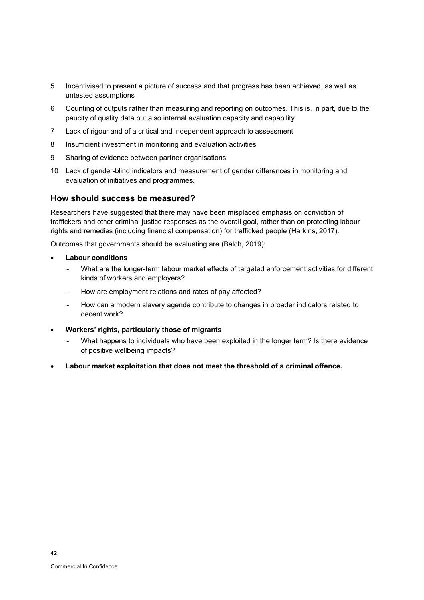- 5 Incentivised to present a picture of success and that progress has been achieved, as well as untested assumptions
- 6 Counting of outputs rather than measuring and reporting on outcomes. This is, in part, due to the paucity of quality data but also internal evaluation capacity and capability
- 7 Lack of rigour and of a critical and independent approach to assessment
- 8 Insufficient investment in monitoring and evaluation activities
- 9 Sharing of evidence between partner organisations
- 10 Lack of gender-blind indicators and measurement of gender differences in monitoring and evaluation of initiatives and programmes.

### **How should success be measured?**

Researchers have suggested that there may have been misplaced emphasis on conviction of traffickers and other criminal justice responses as the overall goal, rather than on protecting labour rights and remedies (including financial compensation) for trafficked people (Harkins, 2017).

Outcomes that governments should be evaluating are (Balch, 2019):

- **Labour conditions**
	- What are the longer-term labour market effects of targeted enforcement activities for different kinds of workers and employers?
	- How are employment relations and rates of pay affected?
	- How can a modern slavery agenda contribute to changes in broader indicators related to decent work?
- **Workers' rights, particularly those of migrants**
	- What happens to individuals who have been exploited in the longer term? Is there evidence of positive wellbeing impacts?
- **Labour market exploitation that does not meet the threshold of a criminal offence.**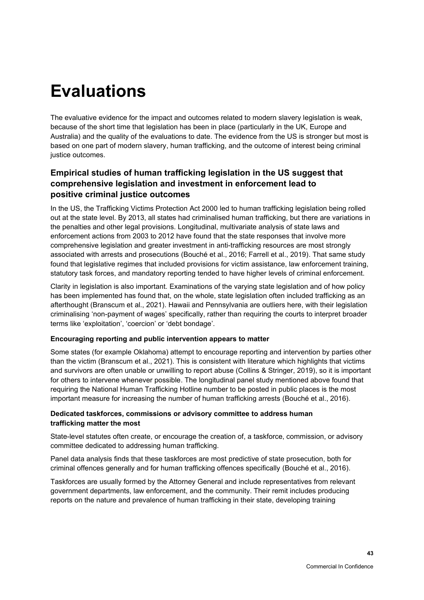# **Evaluations**

The evaluative evidence for the impact and outcomes related to modern slavery legislation is weak, because of the short time that legislation has been in place (particularly in the UK, Europe and Australia) and the quality of the evaluations to date. The evidence from the US is stronger but most is based on one part of modern slavery, human trafficking, and the outcome of interest being criminal justice outcomes.

# **Empirical studies of human trafficking legislation in the US suggest that comprehensive legislation and investment in enforcement lead to positive criminal justice outcomes**

In the US, the Trafficking Victims Protection Act 2000 led to human trafficking legislation being rolled out at the state level. By 2013, all states had criminalised human trafficking, but there are variations in the penalties and other legal provisions. Longitudinal, multivariate analysis of state laws and enforcement actions from 2003 to 2012 have found that the state responses that involve more comprehensive legislation and greater investment in anti-trafficking resources are most strongly associated with arrests and prosecutions (Bouché et al., 2016; Farrell et al., 2019). That same study found that legislative regimes that included provisions for victim assistance, law enforcement training, statutory task forces, and mandatory reporting tended to have higher levels of criminal enforcement.

Clarity in legislation is also important. Examinations of the varying state legislation and of how policy has been implemented has found that, on the whole, state legislation often included trafficking as an afterthought (Branscum et al., 2021). Hawaii and Pennsylvania are outliers here, with their legislation criminalising 'non-payment of wages' specifically, rather than requiring the courts to interpret broader terms like 'exploitation', 'coercion' or 'debt bondage'.

### **Encouraging reporting and public intervention appears to matter**

Some states (for example Oklahoma) attempt to encourage reporting and intervention by parties other than the victim (Branscum et al., 2021). This is consistent with literature which highlights that victims and survivors are often unable or unwilling to report abuse (Collins & Stringer, 2019), so it is important for others to intervene whenever possible. The longitudinal panel study mentioned above found that requiring the National Human Trafficking Hotline number to be posted in public places is the most important measure for increasing the number of human trafficking arrests (Bouché et al., 2016).

### **Dedicated taskforces, commissions or advisory committee to address human trafficking matter the most**

State-level statutes often create, or encourage the creation of, a taskforce, commission, or advisory committee dedicated to addressing human trafficking.

Panel data analysis finds that these taskforces are most predictive of state prosecution, both for criminal offences generally and for human trafficking offences specifically (Bouché et al., 2016).

Taskforces are usually formed by the Attorney General and include representatives from relevant government departments, law enforcement, and the community. Their remit includes producing reports on the nature and prevalence of human trafficking in their state, developing training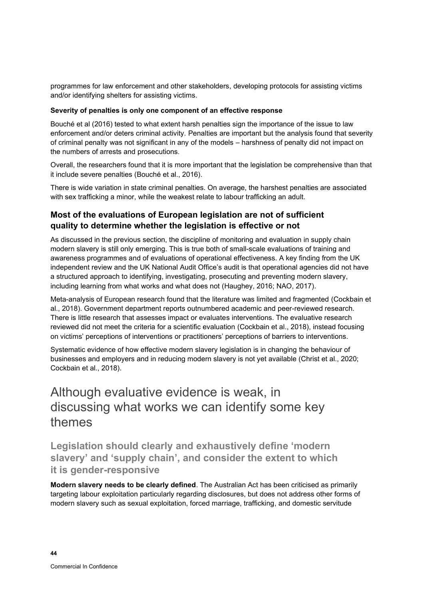programmes for law enforcement and other stakeholders, developing protocols for assisting victims and/or identifying shelters for assisting victims.

### **Severity of penalties is only one component of an effective response**

Bouché et al (2016) tested to what extent harsh penalties sign the importance of the issue to law enforcement and/or deters criminal activity. Penalties are important but the analysis found that severity of criminal penalty was not significant in any of the models – harshness of penalty did not impact on the numbers of arrests and prosecutions.

Overall, the researchers found that it is more important that the legislation be comprehensive than that it include severe penalties (Bouché et al., 2016).

There is wide variation in state criminal penalties. On average, the harshest penalties are associated with sex trafficking a minor, while the weakest relate to labour trafficking an adult.

### **Most of the evaluations of European legislation are not of sufficient quality to determine whether the legislation is effective or not**

As discussed in the previous section, the discipline of monitoring and evaluation in supply chain modern slavery is still only emerging. This is true both of small-scale evaluations of training and awareness programmes and of evaluations of operational effectiveness. A key finding from the UK independent review and the UK National Audit Office's audit is that operational agencies did not have a structured approach to identifying, investigating, prosecuting and preventing modern slavery, including learning from what works and what does not (Haughey, 2016; NAO, 2017).

Meta-analysis of European research found that the literature was limited and fragmented (Cockbain et al., 2018). Government department reports outnumbered academic and peer-reviewed research. There is little research that assesses impact or evaluates interventions. The evaluative research reviewed did not meet the criteria for a scientific evaluation (Cockbain et al., 2018), instead focusing on victims' perceptions of interventions or practitioners' perceptions of barriers to interventions.

Systematic evidence of how effective modern slavery legislation is in changing the behaviour of businesses and employers and in reducing modern slavery is not yet available (Christ et al., 2020; Cockbain et al., 2018).

# Although evaluative evidence is weak, in discussing what works we can identify some key themes

**Legislation should clearly and exhaustively define 'modern slavery' and 'supply chain', and consider the extent to which it is gender-responsive** 

**Modern slavery needs to be clearly defined**. The Australian Act has been criticised as primarily targeting labour exploitation particularly regarding disclosures, but does not address other forms of modern slavery such as sexual exploitation, forced marriage, trafficking, and domestic servitude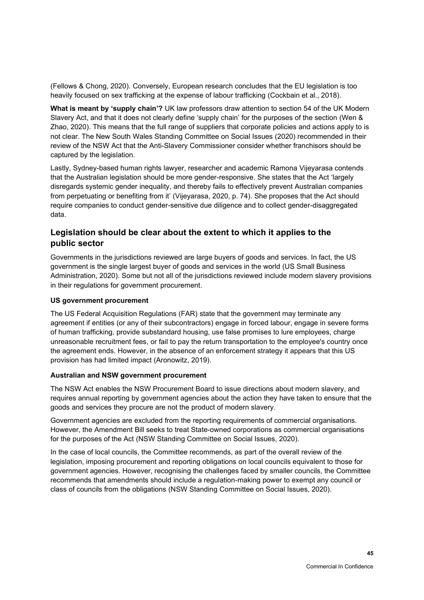(Fellows & Chong, 2020). Conversely, European research concludes that the EU legislation is too heavily focused on sex trafficking at the expense of labour trafficking (Cockbain et al., 2018).

**What is meant by 'supply chain'?** UK law professors draw attention to section 54 of the UK Modern Slavery Act, and that it does not clearly define 'supply chain' for the purposes of the section (Wen & Zhao, 2020). This means that the full range of suppliers that corporate policies and actions apply to is not clear. The New South Wales Standing Committee on Social Issues (2020) recommended in their review of the NSW Act that the Anti-Slavery Commissioner consider whether franchisors should be captured by the legislation.

Lastly, Sydney-based human rights lawyer, researcher and academic Ramona Vijeyarasa contends that the Australian legislation should be more gender-responsive. She states that the Act 'largely disregards systemic gender inequality, and thereby fails to effectively prevent Australian companies from perpetuating or benefiting from it' (Vijeyarasa, 2020, p. 74). She proposes that the Act should require companies to conduct gender-sensitive due diligence and to collect gender-disaggregated data.

## **Legislation should be clear about the extent to which it applies to the public sector**

Governments in the jurisdictions reviewed are large buyers of goods and services. In fact, the US government is the single largest buyer of goods and services in the world (US Small Business Administration, 2020). Some but not all of the jurisdictions reviewed include modern slavery provisions in their regulations for government procurement.

### **US government procurement**

The US Federal Acquisition Regulations (FAR) state that the government may terminate any agreement if entities (or any of their subcontractors) engage in forced labour, engage in severe forms of human trafficking, provide substandard housing, use false promises to lure employees, charge unreasonable recruitment fees, or fail to pay the return transportation to the employee's country once the agreement ends. However, in the absence of an enforcement strategy it appears that this US provision has had limited impact (Aronowitz, 2019).

### **Australian and NSW government procurement**

The NSW Act enables the NSW Procurement Board to issue directions about modern slavery, and requires annual reporting by government agencies about the action they have taken to ensure that the goods and services they procure are not the product of modern slavery.

Government agencies are excluded from the reporting requirements of commercial organisations. However, the Amendment Bill seeks to treat State-owned corporations as commercial organisations for the purposes of the Act (NSW Standing Committee on Social Issues, 2020).

In the case of local councils, the Committee recommends, as part of the overall review of the legislation, imposing procurement and reporting obligations on local councils equivalent to those for government agencies. However, recognising the challenges faced by smaller councils, the Committee recommends that amendments should include a regulation-making power to exempt any council or class of councils from the obligations (NSW Standing Committee on Social Issues, 2020).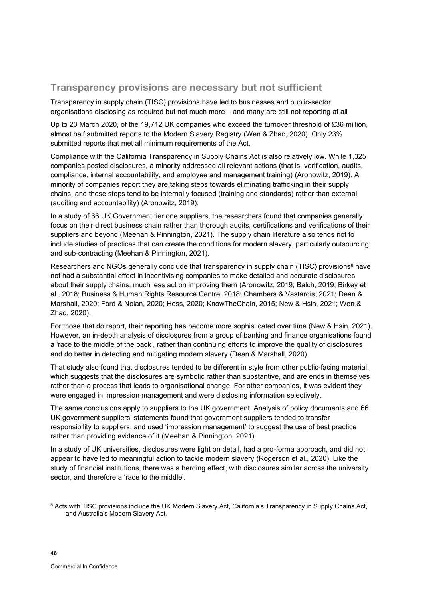# **Transparency provisions are necessary but not sufficient**

Transparency in supply chain (TISC) provisions have led to businesses and public-sector organisations disclosing as required but not much more – and many are still not reporting at all

Up to 23 March 2020, of the 19,712 UK companies who exceed the turnover threshold of £36 million, almost half submitted reports to the Modern Slavery Registry (Wen & Zhao, 2020). Only 23% submitted reports that met all minimum requirements of the Act.

Compliance with the California Transparency in Supply Chains Act is also relatively low. While 1,325 companies posted disclosures, a minority addressed all relevant actions (that is, verification, audits, compliance, internal accountability, and employee and management training) (Aronowitz, 2019). A minority of companies report they are taking steps towards eliminating trafficking in their supply chains, and these steps tend to be internally focused (training and standards) rather than external (auditing and accountability) (Aronowitz, 2019).

In a study of 66 UK Government tier one suppliers, the researchers found that companies generally focus on their direct business chain rather than thorough audits, certifications and verifications of their suppliers and beyond (Meehan & Pinnington, 2021). The supply chain literature also tends not to include studies of practices that can create the conditions for modern slavery, particularly outsourcing and sub-contracting (Meehan & Pinnington, 2021).

Researchers and NGOs generally conclude that transparency in supply chain (TISC) provisions<sup>8</sup> have not had a substantial effect in incentivising companies to make detailed and accurate disclosures about their supply chains, much less act on improving them (Aronowitz, 2019; Balch, 2019; Birkey et al., 2018; Business & Human Rights Resource Centre, 2018; Chambers & Vastardis, 2021; Dean & Marshall, 2020; Ford & Nolan, 2020; Hess, 2020; KnowTheChain, 2015; New & Hsin, 2021; Wen & Zhao, 2020).

For those that do report, their reporting has become more sophisticated over time (New & Hsin, 2021). However, an in-depth analysis of disclosures from a group of banking and finance organisations found a 'race to the middle of the pack', rather than continuing efforts to improve the quality of disclosures and do better in detecting and mitigating modern slavery (Dean & Marshall, 2020).

That study also found that disclosures tended to be different in style from other public-facing material, which suggests that the disclosures are symbolic rather than substantive, and are ends in themselves rather than a process that leads to organisational change. For other companies, it was evident they were engaged in impression management and were disclosing information selectively.

The same conclusions apply to suppliers to the UK government. Analysis of policy documents and 66 UK government suppliers' statements found that government suppliers tended to transfer responsibility to suppliers, and used 'impression management' to suggest the use of best practice rather than providing evidence of it (Meehan & Pinnington, 2021).

In a study of UK universities, disclosures were light on detail, had a pro-forma approach, and did not appear to have led to meaningful action to tackle modern slavery (Rogerson et al., 2020). Like the study of financial institutions, there was a herding effect, with disclosures similar across the university sector, and therefore a 'race to the middle'.

<sup>&</sup>lt;sup>8</sup> Acts with TISC provisions include the UK Modern Slavery Act, California's Transparency in Supply Chains Act, and Australia's Modern Slavery Act*.*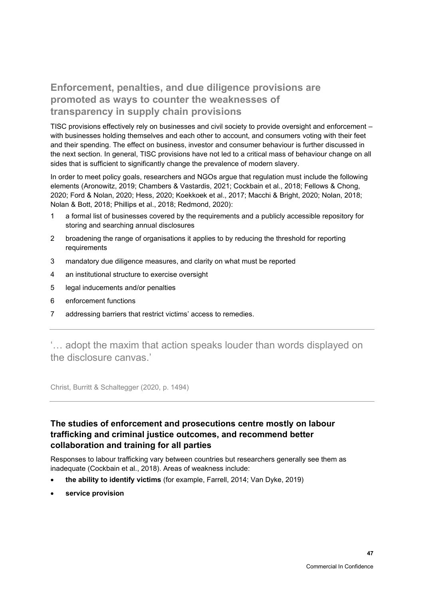# **Enforcement, penalties, and due diligence provisions are promoted as ways to counter the weaknesses of transparency in supply chain provisions**

TISC provisions effectively rely on businesses and civil society to provide oversight and enforcement – with businesses holding themselves and each other to account, and consumers voting with their feet and their spending. The effect on business, investor and consumer behaviour is further discussed in the next section. In general, TISC provisions have not led to a critical mass of behaviour change on all sides that is sufficient to significantly change the prevalence of modern slavery.

In order to meet policy goals, researchers and NGOs argue that regulation must include the following elements (Aronowitz, 2019; Chambers & Vastardis, 2021; Cockbain et al., 2018; Fellows & Chong, 2020; Ford & Nolan, 2020; Hess, 2020; Koekkoek et al., 2017; Macchi & Bright, 2020; Nolan, 2018; Nolan & Bott, 2018; Phillips et al., 2018; Redmond, 2020):

- 1 a formal list of businesses covered by the requirements and a publicly accessible repository for storing and searching annual disclosures
- 2 broadening the range of organisations it applies to by reducing the threshold for reporting requirements
- 3 mandatory due diligence measures, and clarity on what must be reported
- 4 an institutional structure to exercise oversight
- 5 legal inducements and/or penalties
- 6 enforcement functions
- 7 addressing barriers that restrict victims' access to remedies.

'… adopt the maxim that action speaks louder than words displayed on the disclosure canvas.'

Christ, Burritt & Schaltegger (2020, p. 1494)

# **The studies of enforcement and prosecutions centre mostly on labour trafficking and criminal justice outcomes, and recommend better collaboration and training for all parties**

Responses to labour trafficking vary between countries but researchers generally see them as inadequate (Cockbain et al., 2018). Areas of weakness include:

- **the ability to identify victims** (for example, Farrell, 2014; Van Dyke, 2019)
- **service provision**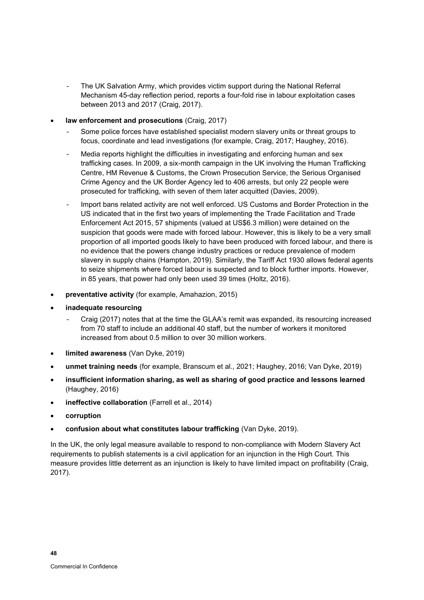- The UK Salvation Army, which provides victim support during the National Referral Mechanism 45-day reflection period, reports a four-fold rise in labour exploitation cases between 2013 and 2017 (Craig, 2017).
- **law enforcement and prosecutions** (Craig, 2017)
	- Some police forces have established specialist modern slavery units or threat groups to focus, coordinate and lead investigations (for example, Craig, 2017; Haughey, 2016).
	- Media reports highlight the difficulties in investigating and enforcing human and sex trafficking cases. In 2009, a six-month campaign in the UK involving the Human Trafficking Centre, HM Revenue & Customs, the Crown Prosecution Service, the Serious Organised Crime Agency and the UK Border Agency led to 406 arrests, but only 22 people were prosecuted for trafficking, with seven of them later acquitted (Davies, 2009).
	- Import bans related activity are not well enforced. US Customs and Border Protection in the US indicated that in the first two years of implementing the Trade Facilitation and Trade Enforcement Act 2015, 57 shipments (valued at US\$6.3 million) were detained on the suspicion that goods were made with forced labour. However, this is likely to be a very small proportion of all imported goods likely to have been produced with forced labour, and there is no evidence that the powers change industry practices or reduce prevalence of modern slavery in supply chains (Hampton, 2019). Similarly, the Tariff Act 1930 allows federal agents to seize shipments where forced labour is suspected and to block further imports. However, in 85 years, that power had only been used 39 times (Holtz, 2016).
- **preventative activity** (for example, Amahazion, 2015)
- **inadequate resourcing**
	- Craig (2017) notes that at the time the GLAA's remit was expanded, its resourcing increased from 70 staff to include an additional 40 staff, but the number of workers it monitored increased from about 0.5 million to over 30 million workers.
- **limited awareness** (Van Dyke, 2019)
- **unmet training needs** (for example, Branscum et al., 2021; Haughey, 2016; Van Dyke, 2019)
- **insufficient information sharing, as well as sharing of good practice and lessons learned** (Haughey, 2016)
- **ineffective collaboration** (Farrell et al., 2014)
- **corruption**
- **confusion about what constitutes labour trafficking** (Van Dyke, 2019).

In the UK, the only legal measure available to respond to non-compliance with Modern Slavery Act requirements to publish statements is a civil application for an injunction in the High Court. This measure provides little deterrent as an injunction is likely to have limited impact on profitability (Craig, 2017).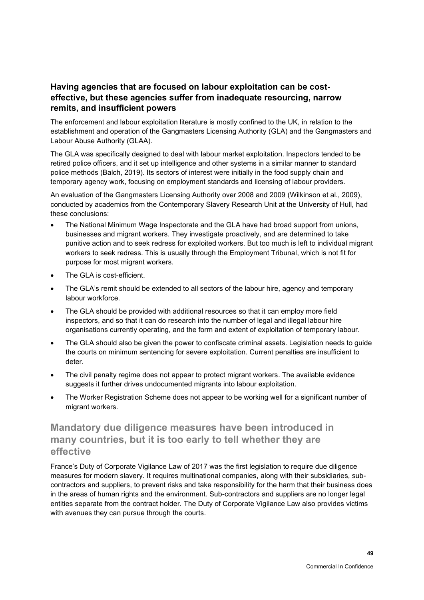# **Having agencies that are focused on labour exploitation can be costeffective, but these agencies suffer from inadequate resourcing, narrow remits, and insufficient powers**

The enforcement and labour exploitation literature is mostly confined to the UK, in relation to the establishment and operation of the Gangmasters Licensing Authority (GLA) and the Gangmasters and Labour Abuse Authority (GLAA).

The GLA was specifically designed to deal with labour market exploitation. Inspectors tended to be retired police officers, and it set up intelligence and other systems in a similar manner to standard police methods (Balch, 2019). Its sectors of interest were initially in the food supply chain and temporary agency work, focusing on employment standards and licensing of labour providers.

An evaluation of the Gangmasters Licensing Authority over 2008 and 2009 (Wilkinson et al., 2009), conducted by academics from the Contemporary Slavery Research Unit at the University of Hull, had these conclusions:

- The National Minimum Wage Inspectorate and the GLA have had broad support from unions, businesses and migrant workers. They investigate proactively, and are determined to take punitive action and to seek redress for exploited workers. But too much is left to individual migrant workers to seek redress. This is usually through the Employment Tribunal, which is not fit for purpose for most migrant workers.
- The GLA is cost-efficient.
- The GLA's remit should be extended to all sectors of the labour hire, agency and temporary labour workforce.
- The GLA should be provided with additional resources so that it can employ more field inspectors, and so that it can do research into the number of legal and illegal labour hire organisations currently operating, and the form and extent of exploitation of temporary labour.
- The GLA should also be given the power to confiscate criminal assets. Legislation needs to guide the courts on minimum sentencing for severe exploitation. Current penalties are insufficient to deter.
- The civil penalty regime does not appear to protect migrant workers. The available evidence suggests it further drives undocumented migrants into labour exploitation.
- The Worker Registration Scheme does not appear to be working well for a significant number of migrant workers.

# **Mandatory due diligence measures have been introduced in many countries, but it is too early to tell whether they are effective**

France's Duty of Corporate Vigilance Law of 2017 was the first legislation to require due diligence measures for modern slavery. It requires multinational companies, along with their subsidiaries, subcontractors and suppliers, to prevent risks and take responsibility for the harm that their business does in the areas of human rights and the environment. Sub-contractors and suppliers are no longer legal entities separate from the contract holder. The Duty of Corporate Vigilance Law also provides victims with avenues they can pursue through the courts.

**49**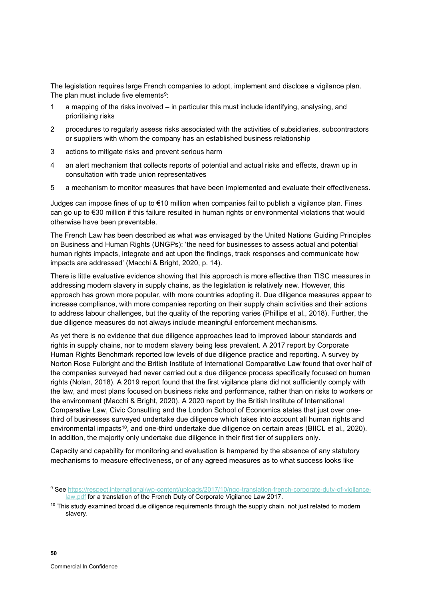The legislation requires large French companies to adopt, implement and disclose a vigilance plan. The plan must include five elements $\rm ^{9}$ :

- 1 a mapping of the risks involved in particular this must include identifying, analysing, and prioritising risks
- 2 procedures to regularly assess risks associated with the activities of subsidiaries, subcontractors or suppliers with whom the company has an established business relationship
- 3 actions to mitigate risks and prevent serious harm
- 4 an alert mechanism that collects reports of potential and actual risks and effects, drawn up in consultation with trade union representatives
- 5 a mechanism to monitor measures that have been implemented and evaluate their effectiveness.

Judges can impose fines of up to €10 million when companies fail to publish a vigilance plan. Fines can go up to €30 million if this failure resulted in human rights or environmental violations that would otherwise have been preventable.

The French Law has been described as what was envisaged by the United Nations Guiding Principles on Business and Human Rights (UNGPs): 'the need for businesses to assess actual and potential human rights impacts, integrate and act upon the findings, track responses and communicate how impacts are addressed' (Macchi & Bright, 2020, p. 14).

There is little evaluative evidence showing that this approach is more effective than TISC measures in addressing modern slavery in supply chains, as the legislation is relatively new. However, this approach has grown more popular, with more countries adopting it. Due diligence measures appear to increase compliance, with more companies reporting on their supply chain activities and their actions to address labour challenges, but the quality of the reporting varies (Phillips et al., 2018). Further, the due diligence measures do not always include meaningful enforcement mechanisms.

As yet there is no evidence that due diligence approaches lead to improved labour standards and rights in supply chains, nor to modern slavery being less prevalent. A 2017 report by Corporate Human Rights Benchmark reported low levels of due diligence practice and reporting. A survey by Norton Rose Fulbright and the British Institute of International Comparative Law found that over half of the companies surveyed had never carried out a due diligence process specifically focused on human rights (Nolan, 2018). A 2019 report found that the first vigilance plans did not sufficiently comply with the law, and most plans focused on business risks and performance, rather than on risks to workers or the environment (Macchi & Bright, 2020). A 2020 report by the British Institute of International Comparative Law, Civic Consulting and the London School of Economics states that just over onethird of businesses surveyed undertake due diligence which takes into account all human rights and environmental impacts<sup>10</sup>, and one-third undertake due diligence on certain areas (BIICL et al., 2020). In addition, the majority only undertake due diligence in their first tier of suppliers only.

Capacity and capability for monitoring and evaluation is hampered by the absence of any statutory mechanisms to measure effectiveness, or of any agreed measures as to what success looks like

<sup>&</sup>lt;sup>9</sup> See [https://respect.international/wp-content/uploads/2017/10/ngo-translation-french-corporate-duty-of-vigilance](https://respect.international/wp-content/uploads/2017/10/ngo-translation-french-corporate-duty-of-vigilance-law.pdf)[law.pdf](https://respect.international/wp-content/uploads/2017/10/ngo-translation-french-corporate-duty-of-vigilance-law.pdf) for a translation of the French Duty of Corporate Vigilance Law 2017.

 $10$  This study examined broad due diligence requirements through the supply chain, not just related to modern slavery.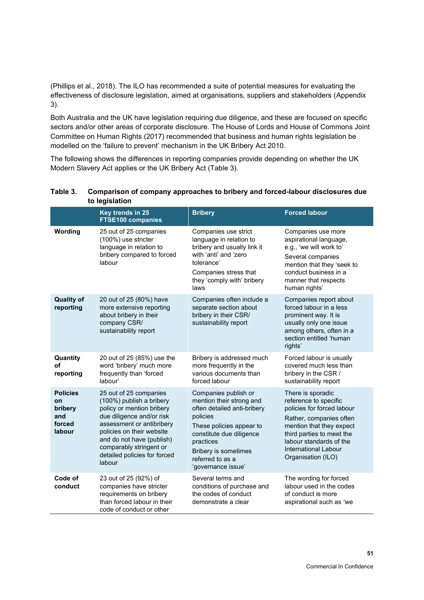(Phillips et al., 2018). The ILO has recommended a suite of potential measures for evaluating the effectiveness of disclosure legislation, aimed at organisations, suppliers and stakeholders [\(Appendix](#page-104-0)  [3\)](#page-104-0).

Both Australia and the UK have legislation requiring due diligence, and these are focused on specific sectors and/or other areas of corporate disclosure. The House of Lords and House of Commons Joint Committee on Human Rights (2017) recommended that business and human rights legislation be modelled on the 'failure to prevent' mechanism in the UK Bribery Act 2010.

The following shows the differences in reporting companies provide depending on whether the UK Modern Slavery Act applies or the UK Bribery Act [\(Table 3\)](#page-58-0).

|                                                             | Key trends in 25<br><b>FTSE100 companies</b>                                                                                                                                                                                                                             | <b>Bribery</b>                                                                                                                                                                                                                            | <b>Forced labour</b>                                                                                                                                                                                                                  |
|-------------------------------------------------------------|--------------------------------------------------------------------------------------------------------------------------------------------------------------------------------------------------------------------------------------------------------------------------|-------------------------------------------------------------------------------------------------------------------------------------------------------------------------------------------------------------------------------------------|---------------------------------------------------------------------------------------------------------------------------------------------------------------------------------------------------------------------------------------|
| Wording                                                     | 25 out of 25 companies<br>(100%) use stricter<br>language in relation to<br>bribery compared to forced<br>labour                                                                                                                                                         | Companies use strict<br>language in relation to<br>bribery and usually link it<br>with 'anti' and 'zero<br>tolerance'<br>Companies stress that<br>they 'comply with' bribery<br>laws                                                      | Companies use more<br>aspirational language,<br>e.g., 'we will work to'<br>Several companies<br>mention that they 'seek to<br>conduct business in a<br>manner that respects<br>human rights'                                          |
| <b>Quality of</b><br>reporting                              | 20 out of 25 (80%) have<br>more extensive reporting<br>about bribery in their<br>company CSR/<br>sustainability report                                                                                                                                                   | Companies often include a<br>separate section about<br>bribery in their CSR/<br>sustainability report                                                                                                                                     | Companies report about<br>forced labour in a less<br>prominent way. It is<br>usually only one issue<br>among others, often in a<br>section entitled 'human<br>rights'                                                                 |
| Quantity<br>оf<br>reporting                                 | 20 out of 25 (85%) use the<br>word 'bribery' much more<br>frequently than 'forced<br>labour'                                                                                                                                                                             | Bribery is addressed much<br>more frequently in the<br>various documents than<br>forced labour                                                                                                                                            | Forced labour is usually<br>covered much less than<br>bribery in the CSR /<br>sustainability report                                                                                                                                   |
| <b>Policies</b><br>on<br>bribery<br>and<br>forced<br>labour | 25 out of 25 companies<br>(100%) publish a bribery<br>policy or mention bribery<br>due diligence and/or risk<br>assessment or antibribery<br>policies on their website<br>and do not have (publish)<br>comparably stringent or<br>detailed policies for forced<br>labour | Companies publish or<br>mention their strong and<br>often detailed anti-bribery<br>policies<br>These policies appear to<br>constitute due diligence<br>practices<br><b>Bribery is sometimes</b><br>referred to as a<br>'governance issue' | There is sporadic<br>reference to specific<br>policies for forced labour<br>Rather, companies often<br>mention that they expect<br>third parties to meet the<br>labour standards of the<br>International Labour<br>Organisation (ILO) |
| Code of<br>conduct                                          | 23 out of 25 (92%) of<br>companies have stricter<br>requirements on bribery<br>than forced labour in their<br>code of conduct or other                                                                                                                                   | Several terms and<br>conditions of purchase and<br>the codes of conduct<br>demonstrate a clear                                                                                                                                            | The wording for forced<br>labour used in the codes<br>of conduct is more<br>aspirational such as 'we                                                                                                                                  |

### <span id="page-58-0"></span>**Table 3. Comparison of company approaches to bribery and forced-labour disclosures due to legislation**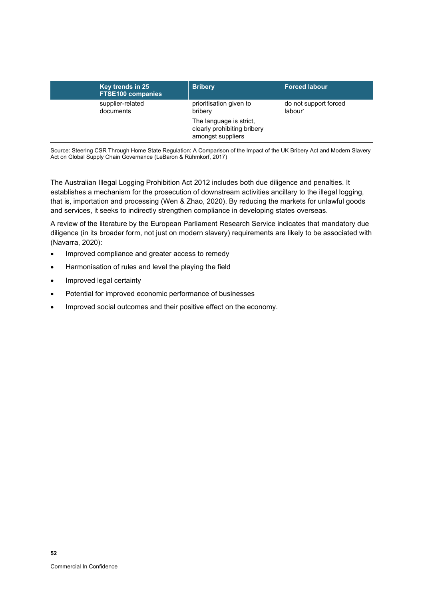| Key trends in 25<br><b>FTSE100 companies</b> | <b>Bribery</b>                                                              | <b>Forced labour</b>             |
|----------------------------------------------|-----------------------------------------------------------------------------|----------------------------------|
| supplier-related<br>documents                | prioritisation given to<br>bribery                                          | do not support forced<br>labour' |
|                                              | The language is strict,<br>clearly prohibiting bribery<br>amongst suppliers |                                  |

Source: Steering CSR Through Home State Regulation: A Comparison of the Impact of the UK Bribery Act and Modern Slavery Act on Global Supply Chain Governance (LeBaron & Rühmkorf, 2017)

The Australian Illegal Logging Prohibition Act 2012 includes both due diligence and penalties. It establishes a mechanism for the prosecution of downstream activities ancillary to the illegal logging, that is, importation and processing (Wen & Zhao, 2020). By reducing the markets for unlawful goods and services, it seeks to indirectly strengthen compliance in developing states overseas.

A review of the literature by the European Parliament Research Service indicates that mandatory due diligence (in its broader form, not just on modern slavery) requirements are likely to be associated with (Navarra, 2020):

- Improved compliance and greater access to remedy
- Harmonisation of rules and level the playing the field
- Improved legal certainty
- Potential for improved economic performance of businesses
- Improved social outcomes and their positive effect on the economy.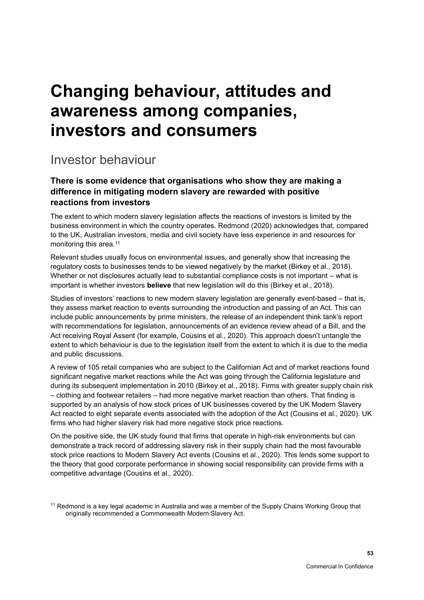# **Changing behaviour, attitudes and awareness among companies, investors and consumers**

# Investor behaviour

# **There is some evidence that organisations who show they are making a difference in mitigating modern slavery are rewarded with positive reactions from investors**

The extent to which modern slavery legislation affects the reactions of investors is limited by the business environment in which the country operates. Redmond (2020) acknowledges that, compared to the UK, Australian investors, media and civil society have less experience in and resources for monitoring this area. 11

Relevant studies usually focus on environmental issues, and generally show that increasing the regulatory costs to businesses tends to be viewed negatively by the market (Birkey et al., 2018). Whether or not disclosures actually lead to substantial compliance costs is not important – what is important is whether investors **believe** that new legislation will do this (Birkey et al., 2018).

Studies of investors' reactions to new modern slavery legislation are generally event-based – that is, they assess market reaction to events surrounding the introduction and passing of an Act. This can include public announcements by prime ministers, the release of an independent think tank's report with recommendations for legislation, announcements of an evidence review ahead of a Bill, and the Act receiving Royal Assent (for example, Cousins et al., 2020). This approach doesn't untangle the extent to which behaviour is due to the legislation itself from the extent to which it is due to the media and public discussions.

A review of 105 retail companies who are subject to the Californian Act and of market reactions found significant negative market reactions while the Act was going through the California legislature and during its subsequent implementation in 2010 (Birkey et al., 2018). Firms with greater supply chain risk – clothing and footwear retailers – had more negative market reaction than others. That finding is supported by an analysis of how stock prices of UK businesses covered by the UK Modern Slavery Act reacted to eight separate events associated with the adoption of the Act (Cousins et al., 2020). UK firms who had higher slavery risk had more negative stock price reactions.

On the positive side, the UK study found that firms that operate in high-risk environments but can demonstrate a track record of addressing slavery risk in their supply chain had the most favourable stock price reactions to Modern Slavery Act events (Cousins et al., 2020). This lends some support to the theory that good corporate performance in showing social responsibility can provide firms with a competitive advantage (Cousins et al., 2020).

<sup>11</sup> Redmond is a key legal academic in Australia and was a member of the Supply Chains Working Group that originally recommended a Commonwealth Modern Slavery Act.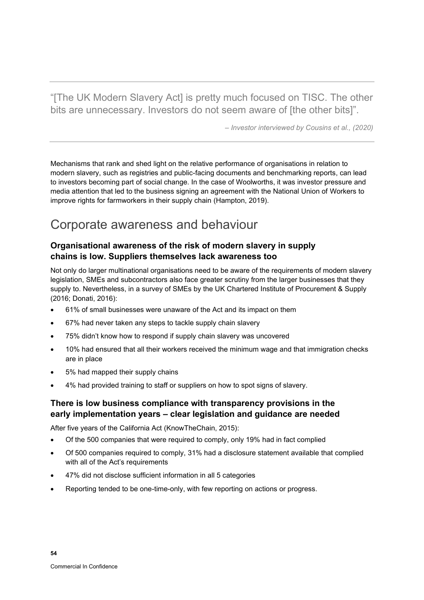"[The UK Modern Slavery Act] is pretty much focused on TISC. The other bits are unnecessary. Investors do not seem aware of [the other bits]".

*– Investor interviewed by Cousins et al., (2020)*

Mechanisms that rank and shed light on the relative performance of organisations in relation to modern slavery, such as registries and public-facing documents and benchmarking reports, can lead to investors becoming part of social change. In the case of Woolworths, it was investor pressure and media attention that led to the business signing an agreement with the National Union of Workers to improve rights for farmworkers in their supply chain (Hampton, 2019).

# Corporate awareness and behaviour

# **Organisational awareness of the risk of modern slavery in supply chains is low. Suppliers themselves lack awareness too**

Not only do larger multinational organisations need to be aware of the requirements of modern slavery legislation, SMEs and subcontractors also face greater scrutiny from the larger businesses that they supply to. Nevertheless, in a survey of SMEs by the UK Chartered Institute of Procurement & Supply (2016; Donati, 2016):

- 61% of small businesses were unaware of the Act and its impact on them
- 67% had never taken any steps to tackle supply chain slavery
- 75% didn't know how to respond if supply chain slavery was uncovered
- 10% had ensured that all their workers received the minimum wage and that immigration checks are in place
- 5% had mapped their supply chains
- 4% had provided training to staff or suppliers on how to spot signs of slavery.

# **There is low business compliance with transparency provisions in the early implementation years – clear legislation and guidance are needed**

After five years of the California Act (KnowTheChain, 2015):

- Of the 500 companies that were required to comply, only 19% had in fact complied
- Of 500 companies required to comply, 31% had a disclosure statement available that complied with all of the Act's requirements
- 47% did not disclose sufficient information in all 5 categories
- Reporting tended to be one-time-only, with few reporting on actions or progress.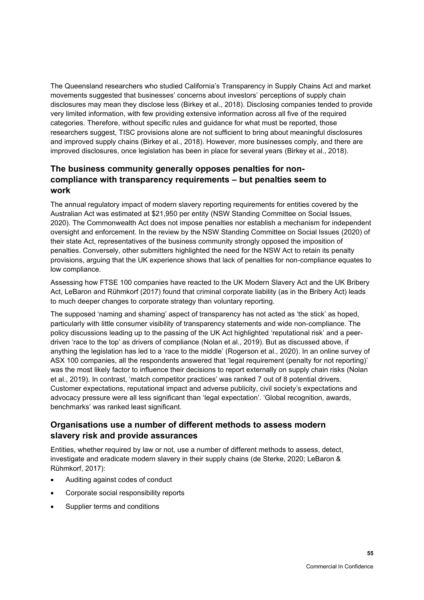The Queensland researchers who studied California's Transparency in Supply Chains Act and market movements suggested that businesses' concerns about investors' perceptions of supply chain disclosures may mean they disclose less (Birkey et al., 2018). Disclosing companies tended to provide very limited information, with few providing extensive information across all five of the required categories. Therefore, without specific rules and guidance for what must be reported, those researchers suggest, TISC provisions alone are not sufficient to bring about meaningful disclosures and improved supply chains (Birkey et al., 2018). However, more businesses comply, and there are improved disclosures, once legislation has been in place for several years (Birkey et al., 2018).

# **The business community generally opposes penalties for noncompliance with transparency requirements – but penalties seem to work**

The annual regulatory impact of modern slavery reporting requirements for entities covered by the Australian Act was estimated at \$21,950 per entity (NSW Standing Committee on Social Issues, 2020). The Commonwealth Act does not impose penalties nor establish a mechanism for independent oversight and enforcement. In the review by the NSW Standing Committee on Social Issues (2020) of their state Act, representatives of the business community strongly opposed the imposition of penalties. Conversely, other submitters highlighted the need for the NSW Act to retain its penalty provisions, arguing that the UK experience shows that lack of penalties for non-compliance equates to low compliance.

Assessing how FTSE 100 companies have reacted to the UK Modern Slavery Act and the UK Bribery Act, LeBaron and Rühmkorf (2017) found that criminal corporate liability (as in the Bribery Act) leads to much deeper changes to corporate strategy than voluntary reporting.

The supposed 'naming and shaming' aspect of transparency has not acted as 'the stick' as hoped, particularly with little consumer visibility of transparency statements and wide non-compliance. The policy discussions leading up to the passing of the UK Act highlighted 'reputational risk' and a peerdriven 'race to the top' as drivers of compliance (Nolan et al., 2019). But as discussed above, if anything the legislation has led to a 'race to the middle' (Rogerson et al., 2020). In an online survey of ASX 100 companies, all the respondents answered that 'legal requirement (penalty for not reporting)' was the most likely factor to influence their decisions to report externally on supply chain risks (Nolan et al., 2019). In contrast, 'match competitor practices' was ranked 7 out of 8 potential drivers. Customer expectations, reputational impact and adverse publicity, civil society's expectations and advocacy pressure were all less significant than 'legal expectation'. 'Global recognition, awards, benchmarks' was ranked least significant.

## **Organisations use a number of different methods to assess modern slavery risk and provide assurances**

Entities, whether required by law or not, use a number of different methods to assess, detect, investigate and eradicate modern slavery in their supply chains (de Sterke, 2020; LeBaron & Rühmkorf, 2017):

- Auditing against codes of conduct
- Corporate social responsibility reports
- Supplier terms and conditions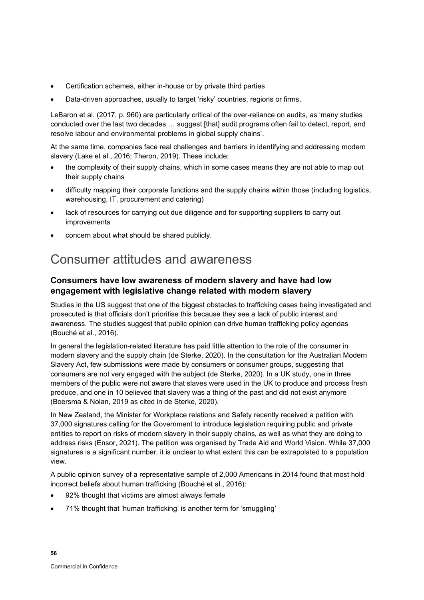- Certification schemes, either in-house or by private third parties
- Data-driven approaches, usually to target 'risky' countries, regions or firms.

LeBaron et al. (2017, p. 960) are particularly critical of the over-reliance on audits, as 'many studies conducted over the last two decades … suggest [that] audit programs often fail to detect, report, and resolve labour and environmental problems in global supply chains'.

At the same time, companies face real challenges and barriers in identifying and addressing modern slavery (Lake et al., 2016; Theron, 2019). These include:

- the complexity of their supply chains, which in some cases means they are not able to map out their supply chains
- difficulty mapping their corporate functions and the supply chains within those (including logistics, warehousing, IT, procurement and catering)
- lack of resources for carrying out due diligence and for supporting suppliers to carry out improvements
- concern about what should be shared publicly.

# Consumer attitudes and awareness

# **Consumers have low awareness of modern slavery and have had low engagement with legislative change related with modern slavery**

Studies in the US suggest that one of the biggest obstacles to trafficking cases being investigated and prosecuted is that officials don't prioritise this because they see a lack of public interest and awareness. The studies suggest that public opinion can drive human trafficking policy agendas (Bouché et al., 2016).

In general the legislation-related literature has paid little attention to the role of the consumer in modern slavery and the supply chain (de Sterke, 2020). In the consultation for the Australian Modern Slavery Act, few submissions were made by consumers or consumer groups, suggesting that consumers are not very engaged with the subject (de Sterke, 2020). In a UK study, one in three members of the public were not aware that slaves were used in the UK to produce and process fresh produce, and one in 10 believed that slavery was a thing of the past and did not exist anymore (Boersma & Nolan, 2019 as cited in de Sterke, 2020).

In New Zealand, the Minister for Workplace relations and Safety recently received a petition with 37,000 signatures calling for the Government to introduce legislation requiring public and private entities to report on risks of modern slavery in their supply chains, as well as what they are doing to address risks (Ensor, 2021). The petition was organised by Trade Aid and World Vision. While 37,000 signatures is a significant number, it is unclear to what extent this can be extrapolated to a population view.

A public opinion survey of a representative sample of 2,000 Americans in 2014 found that most hold incorrect beliefs about human trafficking (Bouché et al., 2016):

- 92% thought that victims are almost always female
- 71% thought that 'human trafficking' is another term for 'smuggling'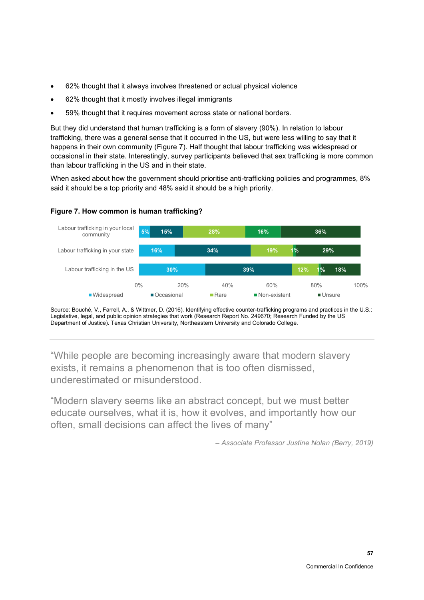- 62% thought that it always involves threatened or actual physical violence
- 62% thought that it mostly involves illegal immigrants
- 59% thought that it requires movement across state or national borders.

But they did understand that human trafficking is a form of slavery (90%). In relation to labour trafficking, there was a general sense that it occurred in the US, but were less willing to say that it happens in their own community [\(Figure 7\)](#page-64-0). Half thought that labour trafficking was widespread or occasional in their state. Interestingly, survey participants believed that sex trafficking is more common than labour trafficking in the US and in their state.

When asked about how the government should prioritise anti-trafficking policies and programmes, 8% said it should be a top priority and 48% said it should be a high priority.

### <span id="page-64-0"></span>**Figure 7. How common is human trafficking?**



Source: Bouché, V., Farrell, A., & Wittmer, D. (2016). Identifying effective counter-trafficking programs and practices in the U.S.: Legislative, legal, and public opinion strategies that work (Research Report No. 249670; Research Funded by the US Department of Justice). Texas Christian University, Northeastern University and Colorado College.

"While people are becoming increasingly aware that modern slavery exists, it remains a phenomenon that is too often dismissed, underestimated or misunderstood.

"Modern slavery seems like an abstract concept, but we must better educate ourselves, what it is, how it evolves, and importantly how our often, small decisions can affect the lives of many"

*– Associate Professor Justine Nolan (Berry, 2019)*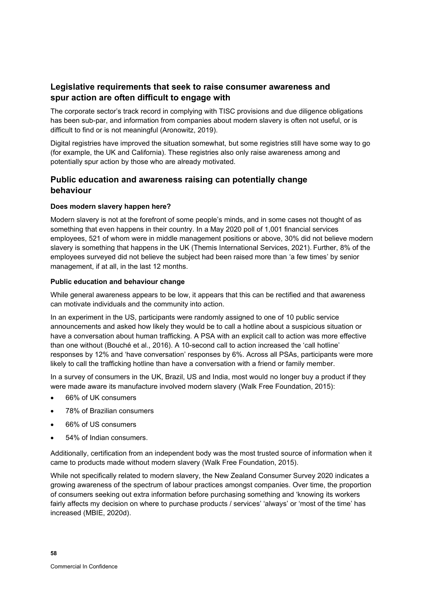# **Legislative requirements that seek to raise consumer awareness and spur action are often difficult to engage with**

The corporate sector's track record in complying with TISC provisions and due diligence obligations has been sub-par, and information from companies about modern slavery is often not useful, or is difficult to find or is not meaningful (Aronowitz, 2019).

Digital registries have improved the situation somewhat, but some registries still have some way to go (for example, the UK and California). These registries also only raise awareness among and potentially spur action by those who are already motivated.

# **Public education and awareness raising can potentially change behaviour**

### **Does modern slavery happen here?**

Modern slavery is not at the forefront of some people's minds, and in some cases not thought of as something that even happens in their country. In a May 2020 poll of 1,001 financial services employees, 521 of whom were in middle management positions or above, 30% did not believe modern slavery is something that happens in the UK (Themis International Services, 2021). Further, 8% of the employees surveyed did not believe the subject had been raised more than 'a few times' by senior management, if at all, in the last 12 months.

### **Public education and behaviour change**

While general awareness appears to be low, it appears that this can be rectified and that awareness can motivate individuals and the community into action.

In an experiment in the US, participants were randomly assigned to one of 10 public service announcements and asked how likely they would be to call a hotline about a suspicious situation or have a conversation about human trafficking. A PSA with an explicit call to action was more effective than one without (Bouché et al., 2016). A 10-second call to action increased the 'call hotline' responses by 12% and 'have conversation' responses by 6%. Across all PSAs, participants were more likely to call the trafficking hotline than have a conversation with a friend or family member.

In a survey of consumers in the UK, Brazil, US and India, most would no longer buy a product if they were made aware its manufacture involved modern slavery (Walk Free Foundation, 2015):

- 66% of UK consumers
- 78% of Brazilian consumers
- 66% of US consumers
- 54% of Indian consumers.

Additionally, certification from an independent body was the most trusted source of information when it came to products made without modern slavery (Walk Free Foundation, 2015).

While not specifically related to modern slavery, the New Zealand Consumer Survey 2020 indicates a growing awareness of the spectrum of labour practices amongst companies. Over time, the proportion of consumers seeking out extra information before purchasing something and 'knowing its workers fairly affects my decision on where to purchase products / services' 'always' or 'most of the time' has increased (MBIE, 2020d).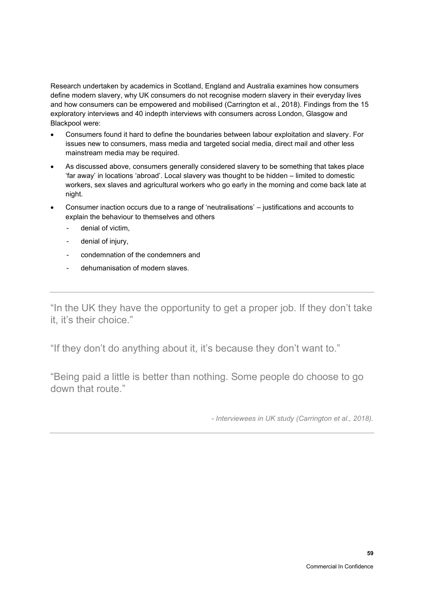Research undertaken by academics in Scotland, England and Australia examines how consumers define modern slavery, why UK consumers do not recognise modern slavery in their everyday lives and how consumers can be empowered and mobilised (Carrington et al., 2018). Findings from the 15 exploratory interviews and 40 indepth interviews with consumers across London, Glasgow and Blackpool were:

- Consumers found it hard to define the boundaries between labour exploitation and slavery. For issues new to consumers, mass media and targeted social media, direct mail and other less mainstream media may be required.
- As discussed above, consumers generally considered slavery to be something that takes place 'far away' in locations 'abroad'. Local slavery was thought to be hidden – limited to domestic workers, sex slaves and agricultural workers who go early in the morning and come back late at night.
- Consumer inaction occurs due to a range of 'neutralisations' justifications and accounts to explain the behaviour to themselves and others
	- denial of victim.
	- denial of injury,
	- condemnation of the condemners and
	- dehumanisation of modern slaves.

"In the UK they have the opportunity to get a proper job. If they don't take it, it's their choice."

"If they don't do anything about it, it's because they don't want to."

"Being paid a little is better than nothing. Some people do choose to go down that route."

*- Interviewees in UK study (Carrington et al., 2018).*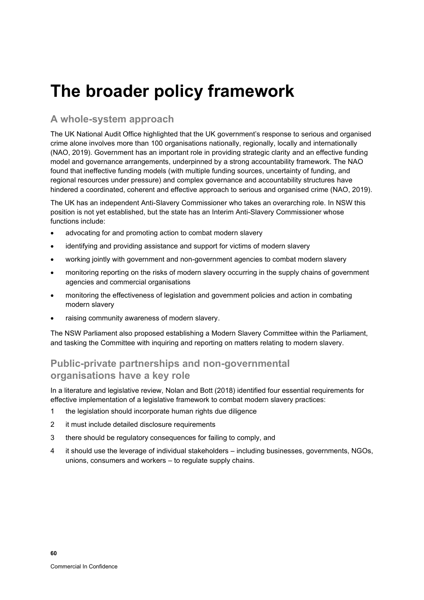# **The broader policy framework**

# **A whole-system approach**

The UK National Audit Office highlighted that the UK government's response to serious and organised crime alone involves more than 100 organisations nationally, regionally, locally and internationally (NAO, 2019). Government has an important role in providing strategic clarity and an effective funding model and governance arrangements, underpinned by a strong accountability framework. The NAO found that ineffective funding models (with multiple funding sources, uncertainty of funding, and regional resources under pressure) and complex governance and accountability structures have hindered a coordinated, coherent and effective approach to serious and organised crime (NAO, 2019).

The UK has an independent Anti-Slavery Commissioner who takes an overarching role. In NSW this position is not yet established, but the state has an Interim Anti-Slavery Commissioner whose functions include:

- advocating for and promoting action to combat modern slavery
- identifying and providing assistance and support for victims of modern slavery
- working jointly with government and non-government agencies to combat modern slavery
- monitoring reporting on the risks of modern slavery occurring in the supply chains of government agencies and commercial organisations
- monitoring the effectiveness of legislation and government policies and action in combating modern slavery
- raising community awareness of modern slavery.

The NSW Parliament also proposed establishing a Modern Slavery Committee within the Parliament, and tasking the Committee with inquiring and reporting on matters relating to modern slavery.

# **Public-private partnerships and non-governmental organisations have a key role**

In a literature and legislative review, Nolan and Bott (2018) identified four essential requirements for effective implementation of a legislative framework to combat modern slavery practices:

- 1 the legislation should incorporate human rights due diligence
- 2 it must include detailed disclosure requirements
- 3 there should be regulatory consequences for failing to comply, and
- 4 it should use the leverage of individual stakeholders including businesses, governments, NGOs, unions, consumers and workers – to regulate supply chains.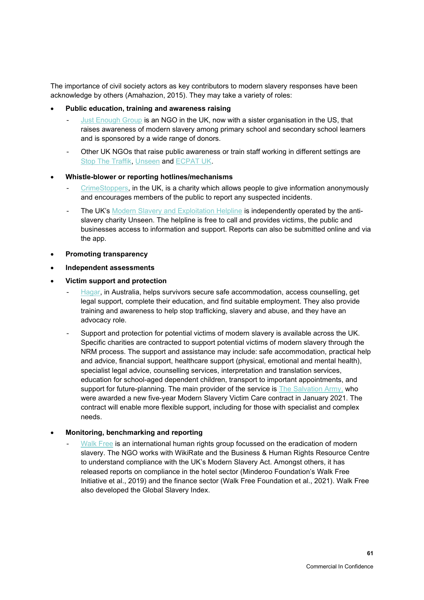The importance of civil society actors as key contributors to modern slavery responses have been acknowledge by others (Amahazion, 2015). They may take a variety of roles:

### • **Public education, training and awareness raising**

- [Just Enough Group](https://www.modernslaveryeducation.com/just-enough-group) is an NGO in the UK, now with a sister organisation in the US, that raises awareness of modern slavery among primary school and secondary school learners and is sponsored by a wide range of donors.
- Other UK NGOs that raise public awareness or train staff working in different settings are [Stop The Traffik,](https://www.stopthetraffik.org/) [Unseen](https://www.unseenuk.org/) and [ECPAT UK.](https://www.ecpat.org.uk/)

#### • **Whistle-blower or reporting hotlines/mechanisms**

- [CrimeStoppers,](https://crimestoppers-uk.org/) in the UK, is a charity which allows people to give information anonymously and encourages members of the public to report any suspected incidents.
- The UK's [Modern Slavery and Exploitation Helpline](https://www.modernslaveryhelpline.org/) is independently operated by the antislavery charity Unseen. The helpline is free to call and provides victims, the public and businesses access to information and support. Reports can also be submitted online and via the app.
- **Promoting transparency**
- **Independent assessments**
- **Victim support and protection**
	- [Hagar,](https://hagar.org.au/) in Australia, helps survivors secure safe accommodation, access counselling, get legal support, complete their education, and find suitable employment. They also provide training and awareness to help stop trafficking, slavery and abuse, and they have an advocacy role.
	- Support and protection for potential victims of modern slavery is available across the UK. Specific charities are contracted to support potential victims of modern slavery through the NRM process. The support and assistance may include: safe accommodation, practical help and advice, financial support, healthcare support (physical, emotional and mental health), specialist legal advice, counselling services, interpretation and translation services, education for school-aged dependent children, transport to important appointments, and support for future-planning. The main provider of the service is [The Salvation Army,](https://www.salvationarmy.org.uk/modern-slavery/new-victim-care-contract) who were awarded a new five-year Modern Slavery Victim Care contract in January 2021. The contract will enable more flexible support, including for those with specialist and complex needs.

### • **Monitoring, benchmarking and reporting**

[Walk Free](https://www.walkfree.org/) is an international human rights group focussed on the eradication of modern slavery. The NGO works with WikiRate and the Business & Human Rights Resource Centre to understand compliance with the UK's Modern Slavery Act. Amongst others, it has released reports on compliance in the hotel sector (Minderoo Foundation's Walk Free Initiative et al., 2019) and the finance sector (Walk Free Foundation et al., 2021). Walk Free also developed the Global Slavery Index.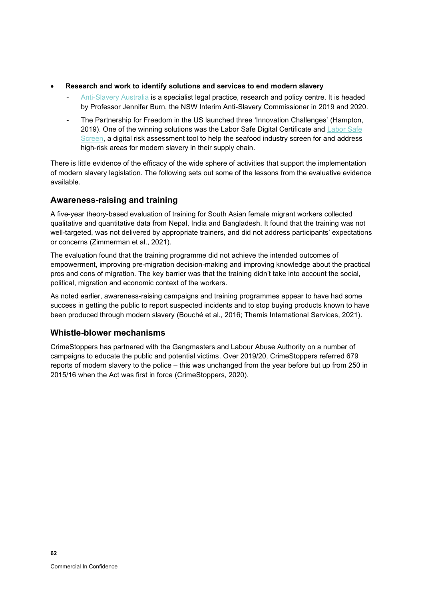- **Research and work to identify solutions and services to end modern slavery** 
	- [Anti-Slavery Australia](https://antislavery.org.au/) is a specialist legal practice, research and policy centre. It is headed by Professor Jennifer Burn, the NSW Interim Anti-Slavery Commissioner in 2019 and 2020.
	- The Partnership for Freedom in the US launched three 'Innovation Challenges' (Hampton, 2019). One of the winning solutions was the Labor Safe Digital Certificate and [Labor Safe](https://www.sustainability-incubator.com/)  [Screen,](https://www.sustainability-incubator.com/) a digital risk assessment tool to help the seafood industry screen for and address high-risk areas for modern slavery in their supply chain.

There is little evidence of the efficacy of the wide sphere of activities that support the implementation of modern slavery legislation. The following sets out some of the lessons from the evaluative evidence available.

# **Awareness-raising and training**

A five-year theory-based evaluation of training for South Asian female migrant workers collected qualitative and quantitative data from Nepal, India and Bangladesh. It found that the training was not well-targeted, was not delivered by appropriate trainers, and did not address participants' expectations or concerns (Zimmerman et al., 2021).

The evaluation found that the training programme did not achieve the intended outcomes of empowerment, improving pre-migration decision-making and improving knowledge about the practical pros and cons of migration. The key barrier was that the training didn't take into account the social, political, migration and economic context of the workers.

As noted earlier, awareness-raising campaigns and training programmes appear to have had some success in getting the public to report suspected incidents and to stop buying products known to have been produced through modern slavery (Bouché et al., 2016; Themis International Services, 2021).

## **Whistle-blower mechanisms**

CrimeStoppers has partnered with the Gangmasters and Labour Abuse Authority on a number of campaigns to educate the public and potential victims. Over 2019/20, CrimeStoppers referred 679 reports of modern slavery to the police – this was unchanged from the year before but up from 250 in 2015/16 when the Act was first in force (CrimeStoppers, 2020).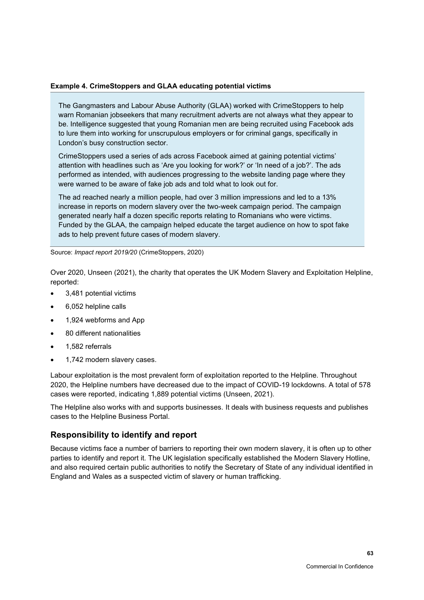#### **Example 4. CrimeStoppers and GLAA educating potential victims**

The Gangmasters and Labour Abuse Authority (GLAA) worked with CrimeStoppers to help warn Romanian jobseekers that many recruitment adverts are not always what they appear to be. Intelligence suggested that young Romanian men are being recruited using Facebook ads to lure them into working for unscrupulous employers or for criminal gangs, specifically in London's busy construction sector.

CrimeStoppers used a series of ads across Facebook aimed at gaining potential victims' attention with headlines such as 'Are you looking for work?' or 'In need of a job?'. The ads performed as intended, with audiences progressing to the website landing page where they were warned to be aware of fake job ads and told what to look out for.

The ad reached nearly a million people, had over 3 million impressions and led to a 13% increase in reports on modern slavery over the two-week campaign period. The campaign generated nearly half a dozen specific reports relating to Romanians who were victims. Funded by the GLAA, the campaign helped educate the target audience on how to spot fake ads to help prevent future cases of modern slavery.

Source: *Impact report 2019/20* (CrimeStoppers, 2020)

Over 2020, Unseen (2021), the charity that operates the UK Modern Slavery and Exploitation Helpline, reported:

- 3,481 potential victims
- 6,052 helpline calls
- 1,924 webforms and App
- 80 different nationalities
- 1,582 referrals
- 1,742 modern slavery cases.

Labour exploitation is the most prevalent form of exploitation reported to the Helpline. Throughout 2020, the Helpline numbers have decreased due to the impact of COVID-19 lockdowns. A total of 578 cases were reported, indicating 1,889 potential victims (Unseen, 2021).

The Helpline also works with and supports businesses. It deals with business requests and publishes cases to the Helpline Business Portal.

### **Responsibility to identify and report**

Because victims face a number of barriers to reporting their own modern slavery, it is often up to other parties to identify and report it. The UK legislation specifically established the Modern Slavery Hotline, and also required certain public authorities to notify the Secretary of State of any individual identified in England and Wales as a suspected victim of slavery or human trafficking.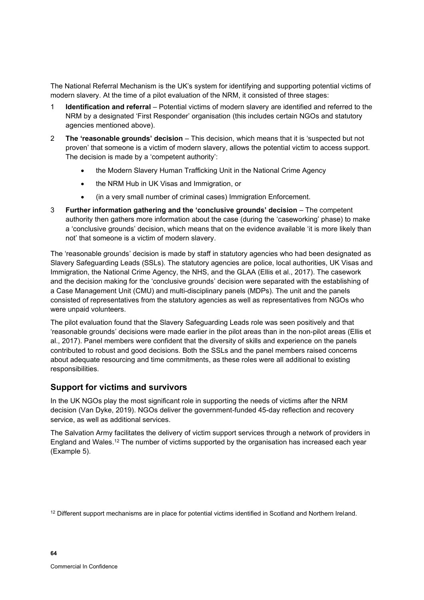The National Referral Mechanism is the UK's system for identifying and supporting potential victims of modern slavery. At the time of a pilot evaluation of the NRM, it consisted of three stages:

- 1 **Identification and referral** Potential victims of modern slavery are identified and referred to the NRM by a designated 'First Responder' organisation (this includes certain NGOs and statutory agencies mentioned above).
- 2 **The 'reasonable grounds' decision** This decision, which means that it is 'suspected but not proven' that someone is a victim of modern slavery, allows the potential victim to access support. The decision is made by a 'competent authority':
	- the Modern Slavery Human Trafficking Unit in the National Crime Agency
	- the NRM Hub in UK Visas and Immigration, or
	- (in a very small number of criminal cases) Immigration Enforcement.
- 3 **Further information gathering and the 'conclusive grounds' decision**  The competent authority then gathers more information about the case (during the 'caseworking' phase) to make a 'conclusive grounds' decision, which means that on the evidence available 'it is more likely than not' that someone is a victim of modern slavery.

The 'reasonable grounds' decision is made by staff in statutory agencies who had been designated as Slavery Safeguarding Leads (SSLs). The statutory agencies are police, local authorities, UK Visas and Immigration, the National Crime Agency, the NHS, and the GLAA (Ellis et al., 2017). The casework and the decision making for the 'conclusive grounds' decision were separated with the establishing of a Case Management Unit (CMU) and multi-disciplinary panels (MDPs). The unit and the panels consisted of representatives from the statutory agencies as well as representatives from NGOs who were unpaid volunteers.

The pilot evaluation found that the Slavery Safeguarding Leads role was seen positively and that 'reasonable grounds' decisions were made earlier in the pilot areas than in the non-pilot areas (Ellis et al., 2017). Panel members were confident that the diversity of skills and experience on the panels contributed to robust and good decisions. Both the SSLs and the panel members raised concerns about adequate resourcing and time commitments, as these roles were all additional to existing responsibilities.

## **Support for victims and survivors**

In the UK NGOs play the most significant role in supporting the needs of victims after the NRM decision (Van Dyke, 2019). NGOs deliver the government-funded 45-day reflection and recovery service, as well as additional services.

The Salvation Army facilitates the delivery of victim support services through a network of providers in England and Wales. $^{\rm 12}$  The number of victims supported by the organisation has increased each year [\(Example 5\)](#page-72-0).

 $12$  Different support mechanisms are in place for potential victims identified in Scotland and Northern Ireland.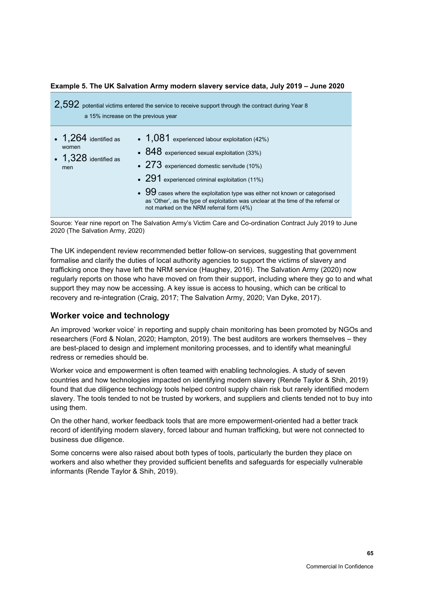### 2,592 potential victims entered the service to receive support through the contract during Year 8 a 15% increase on the previous year  $\cdot$  1.264 identified as women • 1,328 identified as men • 1,081 experienced labour exploitation (42%) • 848 experienced sexual exploitation (33%) • 273 experienced domestic servitude (10%) • 291 experienced criminal exploitation (11%)  $\bullet$  99 cases where the exploitation type was either not known or categorised as 'Other', as the type of exploitation was unclear at the time of the referral or not marked on the NRM referral form (4%)

#### **Example 5. The UK Salvation Army modern slavery service data, July 2019 – June 2020**

Source: Year nine report on The Salvation Army's Victim Care and Co-ordination Contract July 2019 to June 2020 (The Salvation Army, 2020)

The UK independent review recommended better follow-on services, suggesting that government formalise and clarify the duties of local authority agencies to support the victims of slavery and trafficking once they have left the NRM service (Haughey, 2016). The Salvation Army (2020) now regularly reports on those who have moved on from their support, including where they go to and what support they may now be accessing. A key issue is access to housing, which can be critical to recovery and re-integration (Craig, 2017; The Salvation Army, 2020; Van Dyke, 2017).

#### **Worker voice and technology**

An improved 'worker voice' in reporting and supply chain monitoring has been promoted by NGOs and researchers (Ford & Nolan, 2020; Hampton, 2019). The best auditors are workers themselves – they are best-placed to design and implement monitoring processes, and to identify what meaningful redress or remedies should be.

Worker voice and empowerment is often teamed with enabling technologies. A study of seven countries and how technologies impacted on identifying modern slavery (Rende Taylor & Shih, 2019) found that due diligence technology tools helped control supply chain risk but rarely identified modern slavery. The tools tended to not be trusted by workers, and suppliers and clients tended not to buy into using them.

On the other hand, worker feedback tools that are more empowerment-oriented had a better track record of identifying modern slavery, forced labour and human trafficking, but were not connected to business due diligence.

Some concerns were also raised about both types of tools, particularly the burden they place on workers and also whether they provided sufficient benefits and safeguards for especially vulnerable informants (Rende Taylor & Shih, 2019).

**65**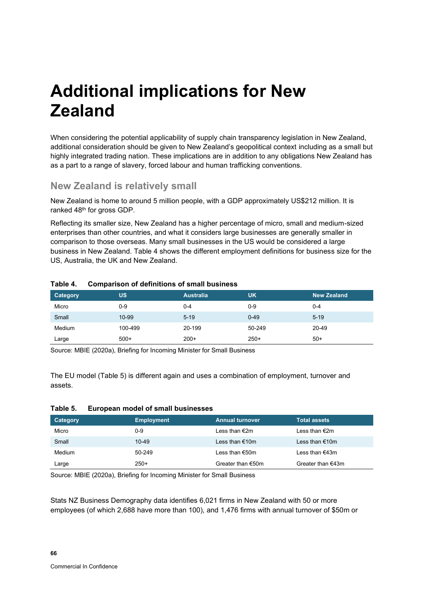## **Additional implications for New Zealand**

When considering the potential applicability of supply chain transparency legislation in New Zealand, additional consideration should be given to New Zealand's geopolitical context including as a small but highly integrated trading nation. These implications are in addition to any obligations New Zealand has as a part to a range of slavery, forced labour and human trafficking conventions.

### **New Zealand is relatively small**

New Zealand is home to around 5 million people, with a GDP approximately US\$212 million. It is ranked 48<sup>th</sup> for gross GDP.

Reflecting its smaller size, New Zealand has a higher percentage of micro, small and medium-sized enterprises than other countries, and what it considers large businesses are generally smaller in comparison to those overseas. Many small businesses in the US would be considered a large business in New Zealand. [Table](#page-73-0) 4 shows the different employment definitions for business size for the US, Australia, the UK and New Zealand.

| Category | <b>US</b> | <b>Australia</b> | <b>UK</b> | <b>New Zealand</b> |
|----------|-----------|------------------|-----------|--------------------|
| Micro    | 0-9       | 0-4              | $0-9$     | 0-4                |
| Small    | 10-99     | $5 - 19$         | $0 - 49$  | $5-19$             |
| Medium   | 100-499   | 20-199           | 50-249    | 20-49              |
| Large    | $500+$    | $200+$           | $250+$    | $50+$              |

#### <span id="page-73-0"></span>**Table 4. Comparison of definitions of small business**

Source: MBIE (2020a), Briefing for Incoming Minister for Small Business

The EU model [\(Table](#page-73-1) 5) is different again and uses a combination of employment, turnover and assets.

#### <span id="page-73-1"></span>**Table 5. European model of small businesses**

| Category | <b>Employment</b> | <b>Annual turnover</b> | <b>Total assets</b> |
|----------|-------------------|------------------------|---------------------|
| Micro    | 0-9               | Less than €2m          | Less than €2m       |
| Small    | $10 - 49$         | Less than €10m         | Less than €10m      |
| Medium   | 50-249            | Less than €50m         | Less than €43m      |
| Large    | $250+$            | Greater than $€50m$    | Greater than $€43m$ |

Source: MBIE (2020a), Briefing for Incoming Minister for Small Business

Stats NZ Business Demography data identifies 6,021 firms in New Zealand with 50 or more employees (of which 2,688 have more than 100), and 1,476 firms with annual turnover of \$50m or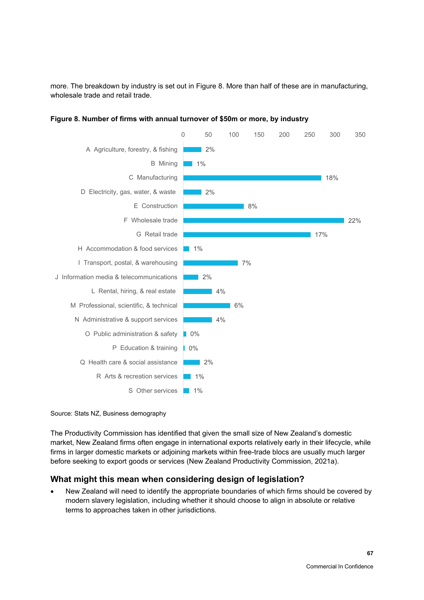more. The breakdown by industry is set out in [Figure 8.](#page-74-0) More than half of these are in manufacturing, wholesale trade and retail trade.



<span id="page-74-0"></span>**Figure 8. Number of firms with annual turnover of \$50m or more, by industry**

Source: Stats NZ, Business demography

The Productivity Commission has identified that given the small size of New Zealand's domestic market, New Zealand firms often engage in international exports relatively early in their lifecycle, while firms in larger domestic markets or adjoining markets within free-trade blocs are usually much larger before seeking to export goods or services (New Zealand Productivity Commission, 2021a).

### **What might this mean when considering design of legislation?**

• New Zealand will need to identify the appropriate boundaries of which firms should be covered by modern slavery legislation, including whether it should choose to align in absolute or relative terms to approaches taken in other jurisdictions.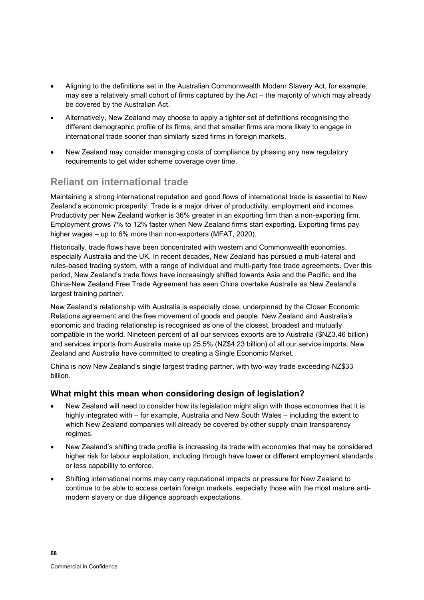- Aligning to the definitions set in the Australian Commonwealth Modern Slavery Act, for example, may see a relatively small cohort of firms captured by the Act – the majority of which may already be covered by the Australian Act.
- Alternatively, New Zealand may choose to apply a tighter set of definitions recognising the different demographic profile of its firms, and that smaller firms are more likely to engage in international trade sooner than similarly sized firms in foreign markets.
- New Zealand may consider managing costs of compliance by phasing any new regulatory requirements to get wider scheme coverage over time.

### **Reliant on international trade**

Maintaining a strong international reputation and good flows of international trade is essential to New Zealand's economic prosperity. Trade is a major driver of productivity, employment and incomes. Productivity per New Zealand worker is 36% greater in an exporting firm than a non-exporting firm. Employment grows 7% to 12% faster when New Zealand firms start exporting. Exporting firms pay higher wages – up to 6% more than non-exporters (MFAT, 2020).

Historically, trade flows have been concentrated with western and Commonwealth economies, especially Australia and the UK. In recent decades, New Zealand has pursued a multi-lateral and rules-based trading system, with a range of individual and multi-party free trade agreements. Over this period, New Zealand's trade flows have increasingly shifted towards Asia and the Pacific, and the China-New Zealand Free Trade Agreement has seen China overtake Australia as New Zealand's largest training partner.

New Zealand's relationship with Australia is especially close, underpinned by the Closer Economic Relations agreement and the free movement of goods and people. New Zealand and Australia's economic and trading relationship is recognised as one of the closest, broadest and mutually compatible in the world. Nineteen percent of all our services exports are to Australia (\$NZ3.46 billion) and services imports from Australia make up 25.5% (NZ\$4.23 billion) of all our service imports. New Zealand and Australia have committed to creating a Single Economic Market.

China is now New Zealand's single largest trading partner, with two-way trade exceeding NZ\$33 billion.

### **What might this mean when considering design of legislation?**

- New Zealand will need to consider how its legislation might align with those economies that it is highly integrated with – for example, Australia and New South Wales – including the extent to which New Zealand companies will already be covered by other supply chain transparency regimes.
- New Zealand's shifting trade profile is increasing its trade with economies that may be considered higher risk for labour exploitation, including through have lower or different employment standards or less capability to enforce.
- Shifting international norms may carry reputational impacts or pressure for New Zealand to continue to be able to access certain foreign markets, especially those with the most mature antimodern slavery or due diligence approach expectations.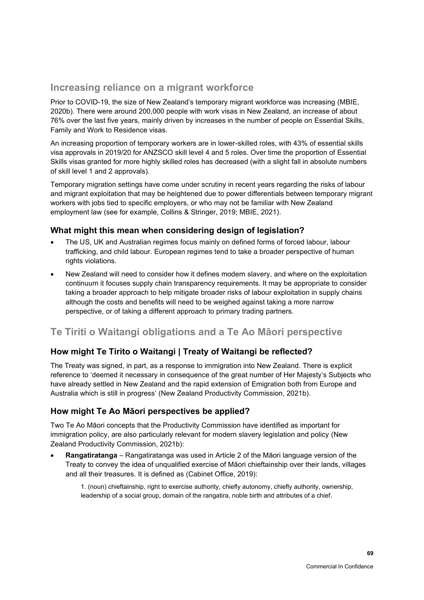### **Increasing reliance on a migrant workforce**

Prior to COVID-19, the size of New Zealand's temporary migrant workforce was increasing (MBIE, 2020b). There were around 200,000 people with work visas in New Zealand, an increase of about 76% over the last five years, mainly driven by increases in the number of people on Essential Skills, Family and Work to Residence visas.

An increasing proportion of temporary workers are in lower-skilled roles, with 43% of essential skills visa approvals in 2019/20 for ANZSCO skill level 4 and 5 roles. Over time the proportion of Essential Skills visas granted for more highly skilled roles has decreased (with a slight fall in absolute numbers of skill level 1 and 2 approvals).

Temporary migration settings have come under scrutiny in recent years regarding the risks of labour and migrant exploitation that may be heightened due to power differentials between temporary migrant workers with jobs tied to specific employers, or who may not be familiar with New Zealand employment law (see for example, Collins & Stringer, 2019; MBIE, 2021).

### **What might this mean when considering design of legislation?**

- The US, UK and Australian regimes focus mainly on defined forms of forced labour, labour trafficking, and child labour. European regimes tend to take a broader perspective of human rights violations.
- New Zealand will need to consider how it defines modern slavery, and where on the exploitation continuum it focuses supply chain transparency requirements. It may be appropriate to consider taking a broader approach to help mitigate broader risks of labour exploitation in supply chains although the costs and benefits will need to be weighed against taking a more narrow perspective, or of taking a different approach to primary trading partners.

### **Te Tiriti o Waitangi obligations and a Te Ao Māori perspective**

### **How might Te Tirito o Waitangi | Treaty of Waitangi be reflected?**

The Treaty was signed, in part, as a response to immigration into New Zealand. There is explicit reference to 'deemed it necessary in consequence of the great number of Her Majesty's Subjects who have already settled in New Zealand and the rapid extension of Emigration both from Europe and Australia which is still in progress' (New Zealand Productivity Commission, 2021b).

### **How might Te Ao Māori perspectives be applied?**

Two Te Ao Māori concepts that the Productivity Commission have identified as important for immigration policy, are also particularly relevant for modern slavery legislation and policy (New Zealand Productivity Commission, 2021b):

• **Rangatiratanga** – Rangatiratanga was used in Article 2 of the Māori language version of the Treaty to convey the idea of unqualified exercise of Māori chieftainship over their lands, villages and all their treasures. It is defined as (Cabinet Office, 2019):

1. (noun) chieftainship, right to exercise authority, chiefly autonomy, chiefly authority, ownership, leadership of a social group, domain of the rangatira, noble birth and attributes of a chief.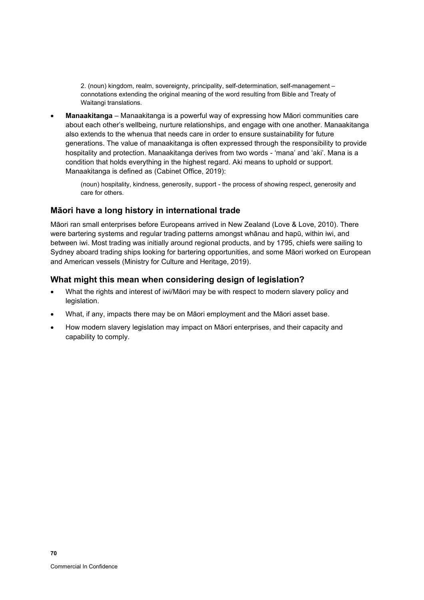2. (noun) kingdom, realm, sovereignty, principality, self-determination, self-management – connotations extending the original meaning of the word resulting from Bible and Treaty of Waitangi translations.

• **Manaakitanga** – Manaakitanga is a powerful way of expressing how Māori communities care about each other's wellbeing, nurture relationships, and engage with one another. Manaakitanga also extends to the whenua that needs care in order to ensure sustainability for future generations. The value of manaakitanga is often expressed through the responsibility to provide hospitality and protection. Manaakitanga derives from two words - 'mana' and 'aki'. Mana is a condition that holds everything in the highest regard. Aki means to uphold or support. Manaakitanga is defined as (Cabinet Office, 2019):

(noun) hospitality, kindness, generosity, support - the process of showing respect, generosity and care for others.

### **Māori have a long history in international trade**

Māori ran small enterprises before Europeans arrived in New Zealand (Love & Love, 2010). There were bartering systems and regular trading patterns amongst whānau and hapū, within iwi, and between iwi. Most trading was initially around regional products, and by 1795, chiefs were sailing to Sydney aboard trading ships looking for bartering opportunities, and some Māori worked on European and American vessels (Ministry for Culture and Heritage, 2019).

### **What might this mean when considering design of legislation?**

- What the rights and interest of iwi/Māori may be with respect to modern slavery policy and legislation.
- What, if any, impacts there may be on Māori employment and the Māori asset base.
- How modern slavery legislation may impact on Māori enterprises, and their capacity and capability to comply.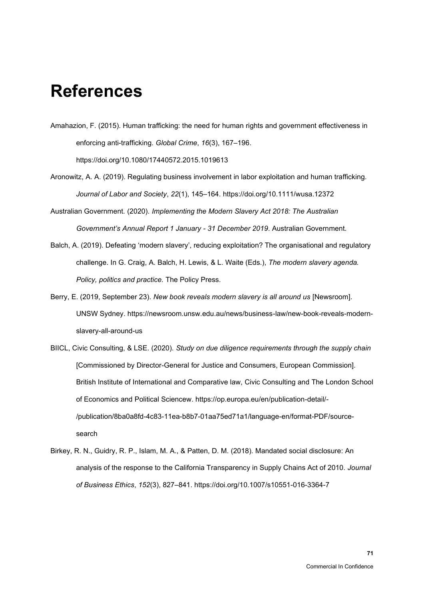## **References**

- Amahazion, F. (2015). Human trafficking: the need for human rights and government effectiveness in enforcing anti-trafficking. *Global Crime*, *16*(3), 167–196. https://doi.org/10.1080/17440572.2015.1019613
- Aronowitz, A. A. (2019). Regulating business involvement in labor exploitation and human trafficking. *Journal of Labor and Society*, *22*(1), 145–164. https://doi.org/10.1111/wusa.12372
- Australian Government. (2020). *Implementing the Modern Slavery Act 2018: The Australian Government's Annual Report 1 January - 31 December 2019*. Australian Government.
- Balch, A. (2019). Defeating 'modern slavery', reducing exploitation? The organisational and regulatory challenge. In G. Craig, A. Balch, H. Lewis, & L. Waite (Eds.), *The modern slavery agenda. Policy, politics and practice.* The Policy Press.
- Berry, E. (2019, September 23). *New book reveals modern slavery is all around us* [Newsroom]. UNSW Sydney. https://newsroom.unsw.edu.au/news/business-law/new-book-reveals-modernslavery-all-around-us
- BIICL, Civic Consulting, & LSE. (2020). *Study on due diligence requirements through the supply chain* [Commissioned by Director-General for Justice and Consumers, European Commission]. British Institute of International and Comparative law, Civic Consulting and The London School of Economics and Political Sciencew. https://op.europa.eu/en/publication-detail/- /publication/8ba0a8fd-4c83-11ea-b8b7-01aa75ed71a1/language-en/format-PDF/sourcesearch
- Birkey, R. N., Guidry, R. P., Islam, M. A., & Patten, D. M. (2018). Mandated social disclosure: An analysis of the response to the California Transparency in Supply Chains Act of 2010. *Journal of Business Ethics*, *152*(3), 827–841. https://doi.org/10.1007/s10551-016-3364-7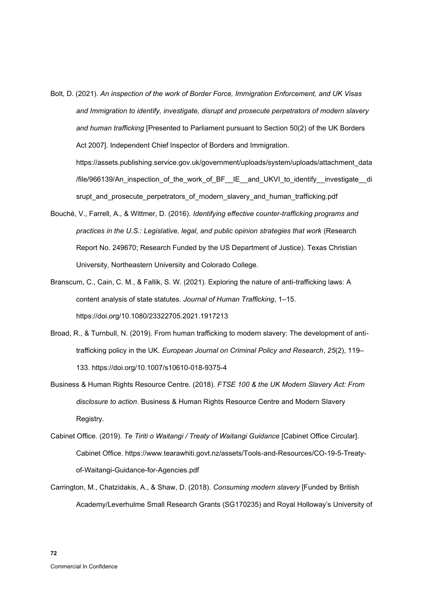- Bolt, D. (2021). *An inspection of the work of Border Force, Immigration Enforcement, and UK Visas and Immigration to identify, investigate, disrupt and prosecute perpetrators of modern slavery and human trafficking* [Presented to Parliament pursuant to Section 50(2) of the UK Borders Act 2007]. Independent Chief Inspector of Borders and Immigration. https://assets.publishing.service.gov.uk/government/uploads/system/uploads/attachment\_data /file/966139/An\_inspection\_of\_the\_work\_of\_BF\_\_IE\_\_and\_UKVI\_to\_identify\_\_investigate\_\_di srupt\_and\_prosecute\_perpetrators\_of\_modern\_slavery\_and\_human\_trafficking.pdf
- Bouché, V., Farrell, A., & Wittmer, D. (2016). *Identifying effective counter-trafficking programs and practices in the U.S.: Legislative, legal, and public opinion strategies that work* (Research Report No. 249670; Research Funded by the US Department of Justice). Texas Christian University, Northeastern University and Colorado College.
- Branscum, C., Cain, C. M., & Fallik, S. W. (2021). Exploring the nature of anti-trafficking laws: A content analysis of state statutes. *Journal of Human Trafficking*, 1–15. https://doi.org/10.1080/23322705.2021.1917213
- Broad, R., & Turnbull, N. (2019). From human trafficking to modern slavery: The development of antitrafficking policy in the UK. *European Journal on Criminal Policy and Research*, *25*(2), 119– 133. https://doi.org/10.1007/s10610-018-9375-4
- Business & Human Rights Resource Centre. (2018). *FTSE 100 & the UK Modern Slavery Act: From disclosure to action*. Business & Human Rights Resource Centre and Modern Slavery Registry.
- Cabinet Office. (2019). *Te Tiriti o Waitangi / Treaty of Waitangi Guidance* [Cabinet Office Circular]. Cabinet Office. https://www.tearawhiti.govt.nz/assets/Tools-and-Resources/CO-19-5-Treatyof-Waitangi-Guidance-for-Agencies.pdf
- Carrington, M., Chatzidakis, A., & Shaw, D. (2018). *Consuming modern slavery* [Funded by British Academy/Leverhulme Small Research Grants (SG170235) and Royal Holloway's University of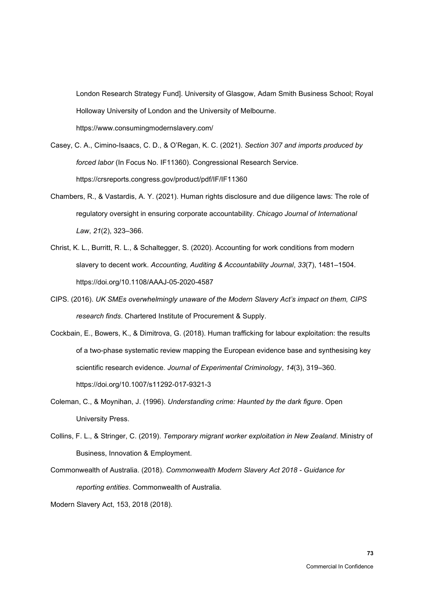London Research Strategy Fund]. University of Glasgow, Adam Smith Business School; Royal Holloway University of London and the University of Melbourne. https://www.consumingmodernslavery.com/

- Casey, C. A., Cimino-Isaacs, C. D., & O'Regan, K. C. (2021). *Section 307 and imports produced by forced labor* (In Focus No. IF11360). Congressional Research Service. https://crsreports.congress.gov/product/pdf/IF/IF11360
- Chambers, R., & Vastardis, A. Y. (2021). Human rights disclosure and due diligence laws: The role of regulatory oversight in ensuring corporate accountability. *Chicago Journal of International Law*, *21*(2), 323–366.
- Christ, K. L., Burritt, R. L., & Schaltegger, S. (2020). Accounting for work conditions from modern slavery to decent work. *Accounting, Auditing & Accountability Journal*, *33*(7), 1481–1504. https://doi.org/10.1108/AAAJ-05-2020-4587
- CIPS. (2016). *UK SMEs overwhelmingly unaware of the Modern Slavery Act's impact on them, CIPS research finds*. Chartered Institute of Procurement & Supply.
- Cockbain, E., Bowers, K., & Dimitrova, G. (2018). Human trafficking for labour exploitation: the results of a two-phase systematic review mapping the European evidence base and synthesising key scientific research evidence. *Journal of Experimental Criminology*, *14*(3), 319–360. https://doi.org/10.1007/s11292-017-9321-3
- Coleman, C., & Moynihan, J. (1996). *Understanding crime: Haunted by the dark figure*. Open University Press.
- Collins, F. L., & Stringer, C. (2019). *Temporary migrant worker exploitation in New Zealand*. Ministry of Business, Innovation & Employment.
- Commonwealth of Australia. (2018). *Commonwealth Modern Slavery Act 2018 - Guidance for reporting entities*. Commonwealth of Australia.

Modern Slavery Act, 153, 2018 (2018).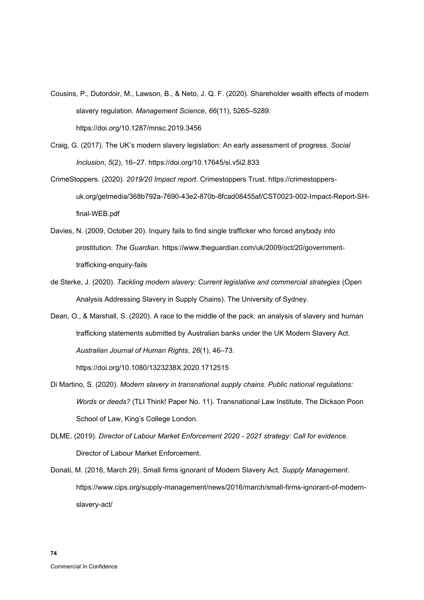- Cousins, P., Dutordoir, M., Lawson, B., & Neto, J. Q. F. (2020). Shareholder wealth effects of modern slavery regulation. *Management Science*, *66*(11), 5265–5289. https://doi.org/10.1287/mnsc.2019.3456
- Craig, G. (2017). The UK's modern slavery legislation: An early assessment of progress. *Social Inclusion*, *5*(2), 16–27. https://doi.org/10.17645/si.v5i2.833
- CrimeStoppers. (2020). *2019/20 Impact report*. Crimestoppers Trust. https://crimestoppersuk.org/getmedia/368b792a-7690-43e2-870b-8fcad08455af/CST0023-002-Impact-Report-SHfinal-WEB.pdf
- Davies, N. (2009, October 20). Inquiry fails to find single trafficker who forced anybody into prostitution. *The Guardian*. https://www.theguardian.com/uk/2009/oct/20/governmenttrafficking-enquiry-fails
- de Sterke, J. (2020). *Tackling modern slavery: Current legislative and commercial strategies* (Open Analysis Addressing Slavery in Supply Chains). The University of Sydney.
- Dean, O., & Marshall, S. (2020). A race to the middle of the pack: an analysis of slavery and human trafficking statements submitted by Australian banks under the UK Modern Slavery Act. *Australian Journal of Human Rights*, *26*(1), 46–73. https://doi.org/10.1080/1323238X.2020.1712515
- Di Martino, S. (2020). *Modern slavery in transnational supply chains. Public national regulations: Words or deeds?* (TLI Think! Paper No. 11). Transnational Law Institute, The Dickson Poon School of Law, King's College London.
- DLME. (2019). *Director of Labour Market Enforcement 2020 - 2021 strategy: Call for evidence*. Director of Labour Market Enforcement.
- Donati, M. (2016, March 29). Small firms ignorant of Modern Slavery Act. *Supply Management*. https://www.cips.org/supply-management/news/2016/march/small-firms-ignorant-of-modernslavery-act/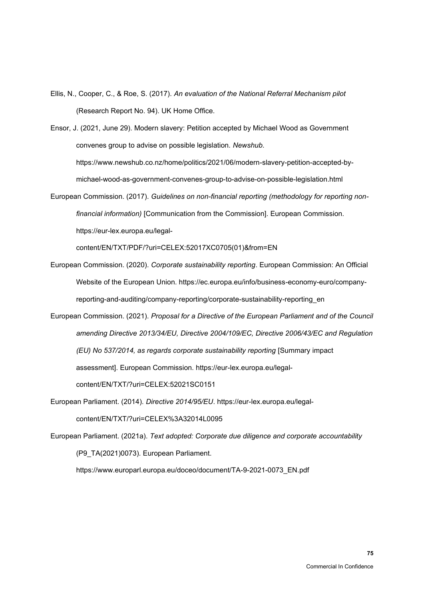Ellis, N., Cooper, C., & Roe, S. (2017). *An evaluation of the National Referral Mechanism pilot* (Research Report No. 94). UK Home Office.

Ensor, J. (2021, June 29). Modern slavery: Petition accepted by Michael Wood as Government convenes group to advise on possible legislation. *Newshub*. https://www.newshub.co.nz/home/politics/2021/06/modern-slavery-petition-accepted-bymichael-wood-as-government-convenes-group-to-advise-on-possible-legislation.html

European Commission. (2017). *Guidelines on non-financial reporting (methodology for reporting nonfinancial information)* [Communication from the Commission]. European Commission. https://eur-lex.europa.eu/legal-

content/EN/TXT/PDF/?uri=CELEX:52017XC0705(01)&from=EN

- European Commission. (2020). *Corporate sustainability reporting*. European Commission: An Official Website of the European Union. https://ec.europa.eu/info/business-economy-euro/companyreporting-and-auditing/company-reporting/corporate-sustainability-reporting\_en
- European Commission. (2021). *Proposal for a Directive of the European Parliament and of the Council amending Directive 2013/34/EU, Directive 2004/109/EC, Directive 2006/43/EC and Regulation (EU) No 537/2014, as regards corporate sustainability reporting* [Summary impact assessment]. European Commission. https://eur-lex.europa.eu/legalcontent/EN/TXT/?uri=CELEX:52021SC0151
- European Parliament. (2014). *Directive 2014/95/EU*. https://eur-lex.europa.eu/legalcontent/EN/TXT/?uri=CELEX%3A32014L0095
- European Parliament. (2021a). *Text adopted: Corporate due diligence and corporate accountability* (P9\_TA(2021)0073). European Parliament.

https://www.europarl.europa.eu/doceo/document/TA-9-2021-0073\_EN.pdf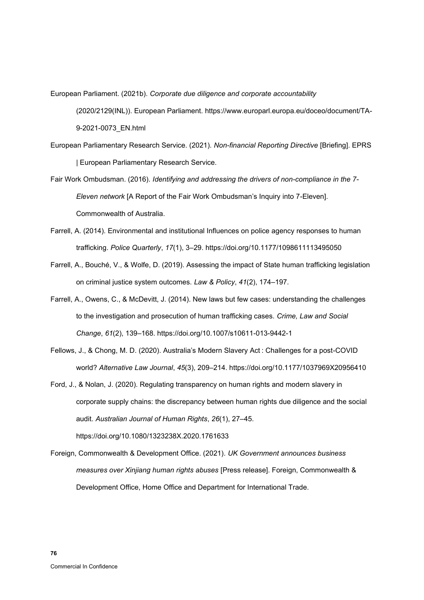European Parliament. (2021b). *Corporate due diligence and corporate accountability* (2020/2129(INL)). European Parliament. https://www.europarl.europa.eu/doceo/document/TA-9-2021-0073\_EN.html

- European Parliamentary Research Service. (2021). *Non-financial Reporting Directive* [Briefing]. EPRS | European Parliamentary Research Service.
- Fair Work Ombudsman. (2016). *Identifying and addressing the drivers of non-compliance in the 7- Eleven network* [A Report of the Fair Work Ombudsman's Inquiry into 7-Eleven]. Commonwealth of Australia.
- Farrell, A. (2014). Environmental and institutional Influences on police agency responses to human trafficking. *Police Quarterly*, *17*(1), 3–29. https://doi.org/10.1177/1098611113495050
- Farrell, A., Bouché, V., & Wolfe, D. (2019). Assessing the impact of State human trafficking legislation on criminal justice system outcomes. *Law & Policy*, *41*(2), 174–197.
- Farrell, A., Owens, C., & McDevitt, J. (2014). New laws but few cases: understanding the challenges to the investigation and prosecution of human trafficking cases. *Crime, Law and Social Change*, *61*(2), 139–168. https://doi.org/10.1007/s10611-013-9442-1
- Fellows, J., & Chong, M. D. (2020). Australia's Modern Slavery Act : Challenges for a post-COVID world? *Alternative Law Journal*, *45*(3), 209–214. https://doi.org/10.1177/1037969X20956410
- Ford, J., & Nolan, J. (2020). Regulating transparency on human rights and modern slavery in corporate supply chains: the discrepancy between human rights due diligence and the social audit. *Australian Journal of Human Rights*, *26*(1), 27–45. https://doi.org/10.1080/1323238X.2020.1761633
- Foreign, Commonwealth & Development Office. (2021). *UK Government announces business measures over Xinjiang human rights abuses* [Press release]. Foreign, Commonwealth & Development Office, Home Office and Department for International Trade.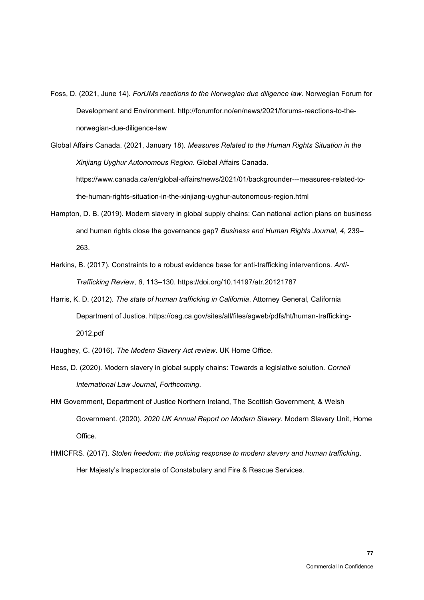- Foss, D. (2021, June 14). *ForUMs reactions to the Norwegian due diligence law*. Norwegian Forum for Development and Environment. http://forumfor.no/en/news/2021/forums-reactions-to-thenorwegian-due-diligence-law
- Global Affairs Canada. (2021, January 18). *Measures Related to the Human Rights Situation in the Xinjiang Uyghur Autonomous Region*. Global Affairs Canada. https://www.canada.ca/en/global-affairs/news/2021/01/backgrounder---measures-related-tothe-human-rights-situation-in-the-xinjiang-uyghur-autonomous-region.html
- Hampton, D. B. (2019). Modern slavery in global supply chains: Can national action plans on business and human rights close the governance gap? *Business and Human Rights Journal*, *4*, 239– 263.
- Harkins, B. (2017). Constraints to a robust evidence base for anti-trafficking interventions. *Anti-Trafficking Review*, *8*, 113–130. https://doi.org/10.14197/atr.20121787
- Harris, K. D. (2012). *The state of human trafficking in California*. Attorney General, California Department of Justice. https://oag.ca.gov/sites/all/files/agweb/pdfs/ht/human-trafficking-2012.pdf
- Haughey, C. (2016). *The Modern Slavery Act review*. UK Home Office.
- Hess, D. (2020). Modern slavery in global supply chains: Towards a legislative solution. *Cornell International Law Journal*, *Forthcoming*.
- HM Government, Department of Justice Northern Ireland, The Scottish Government, & Welsh Government. (2020). *2020 UK Annual Report on Modern Slavery*. Modern Slavery Unit, Home Office.
- HMICFRS. (2017). *Stolen freedom: the policing response to modern slavery and human trafficking*. Her Majesty's Inspectorate of Constabulary and Fire & Rescue Services.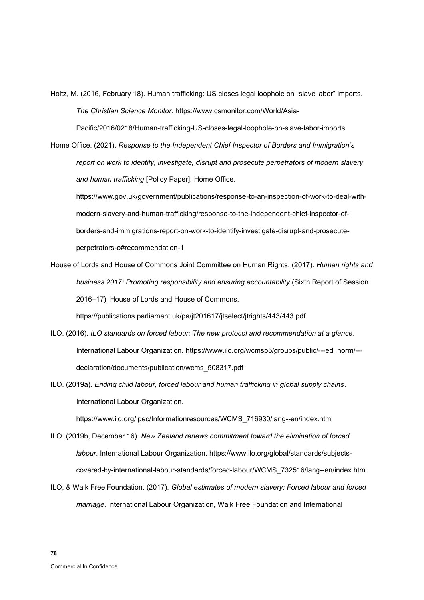Holtz, M. (2016, February 18). Human trafficking: US closes legal loophole on "slave labor" imports. *The Christian Science Monitor*. https://www.csmonitor.com/World/Asia-

Pacific/2016/0218/Human-trafficking-US-closes-legal-loophole-on-slave-labor-imports

Home Office. (2021). *Response to the Independent Chief Inspector of Borders and Immigration's report on work to identify, investigate, disrupt and prosecute perpetrators of modern slavery and human trafficking* [Policy Paper]. Home Office.

https://www.gov.uk/government/publications/response-to-an-inspection-of-work-to-deal-withmodern-slavery-and-human-trafficking/response-to-the-independent-chief-inspector-ofborders-and-immigrations-report-on-work-to-identify-investigate-disrupt-and-prosecuteperpetrators-o#recommendation-1

House of Lords and House of Commons Joint Committee on Human Rights. (2017). *Human rights and business 2017: Promoting responsibility and ensuring accountability* (Sixth Report of Session 2016–17). House of Lords and House of Commons.

https://publications.parliament.uk/pa/jt201617/jtselect/jtrights/443/443.pdf

- ILO. (2016). *ILO standards on forced labour: The new protocol and recommendation at a glance*. International Labour Organization. https://www.ilo.org/wcmsp5/groups/public/---ed\_norm/-- declaration/documents/publication/wcms\_508317.pdf
- ILO. (2019a). *Ending child labour, forced labour and human trafficking in global supply chains*. International Labour Organization.

https://www.ilo.org/ipec/Informationresources/WCMS\_716930/lang--en/index.htm

- ILO. (2019b, December 16). *New Zealand renews commitment toward the elimination of forced labour*. International Labour Organization. https://www.ilo.org/global/standards/subjectscovered-by-international-labour-standards/forced-labour/WCMS\_732516/lang--en/index.htm
- ILO, & Walk Free Foundation. (2017). *Global estimates of modern slavery: Forced labour and forced marriage*. International Labour Organization, Walk Free Foundation and International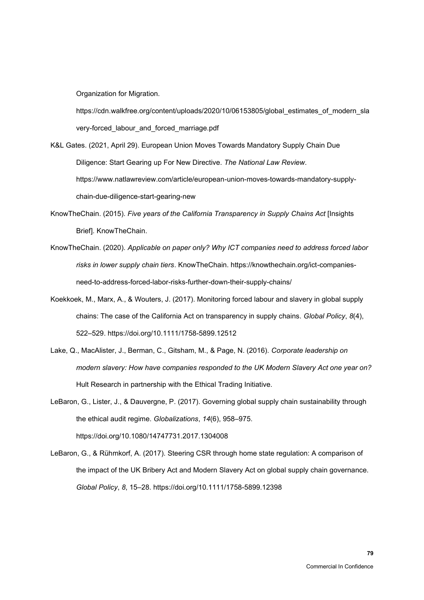Organization for Migration.

https://cdn.walkfree.org/content/uploads/2020/10/06153805/global\_estimates\_of\_modern\_sla very-forced\_labour\_and\_forced\_marriage.pdf

- K&L Gates. (2021, April 29). European Union Moves Towards Mandatory Supply Chain Due Diligence: Start Gearing up For New Directive. *The National Law Review*. https://www.natlawreview.com/article/european-union-moves-towards-mandatory-supplychain-due-diligence-start-gearing-new
- KnowTheChain. (2015). *Five years of the California Transparency in Supply Chains Act* [Insights Brief]. KnowTheChain.
- KnowTheChain. (2020). *Applicable on paper only? Why ICT companies need to address forced labor risks in lower supply chain tiers*. KnowTheChain. https://knowthechain.org/ict-companiesneed-to-address-forced-labor-risks-further-down-their-supply-chains/
- Koekkoek, M., Marx, A., & Wouters, J. (2017). Monitoring forced labour and slavery in global supply chains: The case of the California Act on transparency in supply chains. *Global Policy*, *8*(4), 522–529. https://doi.org/10.1111/1758-5899.12512
- Lake, Q., MacAlister, J., Berman, C., Gitsham, M., & Page, N. (2016). *Corporate leadership on modern slavery: How have companies responded to the UK Modern Slavery Act one year on?* Hult Research in partnership with the Ethical Trading Initiative.
- LeBaron, G., Lister, J., & Dauvergne, P. (2017). Governing global supply chain sustainability through the ethical audit regime. *Globalizations*, *14*(6), 958–975. https://doi.org/10.1080/14747731.2017.1304008
- LeBaron, G., & Rühmkorf, A. (2017). Steering CSR through home state regulation: A comparison of the impact of the UK Bribery Act and Modern Slavery Act on global supply chain governance. *Global Policy*, *8*, 15–28. https://doi.org/10.1111/1758-5899.12398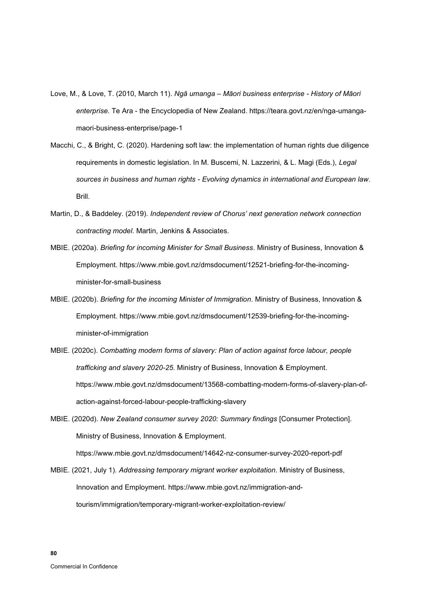- Love, M., & Love, T. (2010, March 11). *Ngā umanga – Māori business enterprise - History of Māori enterprise*. Te Ara - the Encyclopedia of New Zealand. https://teara.govt.nz/en/nga-umangamaori-business-enterprise/page-1
- Macchi, C., & Bright, C. (2020). Hardening soft law: the implementation of human rights due diligence requirements in domestic legislation. In M. Buscemi, N. Lazzerini, & L. Magi (Eds.), *Legal sources in business and human rights - Evolving dynamics in international and European law*. Brill.
- Martin, D., & Baddeley. (2019). *Independent review of Chorus' next generation network connection contracting model*. Martin, Jenkins & Associates.
- MBIE. (2020a). *Briefing for incoming Minister for Small Business*. Ministry of Business, Innovation & Employment. https://www.mbie.govt.nz/dmsdocument/12521-briefing-for-the-incomingminister-for-small-business
- MBIE. (2020b). *Briefing for the incoming Minister of Immigration*. Ministry of Business, Innovation & Employment. https://www.mbie.govt.nz/dmsdocument/12539-briefing-for-the-incomingminister-of-immigration
- MBIE. (2020c). *Combatting modern forms of slavery: Plan of action against force labour, people trafficking and slavery 2020-25*. Ministry of Business, Innovation & Employment. https://www.mbie.govt.nz/dmsdocument/13568-combatting-modern-forms-of-slavery-plan-ofaction-against-forced-labour-people-trafficking-slavery

MBIE. (2020d). *New Zealand consumer survey 2020: Summary findings* [Consumer Protection]. Ministry of Business, Innovation & Employment. https://www.mbie.govt.nz/dmsdocument/14642-nz-consumer-survey-2020-report-pdf

MBIE. (2021, July 1). *Addressing temporary migrant worker exploitation*. Ministry of Business, Innovation and Employment. https://www.mbie.govt.nz/immigration-andtourism/immigration/temporary-migrant-worker-exploitation-review/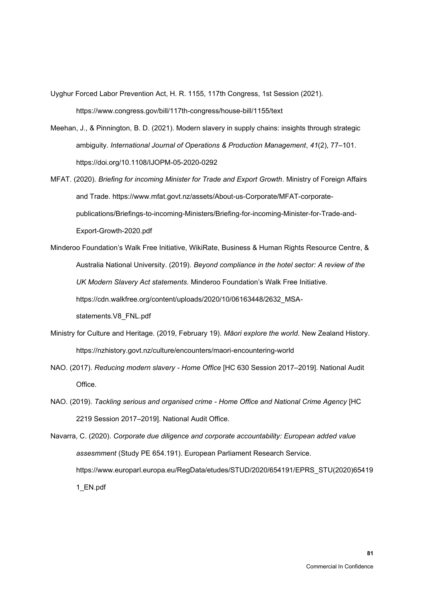Uyghur Forced Labor Prevention Act, H. R. 1155, 117th Congress, 1st Session (2021). https://www.congress.gov/bill/117th-congress/house-bill/1155/text

- Meehan, J., & Pinnington, B. D. (2021). Modern slavery in supply chains: insights through strategic ambiguity. *International Journal of Operations & Production Management*, *41*(2), 77–101. https://doi.org/10.1108/IJOPM-05-2020-0292
- MFAT. (2020). *Briefing for incoming Minister for Trade and Export Growth*. Ministry of Foreign Affairs and Trade. https://www.mfat.govt.nz/assets/About-us-Corporate/MFAT-corporatepublications/Briefings-to-incoming-Ministers/Briefing-for-incoming-Minister-for-Trade-and-Export-Growth-2020.pdf
- Minderoo Foundation's Walk Free Initiative, WikiRate, Business & Human Rights Resource Centre, & Australia National University. (2019). *Beyond compliance in the hotel sector: A review of the UK Modern Slavery Act statements*. Minderoo Foundation's Walk Free Initiative. https://cdn.walkfree.org/content/uploads/2020/10/06163448/2632\_MSAstatements.V8\_FNL.pdf
- Ministry for Culture and Heritage. (2019, February 19). *Māori explore the world*. New Zealand History. https://nzhistory.govt.nz/culture/encounters/maori-encountering-world
- NAO. (2017). *Reducing modern slavery - Home Office* [HC 630 Session 2017–2019]. National Audit Office.
- NAO. (2019). *Tackling serious and organised crime - Home Office and National Crime Agency* [HC 2219 Session 2017–2019]. National Audit Office.

Navarra, C. (2020). *Corporate due diligence and corporate accountability: European added value assesmment* (Study PE 654.191). European Parliament Research Service. https://www.europarl.europa.eu/RegData/etudes/STUD/2020/654191/EPRS\_STU(2020)65419 1\_EN.pdf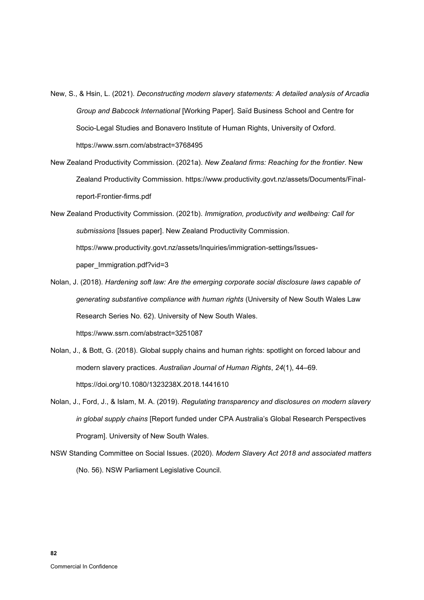- New, S., & Hsin, L. (2021). *Deconstructing modern slavery statements: A detailed analysis of Arcadia Group and Babcock International* [Working Paper]. Saïd Business School and Centre for Socio-Legal Studies and Bonavero Institute of Human Rights, University of Oxford. https://www.ssrn.com/abstract=3768495
- New Zealand Productivity Commission. (2021a). *New Zealand firms: Reaching for the frontier*. New Zealand Productivity Commission. https://www.productivity.govt.nz/assets/Documents/Finalreport-Frontier-firms.pdf
- New Zealand Productivity Commission. (2021b). *Immigration, productivity and wellbeing: Call for submissions* [Issues paper]. New Zealand Productivity Commission. https://www.productivity.govt.nz/assets/Inquiries/immigration-settings/Issuespaper\_Immigration.pdf?vid=3
- Nolan, J. (2018). *Hardening soft law: Are the emerging corporate social disclosure laws capable of generating substantive compliance with human rights* (University of New South Wales Law Research Series No. 62). University of New South Wales. https://www.ssrn.com/abstract=3251087
- Nolan, J., & Bott, G. (2018). Global supply chains and human rights: spotlight on forced labour and modern slavery practices. *Australian Journal of Human Rights*, *24*(1), 44–69. https://doi.org/10.1080/1323238X.2018.1441610
- Nolan, J., Ford, J., & Islam, M. A. (2019). *Regulating transparency and disclosures on modern slavery in global supply chains* [Report funded under CPA Australia's Global Research Perspectives Program]. University of New South Wales.
- NSW Standing Committee on Social Issues. (2020). *Modern Slavery Act 2018 and associated matters* (No. 56). NSW Parliament Legislative Council.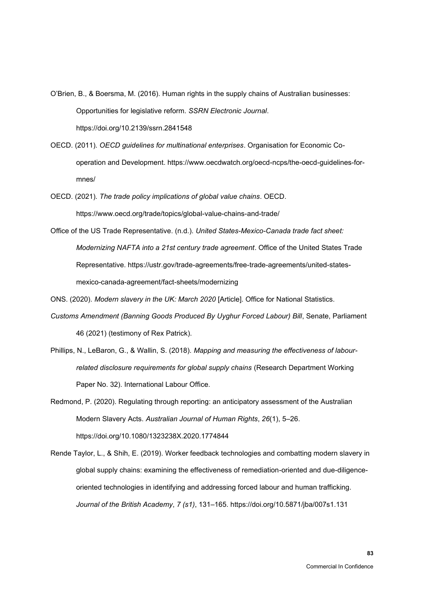O'Brien, B., & Boersma, M. (2016). Human rights in the supply chains of Australian businesses: Opportunities for legislative reform. *SSRN Electronic Journal*. https://doi.org/10.2139/ssrn.2841548

- OECD. (2011). *OECD guidelines for multinational enterprises*. Organisation for Economic Cooperation and Development. https://www.oecdwatch.org/oecd-ncps/the-oecd-guidelines-formnes/
- OECD. (2021). *The trade policy implications of global value chains*. OECD. https://www.oecd.org/trade/topics/global-value-chains-and-trade/
- Office of the US Trade Representative. (n.d.). *United States-Mexico-Canada trade fact sheet: Modernizing NAFTA into a 21st century trade agreement*. Office of the United States Trade Representative. https://ustr.gov/trade-agreements/free-trade-agreements/united-statesmexico-canada-agreement/fact-sheets/modernizing
- ONS. (2020). *Modern slavery in the UK: March 2020* [Article]. Office for National Statistics.
- *Customs Amendment (Banning Goods Produced By Uyghur Forced Labour) Bill*, Senate, Parliament 46 (2021) (testimony of Rex Patrick).
- Phillips, N., LeBaron, G., & Wallin, S. (2018). *Mapping and measuring the effectiveness of labourrelated disclosure requirements for global supply chains* (Research Department Working Paper No. 32). International Labour Office.
- Redmond, P. (2020). Regulating through reporting: an anticipatory assessment of the Australian Modern Slavery Acts. *Australian Journal of Human Rights*, *26*(1), 5–26. https://doi.org/10.1080/1323238X.2020.1774844
- Rende Taylor, L., & Shih, E. (2019). Worker feedback technologies and combatting modern slavery in global supply chains: examining the effectiveness of remediation-oriented and due-diligenceoriented technologies in identifying and addressing forced labour and human trafficking. *Journal of the British Academy*, *7 (s1)*, 131–165. https://doi.org/10.5871/jba/007s1.131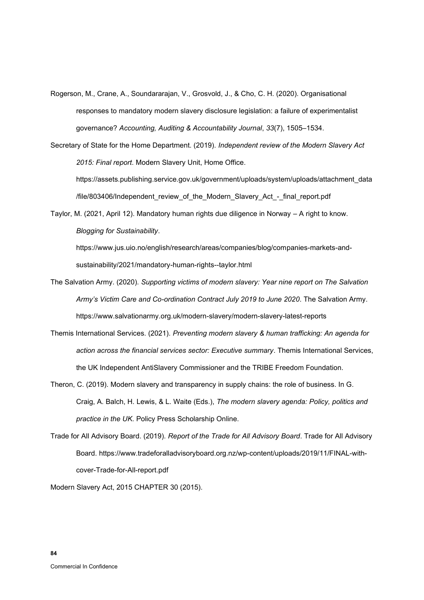- Rogerson, M., Crane, A., Soundararajan, V., Grosvold, J., & Cho, C. H. (2020). Organisational responses to mandatory modern slavery disclosure legislation: a failure of experimentalist governance? *Accounting, Auditing & Accountability Journal*, *33*(7), 1505–1534.
- Secretary of State for the Home Department. (2019). *Independent review of the Modern Slavery Act 2015: Final report*. Modern Slavery Unit, Home Office.

https://assets.publishing.service.gov.uk/government/uploads/system/uploads/attachment\_data /file/803406/Independent\_review\_of\_the\_Modern\_Slavery\_Act\_-\_final\_report.pdf

Taylor, M. (2021, April 12). Mandatory human rights due diligence in Norway – A right to know. *Blogging for Sustainability*.

https://www.jus.uio.no/english/research/areas/companies/blog/companies-markets-andsustainability/2021/mandatory-human-rights--taylor.html

- The Salvation Army. (2020). *Supporting victims of modern slavery: Year nine report on The Salvation Army's Victim Care and Co-ordination Contract July 2019 to June 2020*. The Salvation Army. https://www.salvationarmy.org.uk/modern-slavery/modern-slavery-latest-reports
- Themis International Services. (2021). *Preventing modern slavery & human trafficking: An agenda for action across the financial services sector: Executive summary*. Themis International Services, the UK Independent AntiSlavery Commissioner and the TRIBE Freedom Foundation.
- Theron, C. (2019). Modern slavery and transparency in supply chains: the role of business. In G. Craig, A. Balch, H. Lewis, & L. Waite (Eds.), *The modern slavery agenda: Policy, politics and practice in the UK*. Policy Press Scholarship Online.
- Trade for All Advisory Board. (2019). *Report of the Trade for All Advisory Board*. Trade for All Advisory Board. https://www.tradeforalladvisoryboard.org.nz/wp-content/uploads/2019/11/FINAL-withcover-Trade-for-All-report.pdf

Modern Slavery Act, 2015 CHAPTER 30 (2015).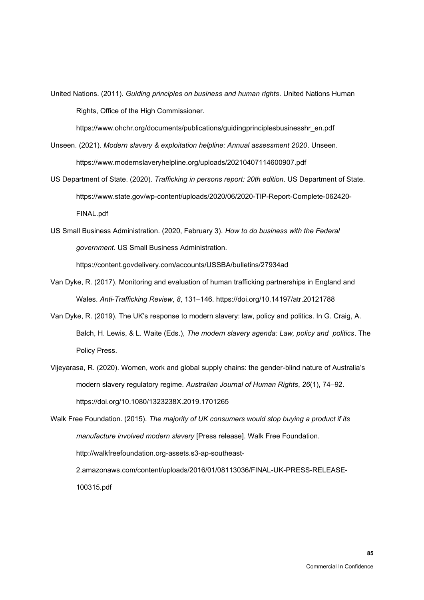United Nations. (2011). *Guiding principles on business and human rights*. United Nations Human Rights, Office of the High Commissioner.

https://www.ohchr.org/documents/publications/guidingprinciplesbusinesshr\_en.pdf

- Unseen. (2021). *Modern slavery & exploitation helpline: Annual assessment 2020*. Unseen. https://www.modernslaveryhelpline.org/uploads/20210407114600907.pdf
- US Department of State. (2020). *Trafficking in persons report: 20th edition*. US Department of State. https://www.state.gov/wp-content/uploads/2020/06/2020-TIP-Report-Complete-062420- FINAL.pdf
- US Small Business Administration. (2020, February 3). *How to do business with the Federal government*. US Small Business Administration.

https://content.govdelivery.com/accounts/USSBA/bulletins/27934ad

- Van Dyke, R. (2017). Monitoring and evaluation of human trafficking partnerships in England and Wales. *Anti-Trafficking Review*, *8*, 131–146. https://doi.org/10.14197/atr.20121788
- Van Dyke, R. (2019). The UK's response to modern slavery: law, policy and politics. In G. Craig, A. Balch, H. Lewis, & L. Waite (Eds.), *The modern slavery agenda: Law, policy and politics*. The Policy Press.
- Vijeyarasa, R. (2020). Women, work and global supply chains: the gender-blind nature of Australia's modern slavery regulatory regime. *Australian Journal of Human Rights*, *26*(1), 74–92. https://doi.org/10.1080/1323238X.2019.1701265

Walk Free Foundation. (2015). *The majority of UK consumers would stop buying a product if its manufacture involved modern slavery* [Press release]. Walk Free Foundation. http://walkfreefoundation.org-assets.s3-ap-southeast-2.amazonaws.com/content/uploads/2016/01/08113036/FINAL-UK-PRESS-RELEASE-100315.pdf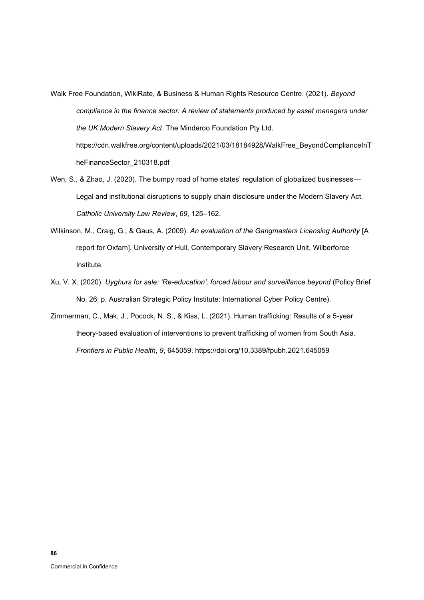- Walk Free Foundation, WikiRate, & Business & Human Rights Resource Centre. (2021). *Beyond compliance in the finance sector: A review of statements produced by asset managers under the UK Modern Slavery Act*. The Minderoo Foundation Pty Ltd. https://cdn.walkfree.org/content/uploads/2021/03/18184928/WalkFree\_BeyondComplianceInT heFinanceSector\_210318.pdf
- Wen, S., & Zhao, J. (2020). The bumpy road of home states' regulation of globalized businesses— Legal and institutional disruptions to supply chain disclosure under the Modern Slavery Act. *Catholic University Law Review*, *69*, 125–162.
- Wilkinson, M., Craig, G., & Gaus, A. (2009). *An evaluation of the Gangmasters Licensing Authority* [A report for Oxfam]. University of Hull, Contemporary Slavery Research Unit, Wilberforce Institute.
- Xu, V. X. (2020). *Uyghurs for sale: 'Re-education', forced labour and surveillance beyond* (Policy Brief No. 26; p. Australian Strategic Policy Institute: International Cyber Policy Centre).
- Zimmerman, C., Mak, J., Pocock, N. S., & Kiss, L. (2021). Human trafficking: Results of a 5-year theory-based evaluation of interventions to prevent trafficking of women from South Asia. *Frontiers in Public Health*, *9*, 645059. https://doi.org/10.3389/fpubh.2021.645059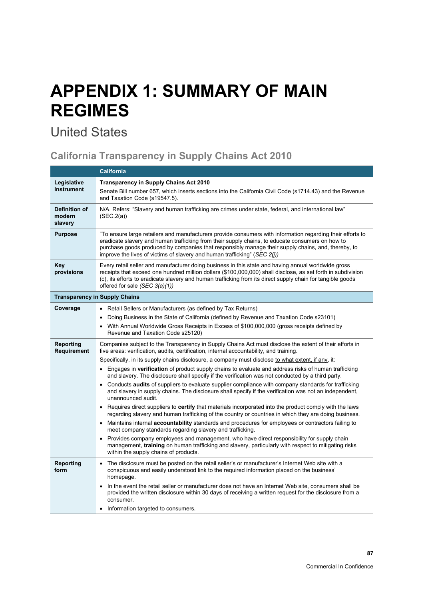## **APPENDIX 1: SUMMARY OF MAIN REGIMES**

## United States

### **California Transparency in Supply Chains Act 2010**

|                                    | <b>California</b>                                                                                                                                                                                                                                                                                                                                                                                    |  |  |
|------------------------------------|------------------------------------------------------------------------------------------------------------------------------------------------------------------------------------------------------------------------------------------------------------------------------------------------------------------------------------------------------------------------------------------------------|--|--|
| Legislative<br><b>Instrument</b>   | <b>Transparency in Supply Chains Act 2010</b><br>Senate Bill number 657, which inserts sections into the California Civil Code (s1714.43) and the Revenue<br>and Taxation Code (s19547.5).                                                                                                                                                                                                           |  |  |
| Definition of<br>modern<br>slavery | N/A. Refers: "Slavery and human trafficking are crimes under state, federal, and international law"<br>(SEC.2(a))                                                                                                                                                                                                                                                                                    |  |  |
| <b>Purpose</b>                     | "To ensure large retailers and manufacturers provide consumers with information regarding their efforts to<br>eradicate slavery and human trafficking from their supply chains, to educate consumers on how to<br>purchase goods produced by companies that responsibly manage their supply chains, and, thereby, to<br>improve the lives of victims of slavery and human trafficking" (SEC $2(i)$ ) |  |  |
| Key<br>provisions                  | Every retail seller and manufacturer doing business in this state and having annual worldwide gross<br>receipts that exceed one hundred million dollars (\$100,000,000) shall disclose, as set forth in subdivision<br>(c), its efforts to eradicate slavery and human trafficking from its direct supply chain for tangible goods<br>offered for sale (SEC 3(a)(1))                                 |  |  |
|                                    | <b>Transparency in Supply Chains</b>                                                                                                                                                                                                                                                                                                                                                                 |  |  |
| Coverage                           | • Retail Sellers or Manufacturers (as defined by Tax Returns)                                                                                                                                                                                                                                                                                                                                        |  |  |
|                                    | Doing Business in the State of California (defined by Revenue and Taxation Code s23101)<br>$\bullet$                                                                                                                                                                                                                                                                                                 |  |  |
|                                    | With Annual Worldwide Gross Receipts in Excess of \$100,000,000 (gross receipts defined by<br>$\bullet$<br>Revenue and Taxation Code s25120)                                                                                                                                                                                                                                                         |  |  |
| Reporting<br>Requirement           | Companies subject to the Transparency in Supply Chains Act must disclose the extent of their efforts in<br>five areas: verification, audits, certification, internal accountability, and training.                                                                                                                                                                                                   |  |  |
|                                    | Specifically, in its supply chains disclosure, a company must disclose to what extent, if any, it:                                                                                                                                                                                                                                                                                                   |  |  |
|                                    | • Engages in <b>verification</b> of product supply chains to evaluate and address risks of human trafficking<br>and slavery. The disclosure shall specify if the verification was not conducted by a third party.                                                                                                                                                                                    |  |  |
|                                    | • Conducts audits of suppliers to evaluate supplier compliance with company standards for trafficking<br>and slavery in supply chains. The disclosure shall specify if the verification was not an independent,<br>unannounced audit.                                                                                                                                                                |  |  |
|                                    | Requires direct suppliers to certify that materials incorporated into the product comply with the laws<br>$\bullet$<br>regarding slavery and human trafficking of the country or countries in which they are doing business.                                                                                                                                                                         |  |  |
|                                    | Maintains internal <b>accountability</b> standards and procedures for employees or contractors failing to<br>$\bullet$<br>meet company standards regarding slavery and trafficking.                                                                                                                                                                                                                  |  |  |
|                                    | Provides company employees and management, who have direct responsibility for supply chain<br>$\bullet$<br>management, training on human trafficking and slavery, particularly with respect to mitigating risks<br>within the supply chains of products.                                                                                                                                             |  |  |
| Reporting<br>form                  | The disclosure must be posted on the retail seller's or manufacturer's Internet Web site with a<br>$\bullet$<br>conspicuous and easily understood link to the required information placed on the business'<br>homepage.                                                                                                                                                                              |  |  |
|                                    | In the event the retail seller or manufacturer does not have an Internet Web site, consumers shall be<br>$\bullet$<br>provided the written disclosure within 30 days of receiving a written request for the disclosure from a<br>consumer.                                                                                                                                                           |  |  |
|                                    | Information targeted to consumers.<br>$\bullet$                                                                                                                                                                                                                                                                                                                                                      |  |  |

**87**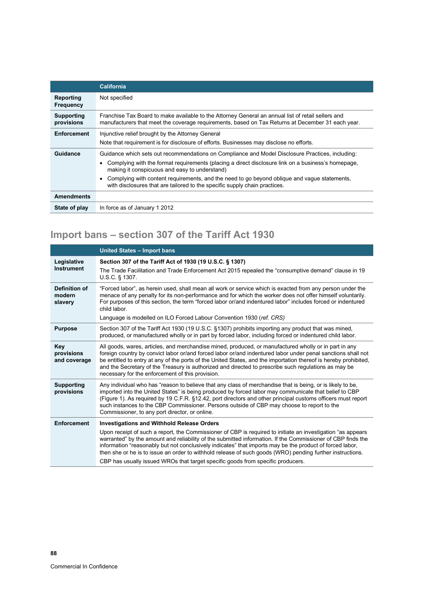|                                 | <b>California</b>                                                                                                                                                                                                                                                                                                                                                                                                                     |
|---------------------------------|---------------------------------------------------------------------------------------------------------------------------------------------------------------------------------------------------------------------------------------------------------------------------------------------------------------------------------------------------------------------------------------------------------------------------------------|
| Reporting<br>Frequency          | Not specified                                                                                                                                                                                                                                                                                                                                                                                                                         |
| <b>Supporting</b><br>provisions | Franchise Tax Board to make available to the Attorney General an annual list of retail sellers and<br>manufacturers that meet the coverage requirements, based on Tax Returns at December 31 each year.                                                                                                                                                                                                                               |
| <b>Enforcement</b>              | Injunctive relief brought by the Attorney General<br>Note that requirement is for disclosure of efforts. Businesses may disclose no efforts.                                                                                                                                                                                                                                                                                          |
| Guidance                        | Guidance which sets out recommendations on Compliance and Model Disclosure Practices, including:<br>Complying with the format requirements (placing a direct disclosure link on a business's homepage,<br>making it conspicuous and easy to understand)<br>Complying with content requirements, and the need to go beyond oblique and vague statements,<br>with disclosures that are tailored to the specific supply chain practices. |
| <b>Amendments</b>               |                                                                                                                                                                                                                                                                                                                                                                                                                                       |
| State of play                   | In force as of January 1 2012                                                                                                                                                                                                                                                                                                                                                                                                         |

## **Import bans – section 307 of the Tariff Act 1930**

|                                    | <b>United States - Import bans</b>                                                                                                                                                                                                                                                                                                                                                                                                                                                                    |
|------------------------------------|-------------------------------------------------------------------------------------------------------------------------------------------------------------------------------------------------------------------------------------------------------------------------------------------------------------------------------------------------------------------------------------------------------------------------------------------------------------------------------------------------------|
| Legislative<br>Instrument          | Section 307 of the Tariff Act of 1930 (19 U.S.C. § 1307)<br>The Trade Facilitation and Trade Enforcement Act 2015 repealed the "consumptive demand" clause in 19<br>U.S.C. § 1307.                                                                                                                                                                                                                                                                                                                    |
| Definition of<br>modern<br>slavery | "Forced labor", as herein used, shall mean all work or service which is exacted from any person under the<br>menace of any penalty for its non-performance and for which the worker does not offer himself voluntarily.<br>For purposes of this section, the term "forced labor or/and indentured labor" includes forced or indentured<br>child labor.<br>Language is modelled on ILO Forced Labour Convention 1930 (ref. CRS)                                                                        |
| <b>Purpose</b>                     | Section 307 of the Tariff Act 1930 (19 U.S.C. §1307) prohibits importing any product that was mined,                                                                                                                                                                                                                                                                                                                                                                                                  |
|                                    | produced, or manufactured wholly or in part by forced labor, including forced or indentured child labor.                                                                                                                                                                                                                                                                                                                                                                                              |
| Key<br>provisions<br>and coverage  | All goods, wares, articles, and merchandise mined, produced, or manufactured wholly or in part in any<br>foreign country by convict labor or/and forced labor or/and indentured labor under penal sanctions shall not<br>be entitled to entry at any of the ports of the United States, and the importation thereof is hereby prohibited,<br>and the Secretary of the Treasury is authorized and directed to prescribe such regulations as may be<br>necessary for the enforcement of this provision. |
| <b>Supporting</b><br>provisions    | Any individual who has "reason to believe that any class of merchandise that is being, or is likely to be,<br>imported into the United States" is being produced by forced labor may communicate that belief to CBP<br>(Figure 1). As required by 19 C.F.R. §12.42, port directors and other principal customs officers must report<br>such instances to the CBP Commissioner. Persons outside of CBP may choose to report to the<br>Commissioner, to any port director, or online.                   |
| <b>Enforcement</b>                 | <b>Investigations and Withhold Release Orders</b>                                                                                                                                                                                                                                                                                                                                                                                                                                                     |
|                                    | Upon receipt of such a report, the Commissioner of CBP is required to initiate an investigation "as appears"<br>warranted" by the amount and reliability of the submitted information. If the Commissioner of CBP finds the<br>information "reasonably but not conclusively indicates" that imports may be the product of forced labor,<br>then she or he is to issue an order to withhold release of such goods (WRO) pending further instructions.                                                  |
|                                    | CBP has usually issued WROs that target specific goods from specific producers.                                                                                                                                                                                                                                                                                                                                                                                                                       |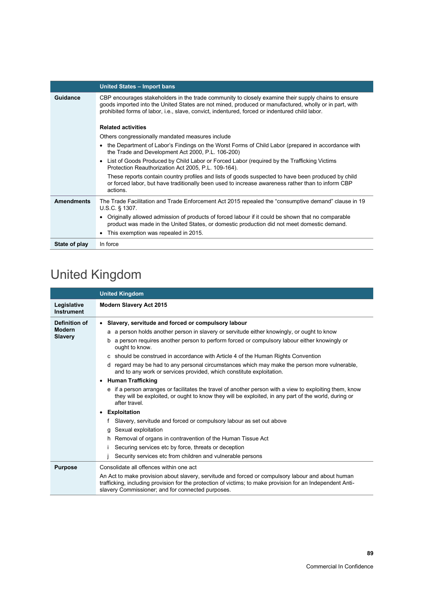|                   | United States - Import bans                                                                                                                                                                                                                                                                                     |  |  |
|-------------------|-----------------------------------------------------------------------------------------------------------------------------------------------------------------------------------------------------------------------------------------------------------------------------------------------------------------|--|--|
| <b>Guidance</b>   | CBP encourages stakeholders in the trade community to closely examine their supply chains to ensure<br>goods imported into the United States are not mined, produced or manufactured, wholly or in part, with<br>prohibited forms of labor, i.e., slave, convict, indentured, forced or indentured child labor. |  |  |
|                   | <b>Related activities</b>                                                                                                                                                                                                                                                                                       |  |  |
|                   | Others congressionally mandated measures include                                                                                                                                                                                                                                                                |  |  |
|                   | the Department of Labor's Findings on the Worst Forms of Child Labor (prepared in accordance with<br>$\bullet$<br>the Trade and Development Act 2000, P.L. 106-200)                                                                                                                                             |  |  |
|                   | List of Goods Produced by Child Labor or Forced Labor (required by the Trafficking Victims<br>$\bullet$<br>Protection Reauthorization Act 2005, P.L. 109-164).                                                                                                                                                  |  |  |
|                   | These reports contain country profiles and lists of goods suspected to have been produced by child<br>or forced labor, but have traditionally been used to increase awareness rather than to inform CBP<br>actions                                                                                              |  |  |
| <b>Amendments</b> | The Trade Facilitation and Trade Enforcement Act 2015 repealed the "consumptive demand" clause in 19<br>U.S.C. § 1307.                                                                                                                                                                                          |  |  |
|                   | Originally allowed admission of products of forced labour if it could be shown that no comparable<br>$\bullet$<br>product was made in the United States, or domestic production did not meet domestic demand.                                                                                                   |  |  |
|                   | This exemption was repealed in 2015.<br>٠                                                                                                                                                                                                                                                                       |  |  |
| State of play     | In force                                                                                                                                                                                                                                                                                                        |  |  |

## United Kingdom

|                                 | <b>United Kingdom</b>                                                                                                                                                                                                                                                |
|---------------------------------|----------------------------------------------------------------------------------------------------------------------------------------------------------------------------------------------------------------------------------------------------------------------|
| Legislative<br>Instrument       | <b>Modern Slavery Act 2015</b>                                                                                                                                                                                                                                       |
| Definition of                   | Slavery, servitude and forced or compulsory labour<br>$\bullet$                                                                                                                                                                                                      |
| <b>Modern</b><br><b>Slavery</b> | a a person holds another person in slavery or servitude either knowingly, or ought to know                                                                                                                                                                           |
|                                 | b a person requires another person to perform forced or compulsory labour either knowingly or<br>ought to know.                                                                                                                                                      |
|                                 | c should be construed in accordance with Article 4 of the Human Rights Convention                                                                                                                                                                                    |
|                                 | d regard may be had to any personal circumstances which may make the person more vulnerable,<br>and to any work or services provided, which constitute exploitation.                                                                                                 |
|                                 | • Human Trafficking                                                                                                                                                                                                                                                  |
|                                 | e if a person arranges or facilitates the travel of another person with a view to exploiting them, know<br>they will be exploited, or ought to know they will be exploited, in any part of the world, during or<br>after travel.                                     |
|                                 | <b>Exploitation</b><br>$\bullet$                                                                                                                                                                                                                                     |
|                                 | Slavery, servitude and forced or compulsory labour as set out above                                                                                                                                                                                                  |
|                                 | g Sexual exploitation                                                                                                                                                                                                                                                |
|                                 | Removal of organs in contravention of the Human Tissue Act<br>h.                                                                                                                                                                                                     |
|                                 | Securing services etc by force, threats or deception<br>Ť                                                                                                                                                                                                            |
|                                 | Security services etc from children and vulnerable persons                                                                                                                                                                                                           |
| <b>Purpose</b>                  | Consolidate all offences within one act                                                                                                                                                                                                                              |
|                                 | An Act to make provision about slavery, servitude and forced or compulsory labour and about human<br>trafficking, including provision for the protection of victims; to make provision for an Independent Anti-<br>slavery Commissioner; and for connected purposes. |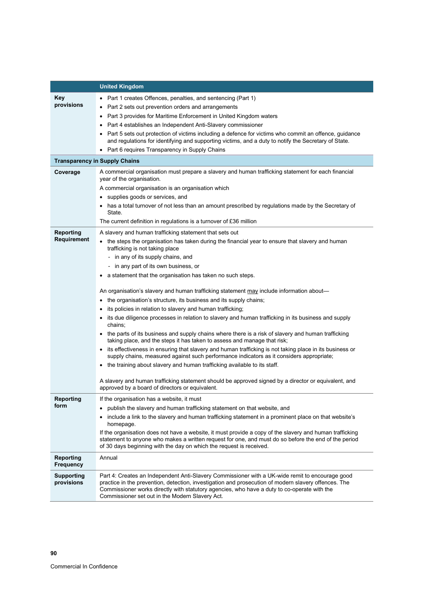|                                 | <b>United Kingdom</b>                                                                                                                                                                                                                                                                                                                                     |
|---------------------------------|-----------------------------------------------------------------------------------------------------------------------------------------------------------------------------------------------------------------------------------------------------------------------------------------------------------------------------------------------------------|
| <b>Key</b>                      | Part 1 creates Offences, penalties, and sentencing (Part 1)                                                                                                                                                                                                                                                                                               |
| provisions                      | Part 2 sets out prevention orders and arrangements<br>$\bullet$                                                                                                                                                                                                                                                                                           |
|                                 | Part 3 provides for Maritime Enforcement in United Kingdom waters<br>٠                                                                                                                                                                                                                                                                                    |
|                                 | Part 4 establishes an Independent Anti-Slavery commissioner                                                                                                                                                                                                                                                                                               |
|                                 | Part 5 sets out protection of victims including a defence for victims who commit an offence, guidance<br>and regulations for identifying and supporting victims, and a duty to notify the Secretary of State.                                                                                                                                             |
|                                 | Part 6 requires Transparency in Supply Chains                                                                                                                                                                                                                                                                                                             |
|                                 | <b>Transparency in Supply Chains</b>                                                                                                                                                                                                                                                                                                                      |
| Coverage                        | A commercial organisation must prepare a slavery and human trafficking statement for each financial<br>year of the organisation.                                                                                                                                                                                                                          |
|                                 | A commercial organisation is an organisation which                                                                                                                                                                                                                                                                                                        |
|                                 | supplies goods or services, and<br>٠                                                                                                                                                                                                                                                                                                                      |
|                                 | has a total turnover of not less than an amount prescribed by regulations made by the Secretary of<br>State.                                                                                                                                                                                                                                              |
|                                 | The current definition in regulations is a turnover of £36 million                                                                                                                                                                                                                                                                                        |
| Reporting                       | A slavery and human trafficking statement that sets out                                                                                                                                                                                                                                                                                                   |
| Requirement                     | the steps the organisation has taken during the financial year to ensure that slavery and human<br>trafficking is not taking place                                                                                                                                                                                                                        |
|                                 | - in any of its supply chains, and                                                                                                                                                                                                                                                                                                                        |
|                                 | - in any part of its own business, or                                                                                                                                                                                                                                                                                                                     |
|                                 | a statement that the organisation has taken no such steps.                                                                                                                                                                                                                                                                                                |
|                                 | An organisation's slavery and human trafficking statement may include information about—                                                                                                                                                                                                                                                                  |
|                                 | the organisation's structure, its business and its supply chains;                                                                                                                                                                                                                                                                                         |
|                                 | its policies in relation to slavery and human trafficking;                                                                                                                                                                                                                                                                                                |
|                                 | its due diligence processes in relation to slavery and human trafficking in its business and supply<br>chains;                                                                                                                                                                                                                                            |
|                                 | the parts of its business and supply chains where there is a risk of slavery and human trafficking<br>taking place, and the steps it has taken to assess and manage that risk;                                                                                                                                                                            |
|                                 | its effectiveness in ensuring that slavery and human trafficking is not taking place in its business or<br>supply chains, measured against such performance indicators as it considers appropriate;                                                                                                                                                       |
|                                 | the training about slavery and human trafficking available to its staff.                                                                                                                                                                                                                                                                                  |
|                                 | A slavery and human trafficking statement should be approved signed by a director or equivalent, and<br>approved by a board of directors or equivalent.                                                                                                                                                                                                   |
| Reporting                       | If the organisation has a website, it must                                                                                                                                                                                                                                                                                                                |
| form                            | publish the slavery and human trafficking statement on that website, and                                                                                                                                                                                                                                                                                  |
|                                 | include a link to the slavery and human trafficking statement in a prominent place on that website's<br>$\bullet$<br>homepage.                                                                                                                                                                                                                            |
|                                 | If the organisation does not have a website, it must provide a copy of the slavery and human trafficking<br>statement to anyone who makes a written request for one, and must do so before the end of the period<br>of 30 days beginning with the day on which the request is received.                                                                   |
| Reporting<br><b>Frequency</b>   | Annual                                                                                                                                                                                                                                                                                                                                                    |
| <b>Supporting</b><br>provisions | Part 4: Creates an Independent Anti-Slavery Commissioner with a UK-wide remit to encourage good<br>practice in the prevention, detection, investigation and prosecution of modern slavery offences. The<br>Commissioner works directly with statutory agencies, who have a duty to co-operate with the<br>Commissioner set out in the Modern Slavery Act. |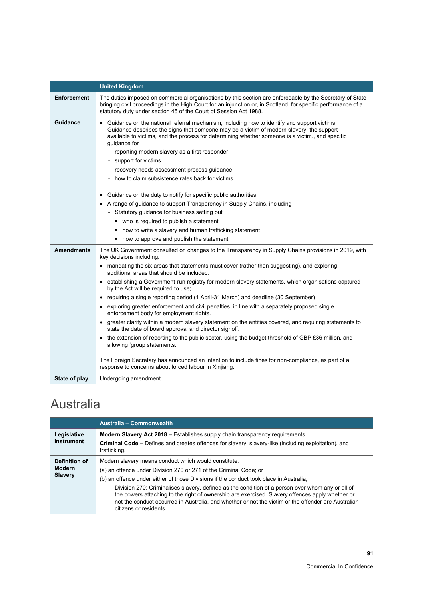|                    | <b>United Kingdom</b>                                                                                                                                                                                                                                                                                                                                                                                                                                                                                                                                                                                                                                                                                                                                                                                                                                                                                                                                                                                                                                                                                                                  |
|--------------------|----------------------------------------------------------------------------------------------------------------------------------------------------------------------------------------------------------------------------------------------------------------------------------------------------------------------------------------------------------------------------------------------------------------------------------------------------------------------------------------------------------------------------------------------------------------------------------------------------------------------------------------------------------------------------------------------------------------------------------------------------------------------------------------------------------------------------------------------------------------------------------------------------------------------------------------------------------------------------------------------------------------------------------------------------------------------------------------------------------------------------------------|
| <b>Enforcement</b> | The duties imposed on commercial organisations by this section are enforceable by the Secretary of State<br>bringing civil proceedings in the High Court for an injunction or, in Scotland, for specific performance of a<br>statutory duty under section 45 of the Court of Session Act 1988.                                                                                                                                                                                                                                                                                                                                                                                                                                                                                                                                                                                                                                                                                                                                                                                                                                         |
| <b>Guidance</b>    | Guidance on the national referral mechanism, including how to identify and support victims.<br>Guidance describes the signs that someone may be a victim of modern slavery, the support<br>available to victims, and the process for determining whether someone is a victim., and specific<br>guidance for<br>- reporting modern slavery as a first responder<br>support for victims<br>$\overline{\phantom{a}}$<br>- recovery needs assessment process guidance<br>how to claim subsistence rates back for victims<br>Guidance on the duty to notify for specific public authorities<br>$\bullet$<br>A range of guidance to support Transparency in Supply Chains, including<br>- Statutory guidance for business setting out<br>• who is required to publish a statement<br>how to write a slavery and human trafficking statement<br>how to approve and publish the statement                                                                                                                                                                                                                                                      |
| <b>Amendments</b>  | The UK Government consulted on changes to the Transparency in Supply Chains provisions in 2019, with<br>key decisions including:<br>• mandating the six areas that statements must cover (rather than suggesting), and exploring<br>additional areas that should be included.<br>• establishing a Government-run registry for modern slavery statements, which organisations captured<br>by the Act will be required to use;<br>requiring a single reporting period (1 April-31 March) and deadline (30 September)<br>exploring greater enforcement and civil penalties, in line with a separately proposed single<br>enforcement body for employment rights.<br>greater clarity within a modern slavery statement on the entities covered, and requiring statements to<br>state the date of board approval and director signoff.<br>the extension of reporting to the public sector, using the budget threshold of GBP £36 million, and<br>allowing 'group statements.<br>The Foreign Secretary has announced an intention to include fines for non-compliance, as part of a<br>response to concerns about forced labour in Xinjiang. |
| State of play      | Undergoing amendment                                                                                                                                                                                                                                                                                                                                                                                                                                                                                                                                                                                                                                                                                                                                                                                                                                                                                                                                                                                                                                                                                                                   |

### Australia

|                                           | Australia - Commonwealth                                                                                                                                                                                                                                                                                                                                                                                                                                                                                                                                     |
|-------------------------------------------|--------------------------------------------------------------------------------------------------------------------------------------------------------------------------------------------------------------------------------------------------------------------------------------------------------------------------------------------------------------------------------------------------------------------------------------------------------------------------------------------------------------------------------------------------------------|
| Legislative<br><b>Instrument</b>          | <b>Modern Slavery Act 2018 – Establishes supply chain transparency requirements</b><br><b>Criminal Code –</b> Defines and creates offences for slavery, slavery-like (including exploitation), and<br>trafficking.                                                                                                                                                                                                                                                                                                                                           |
| Definition of<br><b>Modern</b><br>Slavery | Modern slavery means conduct which would constitute:<br>(a) an offence under Division 270 or 271 of the Criminal Code; or<br>(b) an offence under either of those Divisions if the conduct took place in Australia;<br>- Division 270: Criminalises slavery, defined as the condition of a person over whom any or all of<br>the powers attaching to the right of ownership are exercised. Slavery offences apply whether or<br>not the conduct occurred in Australia, and whether or not the victim or the offender are Australian<br>citizens or residents |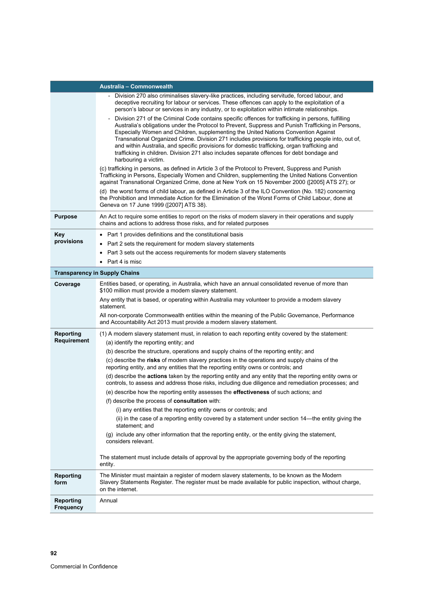|                                      | Australia - Commonwealth                                                                                                                                                                                                                                                                                                                                                                                                                                                                                                                                                                                                       |
|--------------------------------------|--------------------------------------------------------------------------------------------------------------------------------------------------------------------------------------------------------------------------------------------------------------------------------------------------------------------------------------------------------------------------------------------------------------------------------------------------------------------------------------------------------------------------------------------------------------------------------------------------------------------------------|
|                                      | Division 270 also criminalises slavery-like practices, including servitude, forced labour, and<br>deceptive recruiting for labour or services. These offences can apply to the exploitation of a<br>person's labour or services in any industry, or to exploitation within intimate relationships.                                                                                                                                                                                                                                                                                                                             |
|                                      | Division 271 of the Criminal Code contains specific offences for trafficking in persons, fulfilling<br>Australia's obligations under the Protocol to Prevent, Suppress and Punish Trafficking in Persons,<br>Especially Women and Children, supplementing the United Nations Convention Against<br>Transnational Organized Crime. Division 271 includes provisions for trafficking people into, out of,<br>and within Australia, and specific provisions for domestic trafficking, organ trafficking and<br>trafficking in children. Division 271 also includes separate offences for debt bondage and<br>harbouring a victim. |
|                                      | (c) trafficking in persons, as defined in Article 3 of the Protocol to Prevent, Suppress and Punish<br>Trafficking in Persons, Especially Women and Children, supplementing the United Nations Convention<br>against Transnational Organized Crime, done at New York on 15 November 2000 ([2005] ATS 27); or                                                                                                                                                                                                                                                                                                                   |
|                                      | (d) the worst forms of child labour, as defined in Article 3 of the ILO Convention (No. 182) concerning<br>the Prohibition and Immediate Action for the Elimination of the Worst Forms of Child Labour, done at<br>Geneva on 17 June 1999 ([2007] ATS 38).                                                                                                                                                                                                                                                                                                                                                                     |
| <b>Purpose</b>                       | An Act to require some entities to report on the risks of modern slavery in their operations and supply<br>chains and actions to address those risks, and for related purposes                                                                                                                                                                                                                                                                                                                                                                                                                                                 |
| Key                                  | • Part 1 provides definitions and the constitutional basis                                                                                                                                                                                                                                                                                                                                                                                                                                                                                                                                                                     |
| provisions                           | Part 2 sets the requirement for modern slavery statements                                                                                                                                                                                                                                                                                                                                                                                                                                                                                                                                                                      |
|                                      | Part 3 sets out the access requirements for modern slavery statements                                                                                                                                                                                                                                                                                                                                                                                                                                                                                                                                                          |
|                                      | Part 4 is misc                                                                                                                                                                                                                                                                                                                                                                                                                                                                                                                                                                                                                 |
|                                      | <b>Transparency in Supply Chains</b>                                                                                                                                                                                                                                                                                                                                                                                                                                                                                                                                                                                           |
| Coverage                             | Entities based, or operating, in Australia, which have an annual consolidated revenue of more than<br>\$100 million must provide a modern slavery statement.                                                                                                                                                                                                                                                                                                                                                                                                                                                                   |
|                                      | Any entity that is based, or operating within Australia may volunteer to provide a modern slavery<br>statement.                                                                                                                                                                                                                                                                                                                                                                                                                                                                                                                |
|                                      | All non-corporate Commonwealth entities within the meaning of the Public Governance, Performance<br>and Accountability Act 2013 must provide a modern slavery statement.                                                                                                                                                                                                                                                                                                                                                                                                                                                       |
| <b>Reporting</b>                     | (1) A modern slavery statement must, in relation to each reporting entity covered by the statement:                                                                                                                                                                                                                                                                                                                                                                                                                                                                                                                            |
| Requirement                          | (a) identify the reporting entity; and                                                                                                                                                                                                                                                                                                                                                                                                                                                                                                                                                                                         |
|                                      | (b) describe the structure, operations and supply chains of the reporting entity; and                                                                                                                                                                                                                                                                                                                                                                                                                                                                                                                                          |
|                                      | (c) describe the risks of modern slavery practices in the operations and supply chains of the<br>reporting entity, and any entities that the reporting entity owns or controls; and                                                                                                                                                                                                                                                                                                                                                                                                                                            |
|                                      | (d) describe the actions taken by the reporting entity and any entity that the reporting entity owns or<br>controls, to assess and address those risks, including due diligence and remediation processes; and                                                                                                                                                                                                                                                                                                                                                                                                                 |
|                                      | (e) describe how the reporting entity assesses the effectiveness of such actions; and                                                                                                                                                                                                                                                                                                                                                                                                                                                                                                                                          |
|                                      | (f) describe the process of consultation with:                                                                                                                                                                                                                                                                                                                                                                                                                                                                                                                                                                                 |
|                                      | (i) any entities that the reporting entity owns or controls; and                                                                                                                                                                                                                                                                                                                                                                                                                                                                                                                                                               |
|                                      | ii) in the case of a reporting entity covered by a statement under section 14—the entity giving the<br>statement; and                                                                                                                                                                                                                                                                                                                                                                                                                                                                                                          |
|                                      | (g) include any other information that the reporting entity, or the entity giving the statement,<br>considers relevant.                                                                                                                                                                                                                                                                                                                                                                                                                                                                                                        |
|                                      | The statement must include details of approval by the appropriate governing body of the reporting<br>entity.                                                                                                                                                                                                                                                                                                                                                                                                                                                                                                                   |
| <b>Reporting</b><br>form             | The Minister must maintain a register of modern slavery statements, to be known as the Modern<br>Slavery Statements Register. The register must be made available for public inspection, without charge,<br>on the internet.                                                                                                                                                                                                                                                                                                                                                                                                   |
| <b>Reporting</b><br><b>Frequency</b> | Annual                                                                                                                                                                                                                                                                                                                                                                                                                                                                                                                                                                                                                         |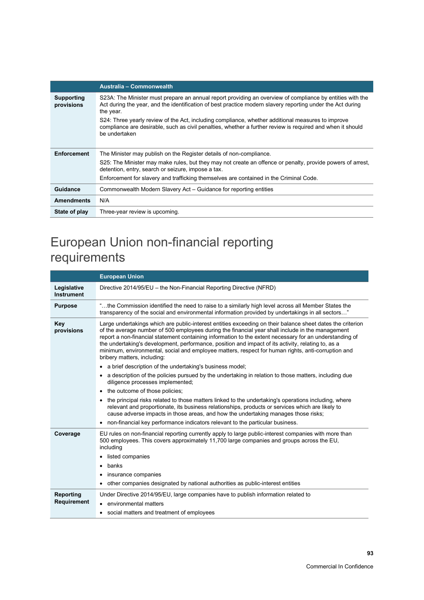|                          | Australia - Commonwealth                                                                                                                                                                                                             |
|--------------------------|--------------------------------------------------------------------------------------------------------------------------------------------------------------------------------------------------------------------------------------|
| Supporting<br>provisions | S23A: The Minister must prepare an annual report providing an overview of compliance by entities with the<br>Act during the year, and the identification of best practice modern slavery reporting under the Act during<br>the year. |
|                          | S24: Three yearly review of the Act, including compliance, whether additional measures to improve<br>compliance are desirable, such as civil penalties, whether a further review is required and when it should<br>be undertaken     |
|                          |                                                                                                                                                                                                                                      |
| <b>Enforcement</b>       | The Minister may publish on the Register details of non-compliance.                                                                                                                                                                  |
|                          | S25: The Minister may make rules, but they may not create an offence or penalty, provide powers of arrest,<br>detention, entry, search or seizure, impose a tax.                                                                     |
|                          | Enforcement for slavery and trafficking themselves are contained in the Criminal Code.                                                                                                                                               |
| Guidance                 | Commonwealth Modern Slavery Act - Guidance for reporting entities                                                                                                                                                                    |
| <b>Amendments</b>        | N/A                                                                                                                                                                                                                                  |
| State of play            | Three-year review is upcoming.                                                                                                                                                                                                       |

## European Union non-financial reporting requirements

|                                  | <b>European Union</b>                                                                                                                                                                                                                                                                                                                                                                                                                                                                                                                                                |  |  |  |
|----------------------------------|----------------------------------------------------------------------------------------------------------------------------------------------------------------------------------------------------------------------------------------------------------------------------------------------------------------------------------------------------------------------------------------------------------------------------------------------------------------------------------------------------------------------------------------------------------------------|--|--|--|
| Legislative<br><b>Instrument</b> | Directive 2014/95/EU - the Non-Financial Reporting Directive (NFRD)                                                                                                                                                                                                                                                                                                                                                                                                                                                                                                  |  |  |  |
| <b>Purpose</b>                   | the Commission identified the need to raise to a similarly high level across all Member States the"<br>transparency of the social and environmental information provided by undertakings in all sectors"                                                                                                                                                                                                                                                                                                                                                             |  |  |  |
| Key<br>provisions                | Large undertakings which are public-interest entities exceeding on their balance sheet dates the criterion<br>of the average number of 500 employees during the financial year shall include in the management<br>report a non-financial statement containing information to the extent necessary for an understanding of<br>the undertaking's development, performance, position and impact of its activity, relating to, as a<br>minimum, environmental, social and employee matters, respect for human rights, anti-corruption and<br>bribery matters, including: |  |  |  |
|                                  | • a brief description of the undertaking's business model;                                                                                                                                                                                                                                                                                                                                                                                                                                                                                                           |  |  |  |
|                                  | a description of the policies pursued by the undertaking in relation to those matters, including due<br>diligence processes implemented;                                                                                                                                                                                                                                                                                                                                                                                                                             |  |  |  |
|                                  | the outcome of those policies;<br>٠                                                                                                                                                                                                                                                                                                                                                                                                                                                                                                                                  |  |  |  |
|                                  | the principal risks related to those matters linked to the undertaking's operations including, where<br>relevant and proportionate, its business relationships, products or services which are likely to<br>cause adverse impacts in those areas, and how the undertaking manages those risks;                                                                                                                                                                                                                                                                       |  |  |  |
|                                  | non-financial key performance indicators relevant to the particular business.                                                                                                                                                                                                                                                                                                                                                                                                                                                                                        |  |  |  |
| Coverage                         | EU rules on non-financial reporting currently apply to large public-interest companies with more than<br>500 employees. This covers approximately 11,700 large companies and groups across the EU.<br>including                                                                                                                                                                                                                                                                                                                                                      |  |  |  |
|                                  | listed companies                                                                                                                                                                                                                                                                                                                                                                                                                                                                                                                                                     |  |  |  |
|                                  | banks                                                                                                                                                                                                                                                                                                                                                                                                                                                                                                                                                                |  |  |  |
|                                  | insurance companies                                                                                                                                                                                                                                                                                                                                                                                                                                                                                                                                                  |  |  |  |
|                                  | other companies designated by national authorities as public-interest entities<br>٠                                                                                                                                                                                                                                                                                                                                                                                                                                                                                  |  |  |  |
| Reporting<br>Requirement         | Under Directive 2014/95/EU, large companies have to publish information related to                                                                                                                                                                                                                                                                                                                                                                                                                                                                                   |  |  |  |
|                                  | environmental matters<br>$\bullet$                                                                                                                                                                                                                                                                                                                                                                                                                                                                                                                                   |  |  |  |
|                                  | • social matters and treatment of employees                                                                                                                                                                                                                                                                                                                                                                                                                                                                                                                          |  |  |  |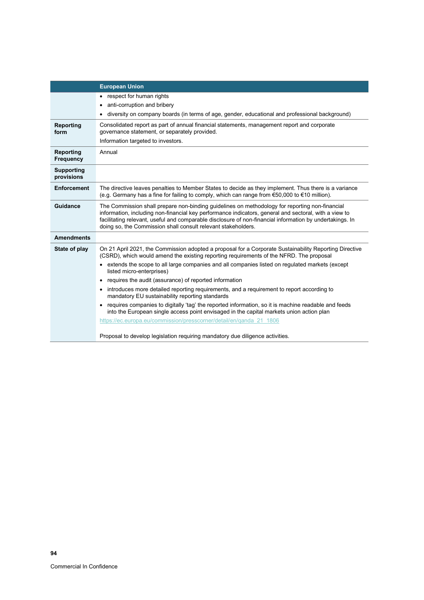|                                 | <b>European Union</b>                                                                                                                                                                                                                                                                                                                                                                |  |  |  |  |
|---------------------------------|--------------------------------------------------------------------------------------------------------------------------------------------------------------------------------------------------------------------------------------------------------------------------------------------------------------------------------------------------------------------------------------|--|--|--|--|
|                                 | respect for human rights                                                                                                                                                                                                                                                                                                                                                             |  |  |  |  |
|                                 | anti-corruption and bribery                                                                                                                                                                                                                                                                                                                                                          |  |  |  |  |
|                                 | diversity on company boards (in terms of age, gender, educational and professional background)                                                                                                                                                                                                                                                                                       |  |  |  |  |
| Reporting<br>form               | Consolidated report as part of annual financial statements, management report and corporate<br>governance statement, or separately provided.                                                                                                                                                                                                                                         |  |  |  |  |
|                                 | Information targeted to investors.                                                                                                                                                                                                                                                                                                                                                   |  |  |  |  |
| Reporting<br><b>Frequency</b>   | Annual                                                                                                                                                                                                                                                                                                                                                                               |  |  |  |  |
| <b>Supporting</b><br>provisions |                                                                                                                                                                                                                                                                                                                                                                                      |  |  |  |  |
| <b>Enforcement</b>              | The directive leaves penalties to Member States to decide as they implement. Thus there is a variance<br>(e.g. Germany has a fine for failing to comply, which can range from €50,000 to €10 million).                                                                                                                                                                               |  |  |  |  |
| Guidance                        | The Commission shall prepare non-binding guidelines on methodology for reporting non-financial<br>information, including non-financial key performance indicators, general and sectoral, with a view to<br>facilitating relevant, useful and comparable disclosure of non-financial information by undertakings. In<br>doing so, the Commission shall consult relevant stakeholders. |  |  |  |  |
| <b>Amendments</b>               |                                                                                                                                                                                                                                                                                                                                                                                      |  |  |  |  |
| State of play                   | On 21 April 2021, the Commission adopted a proposal for a Corporate Sustainability Reporting Directive<br>(CSRD), which would amend the existing reporting requirements of the NFRD. The proposal                                                                                                                                                                                    |  |  |  |  |
|                                 | extends the scope to all large companies and all companies listed on regulated markets (except<br>listed micro-enterprises)                                                                                                                                                                                                                                                          |  |  |  |  |
|                                 | requires the audit (assurance) of reported information<br>$\bullet$                                                                                                                                                                                                                                                                                                                  |  |  |  |  |
|                                 | introduces more detailed reporting requirements, and a requirement to report according to<br>mandatory EU sustainability reporting standards                                                                                                                                                                                                                                         |  |  |  |  |
|                                 | requires companies to digitally 'tag' the reported information, so it is machine readable and feeds<br>into the European single access point envisaged in the capital markets union action plan                                                                                                                                                                                      |  |  |  |  |
|                                 | https://ec.europa.eu/commission/presscorner/detail/en/ganda 21 1806                                                                                                                                                                                                                                                                                                                  |  |  |  |  |
|                                 | Proposal to develop legislation requiring mandatory due diligence activities.                                                                                                                                                                                                                                                                                                        |  |  |  |  |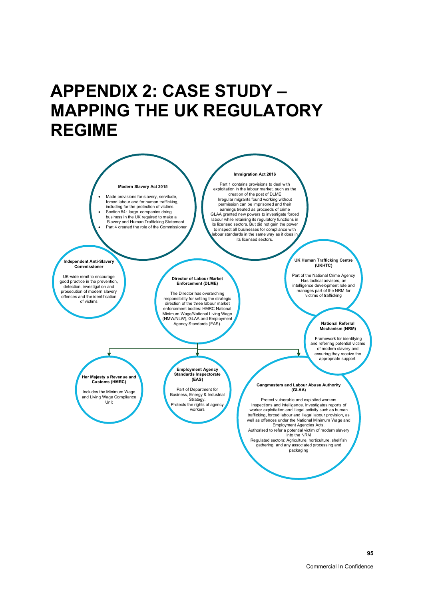## **APPENDIX 2: CASE STUDY – MAPPING THE UK REGULATORY REGIME**

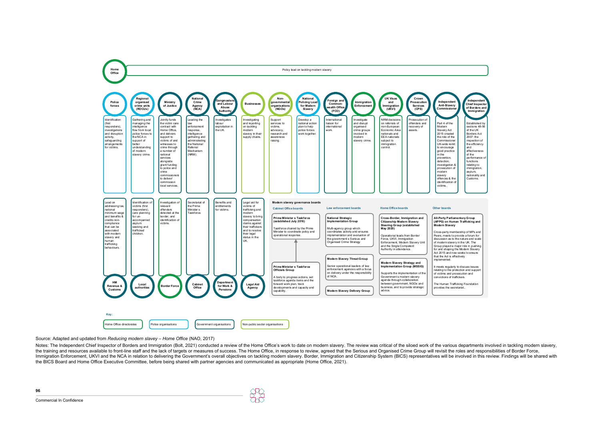**96**

Source: Adapted and updated from *Reducing modern slavey – Home Office* (NAO, 2017)

Notes: The Independent Chief Inspector of Borders and Immigration (Bolt, 2021) conducted a review of the Home Office's work to date on modern slavery. The review was critical of the siloed work of the various departments i the training and resources available to front-line staff and the lack of targets or measures of success. The Home Office, in response to review, agreed that the Serious and Organised Crime Group will revisit the roles and Immigration Enforcement, UKVI and the NCA in relation to delivering the Government's overall objectives on tackling modern slavery. Border, Immigration and Citizenship System (BICS) representatives will be involved in this the BICS Board and Home Office Executive Committee, before being shared with partner agencies and communicated as appropriate (Home Office, 2021).

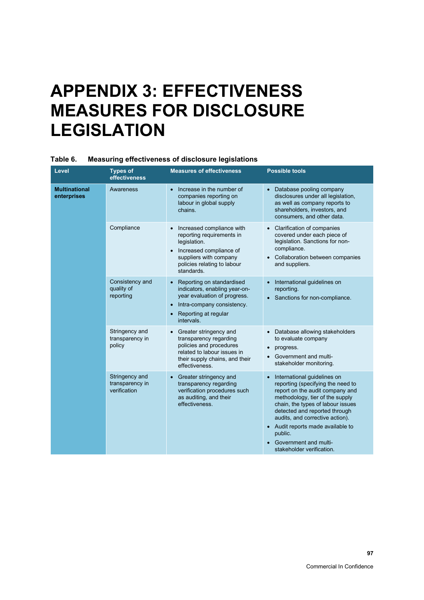## **APPENDIX 3: EFFECTIVENESS MEASURES FOR DISCLOSURE LEGISLATION**

| Level                               | <b>Types of</b><br>effectiveness                  | <b>Measures of effectiveness</b>                                                                                                                                            | <b>Possible tools</b>                                                                                                                                                                                                                                                                                                                                              |
|-------------------------------------|---------------------------------------------------|-----------------------------------------------------------------------------------------------------------------------------------------------------------------------------|--------------------------------------------------------------------------------------------------------------------------------------------------------------------------------------------------------------------------------------------------------------------------------------------------------------------------------------------------------------------|
| <b>Multinational</b><br>enterprises | Awareness                                         | Increase in the number of<br>$\bullet$<br>companies reporting on<br>labour in global supply<br>chains.                                                                      | • Database pooling company<br>disclosures under all legislation,<br>as well as company reports to<br>shareholders, investors, and<br>consumers, and other data.                                                                                                                                                                                                    |
|                                     | Compliance                                        | Increased compliance with<br>reporting requirements in<br>legislation.<br>Increased compliance of<br>suppliers with company<br>policies relating to labour<br>standards.    | <b>Clarification of companies</b><br>covered under each piece of<br>legislation. Sanctions for non-<br>compliance.<br>Collaboration between companies<br>and suppliers.                                                                                                                                                                                            |
|                                     | Consistency and<br>quality of<br>reporting        | Reporting on standardised<br>indicators, enabling year-on-<br>year evaluation of progress.<br>Intra-company consistency.<br>Reporting at regular<br>intervals.              | International guidelines on<br>reporting.<br>• Sanctions for non-compliance.                                                                                                                                                                                                                                                                                       |
|                                     | Stringency and<br>transparency in<br>policy       | Greater stringency and<br>$\bullet$<br>transparency regarding<br>policies and procedures<br>related to labour issues in<br>their supply chains, and their<br>effectiveness. | • Database allowing stakeholders<br>to evaluate company<br>progress.<br>$\bullet$<br>Government and multi-<br>stakeholder monitoring.                                                                                                                                                                                                                              |
|                                     | Stringency and<br>transparency in<br>verification | Greater stringency and<br>$\bullet$<br>transparency regarding<br>verification procedures such<br>as auditing, and their<br>effectiveness.                                   | International guidelines on<br>$\bullet$<br>reporting (specifying the need to<br>report on the audit company and<br>methodology, tier of the supply<br>chain, the types of labour issues<br>detected and reported through<br>audits, and corrective action).<br>• Audit reports made available to<br>public.<br>Government and multi-<br>stakeholder verification. |

### **Table 6. Measuring effectiveness of disclosure legislations**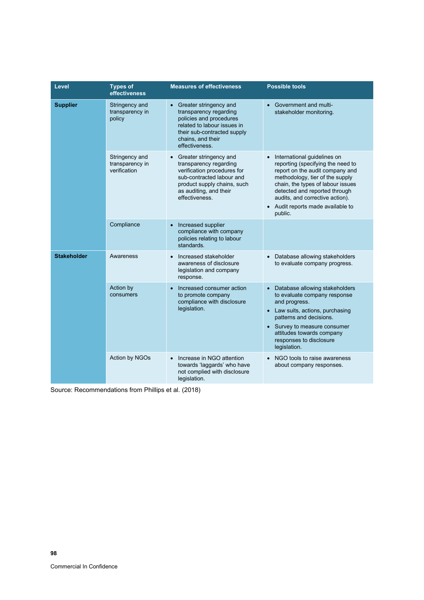| Level              | <b>Types of</b><br>effectiveness                  | <b>Measures of effectiveness</b>                                                                                                                                                          | <b>Possible tools</b>                                                                                                                                                                                                                                                                                                   |
|--------------------|---------------------------------------------------|-------------------------------------------------------------------------------------------------------------------------------------------------------------------------------------------|-------------------------------------------------------------------------------------------------------------------------------------------------------------------------------------------------------------------------------------------------------------------------------------------------------------------------|
| <b>Supplier</b>    | Stringency and<br>transparency in<br>policy       | • Greater stringency and<br>transparency regarding<br>policies and procedures<br>related to labour issues in<br>their sub-contracted supply<br>chains, and their<br>effectiveness.        | <b>Government and multi-</b><br>$\bullet$<br>stakeholder monitoring.                                                                                                                                                                                                                                                    |
|                    | Stringency and<br>transparency in<br>verification | • Greater stringency and<br>transparency regarding<br>verification procedures for<br>sub-contracted labour and<br>product supply chains, such<br>as auditing, and their<br>effectiveness. | International guidelines on<br>$\bullet$<br>reporting (specifying the need to<br>report on the audit company and<br>methodology, tier of the supply<br>chain, the types of labour issues<br>detected and reported through<br>audits, and corrective action).<br>Audit reports made available to<br>$\bullet$<br>public. |
|                    | Compliance                                        | Increased supplier<br>$\bullet$<br>compliance with company<br>policies relating to labour<br>standards.                                                                                   |                                                                                                                                                                                                                                                                                                                         |
| <b>Stakeholder</b> | Awareness                                         | Increased stakeholder<br>$\bullet$<br>awareness of disclosure<br>legislation and company<br>response.                                                                                     | Database allowing stakeholders<br>$\bullet$<br>to evaluate company progress.                                                                                                                                                                                                                                            |
|                    | Action by<br>consumers                            | Increased consumer action<br>$\bullet$<br>to promote company<br>compliance with disclosure<br>legislation.                                                                                | Database allowing stakeholders<br>$\bullet$<br>to evaluate company response<br>and progress.<br>Law suits, actions, purchasing<br>$\bullet$<br>patterns and decisions.<br>Survey to measure consumer<br>$\bullet$<br>attitudes towards company<br>responses to disclosure<br>legislation.                               |
|                    | Action by NGOs                                    | Increase in NGO attention<br>$\bullet$<br>towards 'laggards' who have<br>not complied with disclosure<br>legislation.                                                                     | NGO tools to raise awareness<br>$\bullet$<br>about company responses.                                                                                                                                                                                                                                                   |

Source: Recommendations from Phillips et al. (2018)